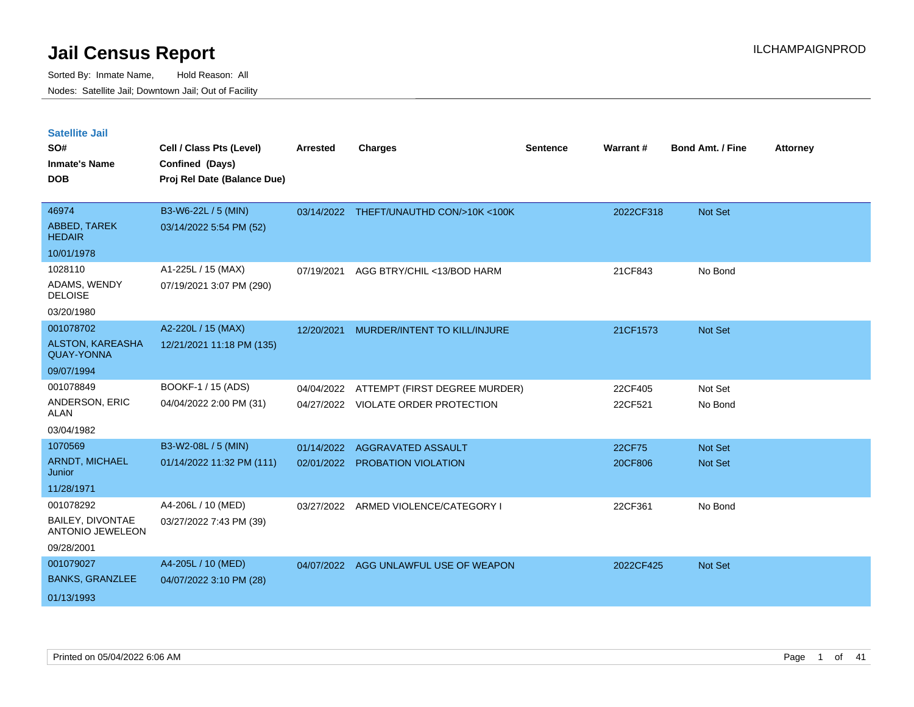| <b>Satellite Jail</b>                        |                             |                 |                                         |          |           |                         |                 |
|----------------------------------------------|-----------------------------|-----------------|-----------------------------------------|----------|-----------|-------------------------|-----------------|
| SO#                                          | Cell / Class Pts (Level)    | <b>Arrested</b> | <b>Charges</b>                          | Sentence | Warrant#  | <b>Bond Amt. / Fine</b> | <b>Attorney</b> |
| Inmate's Name                                | Confined (Days)             |                 |                                         |          |           |                         |                 |
| <b>DOB</b>                                   | Proj Rel Date (Balance Due) |                 |                                         |          |           |                         |                 |
|                                              |                             |                 |                                         |          |           |                         |                 |
| 46974                                        | B3-W6-22L / 5 (MIN)         |                 | 03/14/2022 THEFT/UNAUTHD CON/>10K <100K |          | 2022CF318 | Not Set                 |                 |
| ABBED, TAREK<br><b>HEDAIR</b>                | 03/14/2022 5:54 PM (52)     |                 |                                         |          |           |                         |                 |
| 10/01/1978                                   |                             |                 |                                         |          |           |                         |                 |
| 1028110                                      | A1-225L / 15 (MAX)          | 07/19/2021      | AGG BTRY/CHIL <13/BOD HARM              |          | 21CF843   | No Bond                 |                 |
| ADAMS, WENDY<br><b>DELOISE</b>               | 07/19/2021 3:07 PM (290)    |                 |                                         |          |           |                         |                 |
| 03/20/1980                                   |                             |                 |                                         |          |           |                         |                 |
| 001078702                                    | A2-220L / 15 (MAX)          | 12/20/2021      | MURDER/INTENT TO KILL/INJURE            |          | 21CF1573  | <b>Not Set</b>          |                 |
| <b>ALSTON, KAREASHA</b><br><b>QUAY-YONNA</b> | 12/21/2021 11:18 PM (135)   |                 |                                         |          |           |                         |                 |
| 09/07/1994                                   |                             |                 |                                         |          |           |                         |                 |
| 001078849                                    | BOOKF-1 / 15 (ADS)          | 04/04/2022      | ATTEMPT (FIRST DEGREE MURDER)           |          | 22CF405   | Not Set                 |                 |
| ANDERSON, ERIC<br>ALAN                       | 04/04/2022 2:00 PM (31)     |                 | 04/27/2022 VIOLATE ORDER PROTECTION     |          | 22CF521   | No Bond                 |                 |
| 03/04/1982                                   |                             |                 |                                         |          |           |                         |                 |
| 1070569                                      | B3-W2-08L / 5 (MIN)         | 01/14/2022      | <b>AGGRAVATED ASSAULT</b>               |          | 22CF75    | Not Set                 |                 |
| <b>ARNDT, MICHAEL</b><br>Junior              | 01/14/2022 11:32 PM (111)   |                 | 02/01/2022 PROBATION VIOLATION          |          | 20CF806   | <b>Not Set</b>          |                 |
| 11/28/1971                                   |                             |                 |                                         |          |           |                         |                 |
| 001078292                                    | A4-206L / 10 (MED)          | 03/27/2022      | ARMED VIOLENCE/CATEGORY I               |          | 22CF361   | No Bond                 |                 |
| BAILEY, DIVONTAE<br><b>ANTONIO JEWELEON</b>  | 03/27/2022 7:43 PM (39)     |                 |                                         |          |           |                         |                 |
| 09/28/2001                                   |                             |                 |                                         |          |           |                         |                 |
| 001079027                                    | A4-205L / 10 (MED)          |                 | 04/07/2022 AGG UNLAWFUL USE OF WEAPON   |          | 2022CF425 | Not Set                 |                 |
| <b>BANKS, GRANZLEE</b>                       | 04/07/2022 3:10 PM (28)     |                 |                                         |          |           |                         |                 |
| 01/13/1993                                   |                             |                 |                                         |          |           |                         |                 |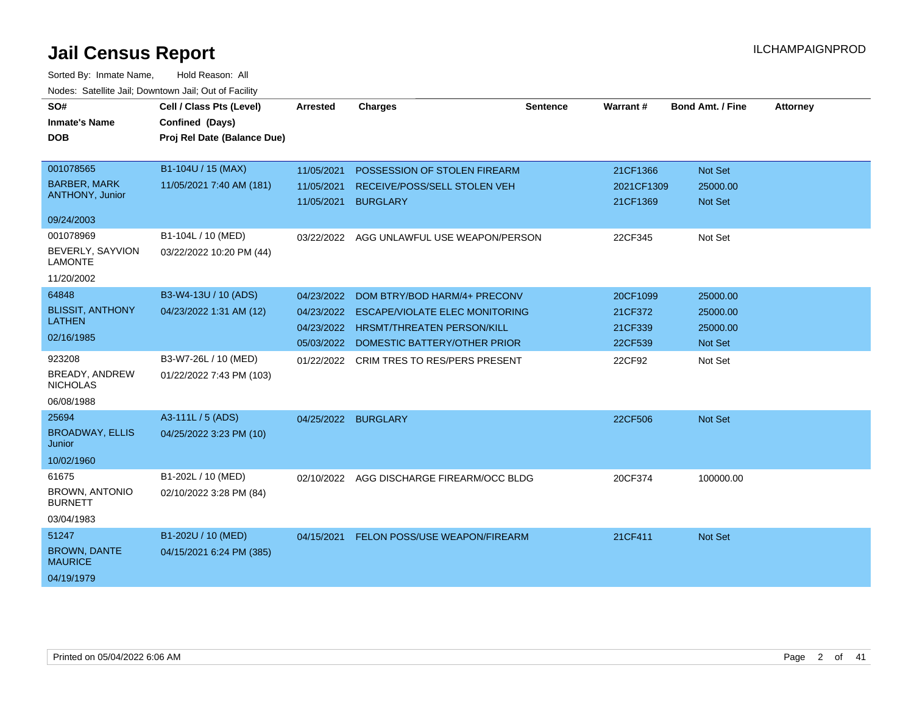| SO#<br><b>Inmate's Name</b><br><b>DOB</b>                                   | Cell / Class Pts (Level)<br>Confined (Days)<br>Proj Rel Date (Balance Due) | <b>Arrested</b>                        | <b>Charges</b>                                                                                                                                        | <b>Sentence</b> | Warrant#                                  | <b>Bond Amt. / Fine</b>                     | <b>Attorney</b> |
|-----------------------------------------------------------------------------|----------------------------------------------------------------------------|----------------------------------------|-------------------------------------------------------------------------------------------------------------------------------------------------------|-----------------|-------------------------------------------|---------------------------------------------|-----------------|
| 001078565<br><b>BARBER, MARK</b><br>ANTHONY, Junior                         | B1-104U / 15 (MAX)<br>11/05/2021 7:40 AM (181)                             | 11/05/2021<br>11/05/2021<br>11/05/2021 | POSSESSION OF STOLEN FIREARM<br>RECEIVE/POSS/SELL STOLEN VEH<br><b>BURGLARY</b>                                                                       |                 | 21CF1366<br>2021CF1309<br>21CF1369        | Not Set<br>25000.00<br>Not Set              |                 |
| 09/24/2003<br>001078969<br>BEVERLY, SAYVION<br><b>LAMONTE</b><br>11/20/2002 | B1-104L / 10 (MED)<br>03/22/2022 10:20 PM (44)                             |                                        | 03/22/2022 AGG UNLAWFUL USE WEAPON/PERSON                                                                                                             |                 | 22CF345                                   | Not Set                                     |                 |
| 64848<br><b>BLISSIT, ANTHONY</b><br><b>LATHEN</b><br>02/16/1985             | B3-W4-13U / 10 (ADS)<br>04/23/2022 1:31 AM (12)                            | 04/23/2022<br>04/23/2022<br>04/23/2022 | DOM BTRY/BOD HARM/4+ PRECONV<br><b>ESCAPE/VIOLATE ELEC MONITORING</b><br><b>HRSMT/THREATEN PERSON/KILL</b><br>05/03/2022 DOMESTIC BATTERY/OTHER PRIOR |                 | 20CF1099<br>21CF372<br>21CF339<br>22CF539 | 25000.00<br>25000.00<br>25000.00<br>Not Set |                 |
| 923208<br>BREADY, ANDREW<br><b>NICHOLAS</b><br>06/08/1988                   | B3-W7-26L / 10 (MED)<br>01/22/2022 7:43 PM (103)                           |                                        | 01/22/2022 CRIM TRES TO RES/PERS PRESENT                                                                                                              |                 | 22CF92                                    | Not Set                                     |                 |
| 25694<br><b>BROADWAY, ELLIS</b><br>Junior<br>10/02/1960                     | A3-111L / 5 (ADS)<br>04/25/2022 3:23 PM (10)                               | 04/25/2022 BURGLARY                    |                                                                                                                                                       |                 | 22CF506                                   | Not Set                                     |                 |
| 61675<br><b>BROWN, ANTONIO</b><br><b>BURNETT</b><br>03/04/1983              | B1-202L / 10 (MED)<br>02/10/2022 3:28 PM (84)                              | 02/10/2022                             | AGG DISCHARGE FIREARM/OCC BLDG                                                                                                                        |                 | 20CF374                                   | 100000.00                                   |                 |
| 51247<br><b>BROWN, DANTE</b><br><b>MAURICE</b><br>04/19/1979                | B1-202U / 10 (MED)<br>04/15/2021 6:24 PM (385)                             | 04/15/2021                             | FELON POSS/USE WEAPON/FIREARM                                                                                                                         |                 | 21CF411                                   | Not Set                                     |                 |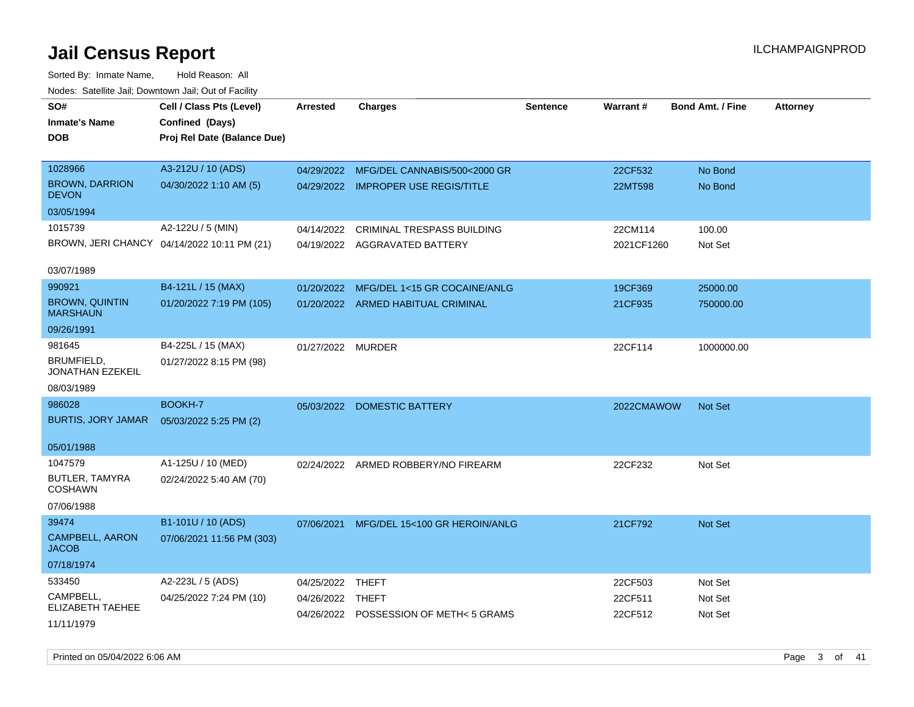| SO#<br><b>Inmate's Name</b><br><b>DOB</b> | Cell / Class Pts (Level)<br>Confined (Days)<br>Proj Rel Date (Balance Due) | <b>Arrested</b>   | <b>Charges</b>                        | <b>Sentence</b> | Warrant#   | <b>Bond Amt. / Fine</b> | <b>Attorney</b> |
|-------------------------------------------|----------------------------------------------------------------------------|-------------------|---------------------------------------|-----------------|------------|-------------------------|-----------------|
| 1028966                                   | A3-212U / 10 (ADS)                                                         | 04/29/2022        | MFG/DEL CANNABIS/500<2000 GR          |                 | 22CF532    | No Bond                 |                 |
| <b>BROWN, DARRION</b><br><b>DEVON</b>     | 04/30/2022 1:10 AM (5)                                                     |                   | 04/29/2022 IMPROPER USE REGIS/TITLE   |                 | 22MT598    | No Bond                 |                 |
| 03/05/1994                                |                                                                            |                   |                                       |                 |            |                         |                 |
| 1015739                                   | A2-122U / 5 (MIN)                                                          | 04/14/2022        | <b>CRIMINAL TRESPASS BUILDING</b>     |                 | 22CM114    | 100.00                  |                 |
|                                           | BROWN, JERI CHANCY 04/14/2022 10:11 PM (21)                                |                   | 04/19/2022 AGGRAVATED BATTERY         |                 | 2021CF1260 | Not Set                 |                 |
| 03/07/1989                                |                                                                            |                   |                                       |                 |            |                         |                 |
| 990921                                    | B4-121L / 15 (MAX)                                                         | 01/20/2022        | MFG/DEL 1<15 GR COCAINE/ANLG          |                 | 19CF369    | 25000.00                |                 |
| <b>BROWN, QUINTIN</b><br><b>MARSHAUN</b>  | 01/20/2022 7:19 PM (105)                                                   |                   | 01/20/2022 ARMED HABITUAL CRIMINAL    |                 | 21CF935    | 750000.00               |                 |
| 09/26/1991                                |                                                                            |                   |                                       |                 |            |                         |                 |
| 981645                                    | B4-225L / 15 (MAX)                                                         | 01/27/2022 MURDER |                                       |                 | 22CF114    | 1000000.00              |                 |
| BRUMFIELD,<br>JONATHAN EZEKEIL            | 01/27/2022 8:15 PM (98)                                                    |                   |                                       |                 |            |                         |                 |
| 08/03/1989                                |                                                                            |                   |                                       |                 |            |                         |                 |
| 986028                                    | BOOKH-7                                                                    |                   | 05/03/2022 DOMESTIC BATTERY           |                 | 2022CMAWOW | <b>Not Set</b>          |                 |
| <b>BURTIS, JORY JAMAR</b>                 | 05/03/2022 5:25 PM (2)                                                     |                   |                                       |                 |            |                         |                 |
| 05/01/1988                                |                                                                            |                   |                                       |                 |            |                         |                 |
| 1047579                                   | A1-125U / 10 (MED)                                                         |                   | 02/24/2022 ARMED ROBBERY/NO FIREARM   |                 | 22CF232    | Not Set                 |                 |
| <b>BUTLER, TAMYRA</b><br><b>COSHAWN</b>   | 02/24/2022 5:40 AM (70)                                                    |                   |                                       |                 |            |                         |                 |
| 07/06/1988                                |                                                                            |                   |                                       |                 |            |                         |                 |
| 39474                                     | B1-101U / 10 (ADS)                                                         | 07/06/2021        | MFG/DEL 15<100 GR HEROIN/ANLG         |                 | 21CF792    | Not Set                 |                 |
| CAMPBELL, AARON<br><b>JACOB</b>           | 07/06/2021 11:56 PM (303)                                                  |                   |                                       |                 |            |                         |                 |
| 07/18/1974                                |                                                                            |                   |                                       |                 |            |                         |                 |
| 533450                                    | A2-223L / 5 (ADS)                                                          | 04/25/2022        | THEFT                                 |                 | 22CF503    | Not Set                 |                 |
| CAMPBELL,<br>ELIZABETH TAEHEE             | 04/25/2022 7:24 PM (10)                                                    | 04/26/2022 THEFT  |                                       |                 | 22CF511    | Not Set                 |                 |
| 11/11/1979                                |                                                                            |                   | 04/26/2022 POSSESSION OF METH<5 GRAMS |                 | 22CF512    | Not Set                 |                 |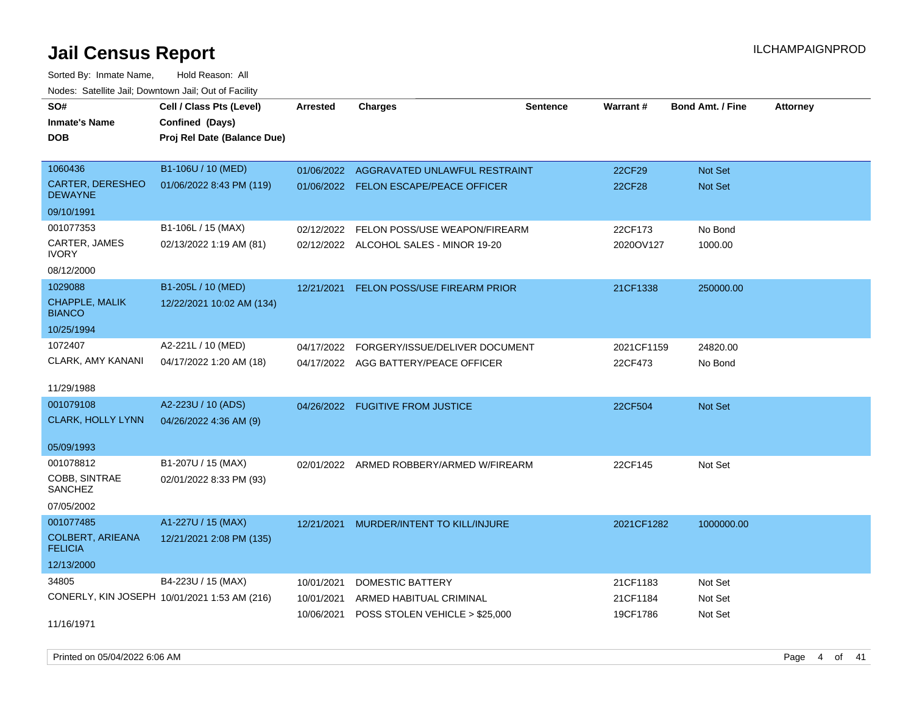Sorted By: Inmate Name, Hold Reason: All Nodes: Satellite Jail; Downtown Jail; Out of Facility

| SO#                                       | Cell / Class Pts (Level)                     | <b>Arrested</b> | <b>Charges</b>                            | <b>Sentence</b> | Warrant#      | <b>Bond Amt. / Fine</b> | <b>Attorney</b> |
|-------------------------------------------|----------------------------------------------|-----------------|-------------------------------------------|-----------------|---------------|-------------------------|-----------------|
| <b>Inmate's Name</b>                      | Confined (Days)                              |                 |                                           |                 |               |                         |                 |
| <b>DOB</b>                                | Proj Rel Date (Balance Due)                  |                 |                                           |                 |               |                         |                 |
|                                           |                                              |                 |                                           |                 |               |                         |                 |
| 1060436                                   | B1-106U / 10 (MED)                           | 01/06/2022      | AGGRAVATED UNLAWFUL RESTRAINT             |                 | 22CF29        | <b>Not Set</b>          |                 |
| <b>CARTER, DERESHEO</b><br><b>DEWAYNE</b> | 01/06/2022 8:43 PM (119)                     |                 | 01/06/2022 FELON ESCAPE/PEACE OFFICER     |                 | <b>22CF28</b> | Not Set                 |                 |
| 09/10/1991                                |                                              |                 |                                           |                 |               |                         |                 |
| 001077353                                 | B1-106L / 15 (MAX)                           | 02/12/2022      | FELON POSS/USE WEAPON/FIREARM             |                 | 22CF173       | No Bond                 |                 |
| CARTER, JAMES<br><b>IVORY</b>             | 02/13/2022 1:19 AM (81)                      |                 | 02/12/2022 ALCOHOL SALES - MINOR 19-20    |                 | 2020OV127     | 1000.00                 |                 |
| 08/12/2000                                |                                              |                 |                                           |                 |               |                         |                 |
| 1029088                                   | B1-205L / 10 (MED)                           |                 | 12/21/2021 FELON POSS/USE FIREARM PRIOR   |                 | 21CF1338      | 250000.00               |                 |
| CHAPPLE, MALIK<br><b>BIANCO</b>           | 12/22/2021 10:02 AM (134)                    |                 |                                           |                 |               |                         |                 |
| 10/25/1994                                |                                              |                 |                                           |                 |               |                         |                 |
| 1072407                                   | A2-221L / 10 (MED)                           | 04/17/2022      | FORGERY/ISSUE/DELIVER DOCUMENT            |                 | 2021CF1159    | 24820.00                |                 |
| CLARK, AMY KANANI                         | 04/17/2022 1:20 AM (18)                      |                 | 04/17/2022 AGG BATTERY/PEACE OFFICER      |                 | 22CF473       | No Bond                 |                 |
|                                           |                                              |                 |                                           |                 |               |                         |                 |
| 11/29/1988                                |                                              |                 |                                           |                 |               |                         |                 |
| 001079108                                 | A2-223U / 10 (ADS)                           |                 | 04/26/2022 FUGITIVE FROM JUSTICE          |                 | 22CF504       | Not Set                 |                 |
| <b>CLARK, HOLLY LYNN</b>                  | 04/26/2022 4:36 AM (9)                       |                 |                                           |                 |               |                         |                 |
| 05/09/1993                                |                                              |                 |                                           |                 |               |                         |                 |
| 001078812                                 | B1-207U / 15 (MAX)                           | 02/01/2022      | ARMED ROBBERY/ARMED W/FIREARM             |                 | 22CF145       | Not Set                 |                 |
| COBB, SINTRAE<br><b>SANCHEZ</b>           | 02/01/2022 8:33 PM (93)                      |                 |                                           |                 |               |                         |                 |
| 07/05/2002                                |                                              |                 |                                           |                 |               |                         |                 |
| 001077485                                 | A1-227U / 15 (MAX)                           |                 | 12/21/2021 MURDER/INTENT TO KILL/INJURE   |                 | 2021CF1282    | 1000000.00              |                 |
| <b>COLBERT, ARIEANA</b>                   | 12/21/2021 2:08 PM (135)                     |                 |                                           |                 |               |                         |                 |
| <b>FELICIA</b>                            |                                              |                 |                                           |                 |               |                         |                 |
| 12/13/2000                                |                                              |                 |                                           |                 |               |                         |                 |
| 34805                                     | B4-223U / 15 (MAX)                           | 10/01/2021      | DOMESTIC BATTERY                          |                 | 21CF1183      | Not Set                 |                 |
|                                           | CONERLY, KIN JOSEPH 10/01/2021 1:53 AM (216) | 10/01/2021      | ARMED HABITUAL CRIMINAL                   |                 | 21CF1184      | Not Set                 |                 |
|                                           |                                              |                 | 10/06/2021 POSS STOLEN VEHICLE > \$25,000 |                 | 19CF1786      | Not Set                 |                 |
| 11/16/1971                                |                                              |                 |                                           |                 |               |                         |                 |

Printed on 05/04/2022 6:06 AM Page 4 of 41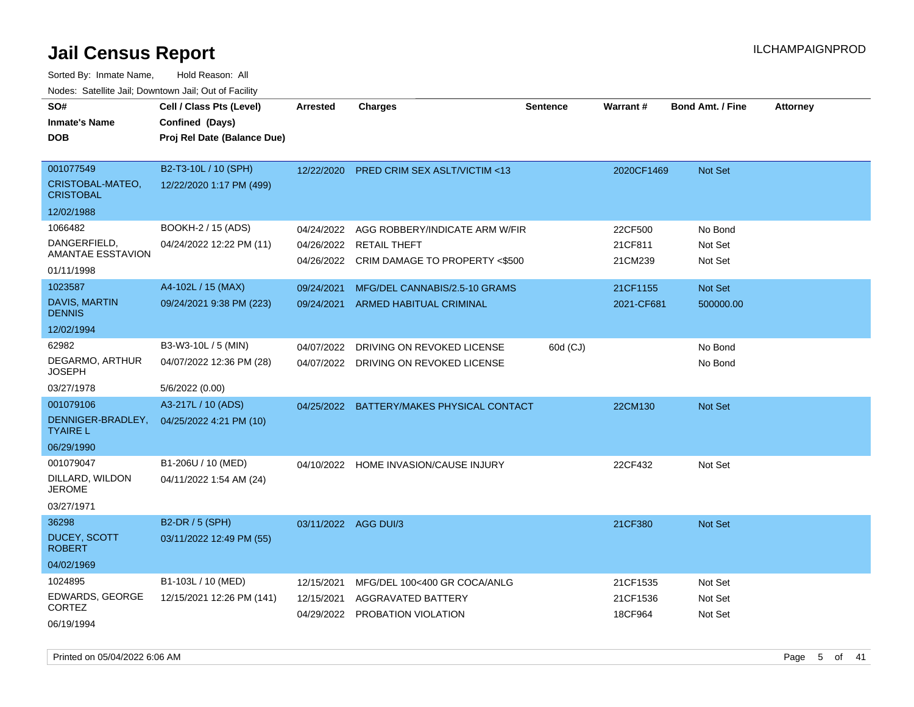| SO#<br><b>Inmate's Name</b><br><b>DOB</b>                             | Cell / Class Pts (Level)<br>Confined (Days)<br>Proj Rel Date (Balance Due) | <b>Arrested</b>                        | <b>Charges</b>                                                                          | <b>Sentence</b> | <b>Warrant#</b>                 | <b>Bond Amt. / Fine</b>       | <b>Attorney</b> |
|-----------------------------------------------------------------------|----------------------------------------------------------------------------|----------------------------------------|-----------------------------------------------------------------------------------------|-----------------|---------------------------------|-------------------------------|-----------------|
| 001077549<br>CRISTOBAL-MATEO,<br><b>CRISTOBAL</b>                     | B2-T3-10L / 10 (SPH)<br>12/22/2020 1:17 PM (499)                           | 12/22/2020                             | <b>PRED CRIM SEX ASLT/VICTIM &lt;13</b>                                                 |                 | 2020CF1469                      | <b>Not Set</b>                |                 |
| 12/02/1988<br>1066482<br>DANGERFIELD,<br>AMANTAE ESSTAVION            | BOOKH-2 / 15 (ADS)<br>04/24/2022 12:22 PM (11)                             | 04/24/2022<br>04/26/2022<br>04/26/2022 | AGG ROBBERY/INDICATE ARM W/FIR<br><b>RETAIL THEFT</b><br>CRIM DAMAGE TO PROPERTY <\$500 |                 | 22CF500<br>21CF811<br>21CM239   | No Bond<br>Not Set<br>Not Set |                 |
| 01/11/1998<br>1023587<br>DAVIS, MARTIN<br><b>DENNIS</b>               | A4-102L / 15 (MAX)<br>09/24/2021 9:38 PM (223)                             | 09/24/2021<br>09/24/2021               | MFG/DEL CANNABIS/2.5-10 GRAMS<br>ARMED HABITUAL CRIMINAL                                |                 | 21CF1155<br>2021-CF681          | Not Set<br>500000.00          |                 |
| 12/02/1994<br>62982<br>DEGARMO, ARTHUR<br><b>JOSEPH</b><br>03/27/1978 | B3-W3-10L / 5 (MIN)<br>04/07/2022 12:36 PM (28)<br>5/6/2022 (0.00)         | 04/07/2022<br>04/07/2022               | DRIVING ON REVOKED LICENSE<br>DRIVING ON REVOKED LICENSE                                | 60d (CJ)        |                                 | No Bond<br>No Bond            |                 |
| 001079106<br>DENNIGER-BRADLEY,<br><b>TYAIRE L</b><br>06/29/1990       | A3-217L / 10 (ADS)<br>04/25/2022 4:21 PM (10)                              | 04/25/2022                             | BATTERY/MAKES PHYSICAL CONTACT                                                          |                 | 22CM130                         | Not Set                       |                 |
| 001079047<br>DILLARD, WILDON<br><b>JEROME</b><br>03/27/1971           | B1-206U / 10 (MED)<br>04/11/2022 1:54 AM (24)                              |                                        | 04/10/2022 HOME INVASION/CAUSE INJURY                                                   |                 | 22CF432                         | Not Set                       |                 |
| 36298<br><b>DUCEY, SCOTT</b><br><b>ROBERT</b><br>04/02/1969           | B2-DR / 5 (SPH)<br>03/11/2022 12:49 PM (55)                                | 03/11/2022 AGG DUI/3                   |                                                                                         |                 | 21CF380                         | Not Set                       |                 |
| 1024895<br>EDWARDS, GEORGE<br><b>CORTEZ</b><br>06/19/1994             | B1-103L / 10 (MED)<br>12/15/2021 12:26 PM (141)                            | 12/15/2021<br>12/15/2021               | MFG/DEL 100<400 GR COCA/ANLG<br>AGGRAVATED BATTERY<br>04/29/2022 PROBATION VIOLATION    |                 | 21CF1535<br>21CF1536<br>18CF964 | Not Set<br>Not Set<br>Not Set |                 |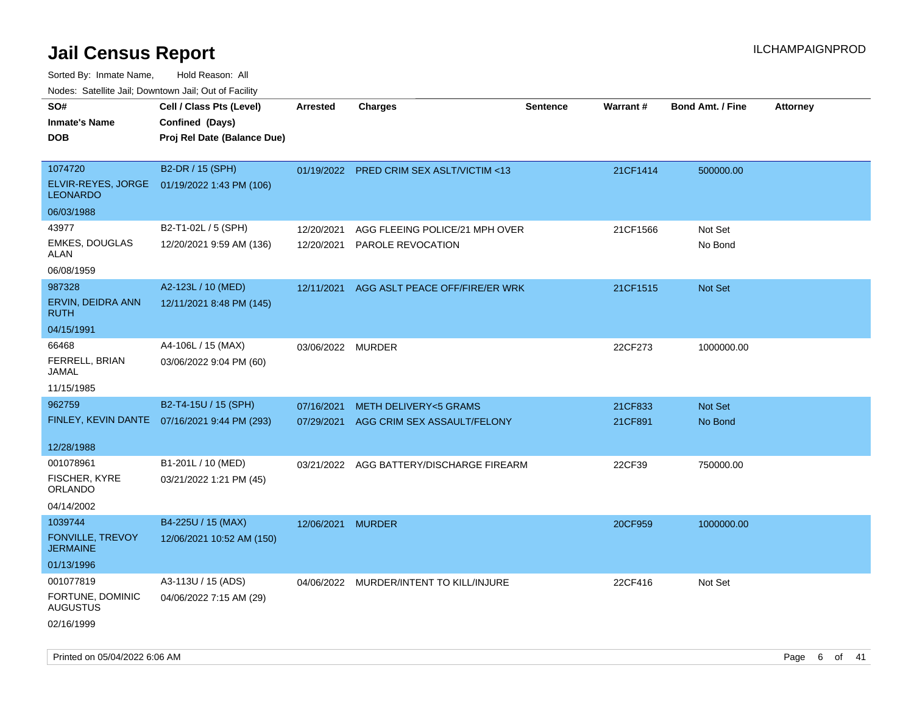Sorted By: Inmate Name, Hold Reason: All

Nodes: Satellite Jail; Downtown Jail; Out of Facility

| SO#<br><b>Inmate's Name</b><br><b>DOB</b>                           | Cell / Class Pts (Level)<br>Confined (Days)<br>Proj Rel Date (Balance Due) | Arrested          | <b>Charges</b>                                                 | <b>Sentence</b> | <b>Warrant#</b> | <b>Bond Amt. / Fine</b> | <b>Attorney</b> |
|---------------------------------------------------------------------|----------------------------------------------------------------------------|-------------------|----------------------------------------------------------------|-----------------|-----------------|-------------------------|-----------------|
| 1074720<br>ELVIR-REYES, JORGE<br><b>LEONARDO</b>                    | B2-DR / 15 (SPH)<br>01/19/2022 1:43 PM (106)                               |                   | 01/19/2022 PRED CRIM SEX ASLT/VICTIM <13                       |                 | 21CF1414        | 500000.00               |                 |
| 06/03/1988<br>43977                                                 | B2-T1-02L / 5 (SPH)                                                        |                   |                                                                |                 |                 |                         |                 |
| <b>EMKES, DOUGLAS</b><br><b>ALAN</b>                                | 12/20/2021 9:59 AM (136)                                                   | 12/20/2021        | AGG FLEEING POLICE/21 MPH OVER<br>12/20/2021 PAROLE REVOCATION |                 | 21CF1566        | Not Set<br>No Bond      |                 |
| 06/08/1959<br>987328                                                | A2-123L / 10 (MED)                                                         | 12/11/2021        | AGG ASLT PEACE OFF/FIRE/ER WRK                                 |                 | 21CF1515        | Not Set                 |                 |
| ERVIN, DEIDRA ANN<br><b>RUTH</b>                                    | 12/11/2021 8:48 PM (145)                                                   |                   |                                                                |                 |                 |                         |                 |
| 04/15/1991                                                          |                                                                            |                   |                                                                |                 |                 |                         |                 |
| 66468<br>FERRELL, BRIAN<br><b>JAMAL</b>                             | A4-106L / 15 (MAX)<br>03/06/2022 9:04 PM (60)                              | 03/06/2022 MURDER |                                                                |                 | 22CF273         | 1000000.00              |                 |
| 11/15/1985                                                          |                                                                            |                   |                                                                |                 |                 |                         |                 |
| 962759                                                              | B2-T4-15U / 15 (SPH)                                                       | 07/16/2021        | <b>METH DELIVERY&lt;5 GRAMS</b>                                |                 | 21CF833         | Not Set                 |                 |
| 12/28/1988                                                          | FINLEY, KEVIN DANTE  07/16/2021 9:44 PM (293)                              | 07/29/2021        | AGG CRIM SEX ASSAULT/FELONY                                    |                 | 21CF891         | No Bond                 |                 |
| 001078961<br>FISCHER, KYRE<br><b>ORLANDO</b><br>04/14/2002          | B1-201L / 10 (MED)<br>03/21/2022 1:21 PM (45)                              |                   | 03/21/2022 AGG BATTERY/DISCHARGE FIREARM                       |                 | 22CF39          | 750000.00               |                 |
| 1039744<br><b>FONVILLE, TREVOY</b><br><b>JERMAINE</b><br>01/13/1996 | B4-225U / 15 (MAX)<br>12/06/2021 10:52 AM (150)                            | 12/06/2021 MURDER |                                                                |                 | 20CF959         | 1000000.00              |                 |
| 001077819<br>FORTUNE, DOMINIC<br><b>AUGUSTUS</b><br>02/16/1999      | A3-113U / 15 (ADS)<br>04/06/2022 7:15 AM (29)                              |                   | 04/06/2022 MURDER/INTENT TO KILL/INJURE                        |                 | 22CF416         | Not Set                 |                 |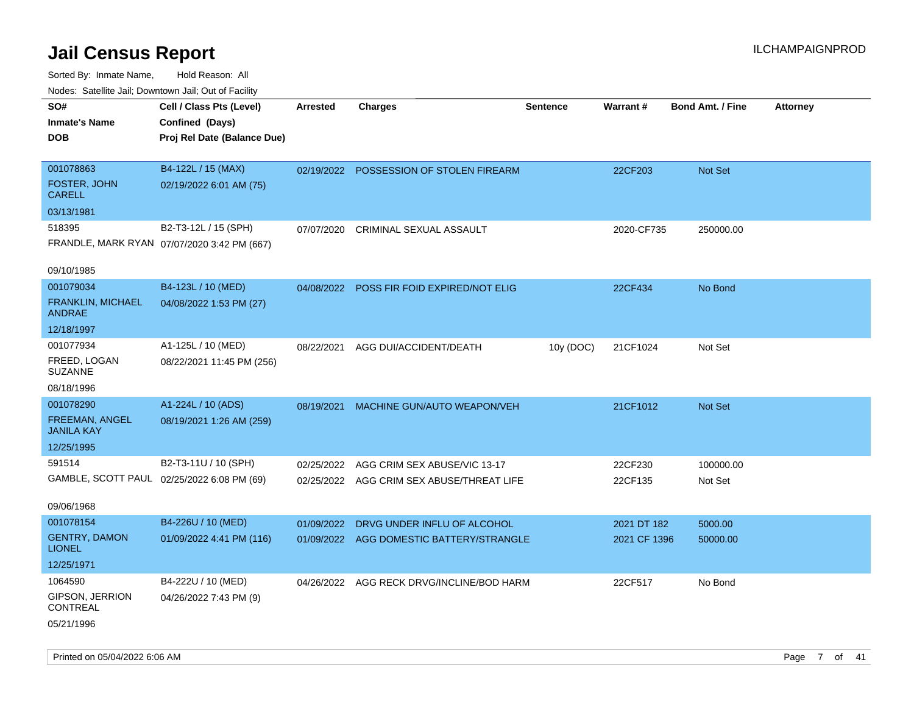| Noues. Salenne Jan, Downtown Jan, Out of Facility |                                             |            |                                           |                 |                 |                         |                 |
|---------------------------------------------------|---------------------------------------------|------------|-------------------------------------------|-----------------|-----------------|-------------------------|-----------------|
| SO#                                               | Cell / Class Pts (Level)                    | Arrested   | <b>Charges</b>                            | <b>Sentence</b> | <b>Warrant#</b> | <b>Bond Amt. / Fine</b> | <b>Attorney</b> |
| <b>Inmate's Name</b>                              | Confined (Days)                             |            |                                           |                 |                 |                         |                 |
| <b>DOB</b>                                        | Proj Rel Date (Balance Due)                 |            |                                           |                 |                 |                         |                 |
|                                                   |                                             |            |                                           |                 |                 |                         |                 |
| 001078863                                         | B4-122L / 15 (MAX)                          | 02/19/2022 | POSSESSION OF STOLEN FIREARM              |                 | 22CF203         | <b>Not Set</b>          |                 |
| FOSTER, JOHN<br><b>CARELL</b>                     | 02/19/2022 6:01 AM (75)                     |            |                                           |                 |                 |                         |                 |
| 03/13/1981                                        |                                             |            |                                           |                 |                 |                         |                 |
| 518395                                            | B2-T3-12L / 15 (SPH)                        | 07/07/2020 | CRIMINAL SEXUAL ASSAULT                   |                 | 2020-CF735      | 250000.00               |                 |
|                                                   | FRANDLE, MARK RYAN 07/07/2020 3:42 PM (667) |            |                                           |                 |                 |                         |                 |
| 09/10/1985                                        |                                             |            |                                           |                 |                 |                         |                 |
| 001079034                                         | B4-123L / 10 (MED)                          | 04/08/2022 | POSS FIR FOID EXPIRED/NOT ELIG            |                 | 22CF434         | No Bond                 |                 |
| FRANKLIN, MICHAEL<br><b>ANDRAE</b>                | 04/08/2022 1:53 PM (27)                     |            |                                           |                 |                 |                         |                 |
| 12/18/1997                                        |                                             |            |                                           |                 |                 |                         |                 |
| 001077934                                         | A1-125L / 10 (MED)                          | 08/22/2021 | AGG DUI/ACCIDENT/DEATH                    | 10y (DOC)       | 21CF1024        | Not Set                 |                 |
| FREED, LOGAN<br><b>SUZANNE</b>                    | 08/22/2021 11:45 PM (256)                   |            |                                           |                 |                 |                         |                 |
| 08/18/1996                                        |                                             |            |                                           |                 |                 |                         |                 |
| 001078290                                         | A1-224L / 10 (ADS)                          | 08/19/2021 | MACHINE GUN/AUTO WEAPON/VEH               |                 | 21CF1012        | <b>Not Set</b>          |                 |
| FREEMAN, ANGEL<br><b>JANILA KAY</b>               | 08/19/2021 1:26 AM (259)                    |            |                                           |                 |                 |                         |                 |
| 12/25/1995                                        |                                             |            |                                           |                 |                 |                         |                 |
| 591514                                            | B2-T3-11U / 10 (SPH)                        | 02/25/2022 | AGG CRIM SEX ABUSE/VIC 13-17              |                 | 22CF230         | 100000.00               |                 |
|                                                   | GAMBLE, SCOTT PAUL 02/25/2022 6:08 PM (69)  |            | 02/25/2022 AGG CRIM SEX ABUSE/THREAT LIFE |                 | 22CF135         | Not Set                 |                 |
|                                                   |                                             |            |                                           |                 |                 |                         |                 |
| 09/06/1968                                        |                                             |            |                                           |                 |                 |                         |                 |
| 001078154                                         | B4-226U / 10 (MED)                          | 01/09/2022 | DRVG UNDER INFLU OF ALCOHOL               |                 | 2021 DT 182     | 5000.00                 |                 |
| <b>GENTRY, DAMON</b><br><b>LIONEL</b>             | 01/09/2022 4:41 PM (116)                    | 01/09/2022 | AGG DOMESTIC BATTERY/STRANGLE             |                 | 2021 CF 1396    | 50000.00                |                 |
| 12/25/1971                                        |                                             |            |                                           |                 |                 |                         |                 |
| 1064590                                           | B4-222U / 10 (MED)                          |            | 04/26/2022 AGG RECK DRVG/INCLINE/BOD HARM |                 | 22CF517         | No Bond                 |                 |
| GIPSON, JERRION<br>CONTREAL                       | 04/26/2022 7:43 PM (9)                      |            |                                           |                 |                 |                         |                 |
| 05/21/1996                                        |                                             |            |                                           |                 |                 |                         |                 |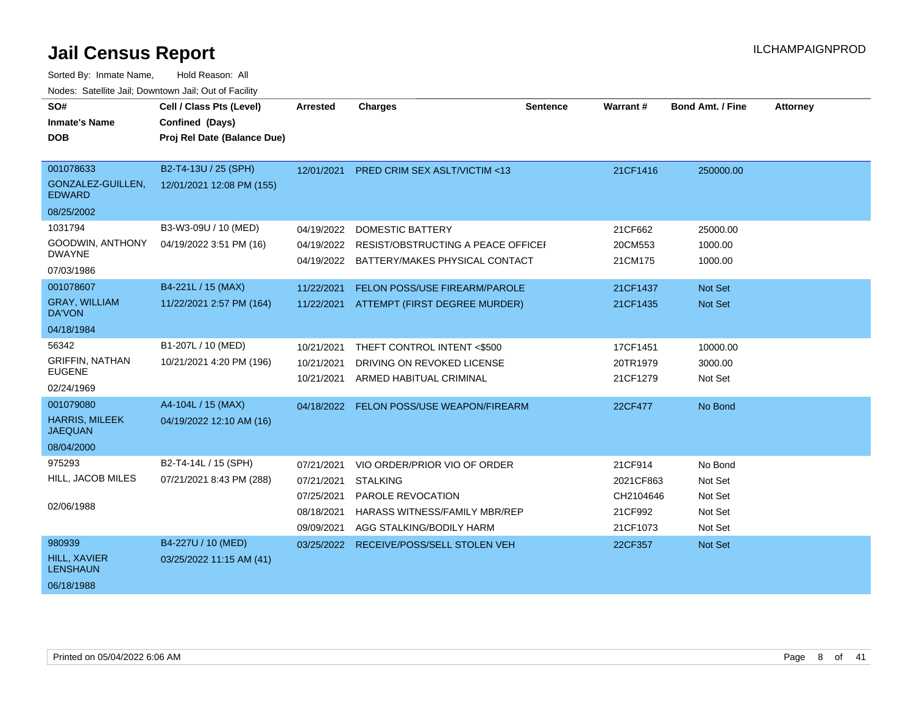| SO#<br><b>Inmate's Name</b><br><b>DOB</b>                          | Cell / Class Pts (Level)<br>Confined (Days)<br>Proj Rel Date (Balance Due) | <b>Arrested</b>                                                    | <b>Charges</b>                                                                                                                           | <b>Sentence</b> | <b>Warrant#</b>                                          | <b>Bond Amt. / Fine</b>                             | <b>Attorney</b> |
|--------------------------------------------------------------------|----------------------------------------------------------------------------|--------------------------------------------------------------------|------------------------------------------------------------------------------------------------------------------------------------------|-----------------|----------------------------------------------------------|-----------------------------------------------------|-----------------|
| 001078633<br>GONZALEZ-GUILLEN,<br><b>EDWARD</b><br>08/25/2002      | B2-T4-13U / 25 (SPH)<br>12/01/2021 12:08 PM (155)                          | 12/01/2021                                                         | <b>PRED CRIM SEX ASLT/VICTIM &lt;13</b>                                                                                                  |                 | 21CF1416                                                 | 250000.00                                           |                 |
| 1031794<br>GOODWIN, ANTHONY<br><b>DWAYNE</b><br>07/03/1986         | B3-W3-09U / 10 (MED)<br>04/19/2022 3:51 PM (16)                            | 04/19/2022<br>04/19/2022<br>04/19/2022                             | <b>DOMESTIC BATTERY</b><br>RESIST/OBSTRUCTING A PEACE OFFICEL<br>BATTERY/MAKES PHYSICAL CONTACT                                          |                 | 21CF662<br>20CM553<br>21CM175                            | 25000.00<br>1000.00<br>1000.00                      |                 |
| 001078607<br><b>GRAY, WILLIAM</b><br><b>DA'VON</b><br>04/18/1984   | B4-221L / 15 (MAX)<br>11/22/2021 2:57 PM (164)                             | 11/22/2021<br>11/22/2021                                           | FELON POSS/USE FIREARM/PAROLE<br>ATTEMPT (FIRST DEGREE MURDER)                                                                           |                 | 21CF1437<br>21CF1435                                     | <b>Not Set</b><br>Not Set                           |                 |
| 56342<br><b>GRIFFIN, NATHAN</b><br><b>EUGENE</b><br>02/24/1969     | B1-207L / 10 (MED)<br>10/21/2021 4:20 PM (196)                             | 10/21/2021<br>10/21/2021<br>10/21/2021                             | THEFT CONTROL INTENT <\$500<br>DRIVING ON REVOKED LICENSE<br>ARMED HABITUAL CRIMINAL                                                     |                 | 17CF1451<br>20TR1979<br>21CF1279                         | 10000.00<br>3000.00<br>Not Set                      |                 |
| 001079080<br><b>HARRIS, MILEEK</b><br><b>JAEQUAN</b><br>08/04/2000 | A4-104L / 15 (MAX)<br>04/19/2022 12:10 AM (16)                             | 04/18/2022                                                         | FELON POSS/USE WEAPON/FIREARM                                                                                                            |                 | 22CF477                                                  | No Bond                                             |                 |
| 975293<br>HILL, JACOB MILES<br>02/06/1988                          | B2-T4-14L / 15 (SPH)<br>07/21/2021 8:43 PM (288)                           | 07/21/2021<br>07/21/2021<br>07/25/2021<br>08/18/2021<br>09/09/2021 | VIO ORDER/PRIOR VIO OF ORDER<br><b>STALKING</b><br>PAROLE REVOCATION<br><b>HARASS WITNESS/FAMILY MBR/REP</b><br>AGG STALKING/BODILY HARM |                 | 21CF914<br>2021CF863<br>CH2104646<br>21CF992<br>21CF1073 | No Bond<br>Not Set<br>Not Set<br>Not Set<br>Not Set |                 |
| 980939<br><b>HILL, XAVIER</b><br><b>LENSHAUN</b><br>06/18/1988     | B4-227U / 10 (MED)<br>03/25/2022 11:15 AM (41)                             | 03/25/2022                                                         | RECEIVE/POSS/SELL STOLEN VEH                                                                                                             |                 | 22CF357                                                  | <b>Not Set</b>                                      |                 |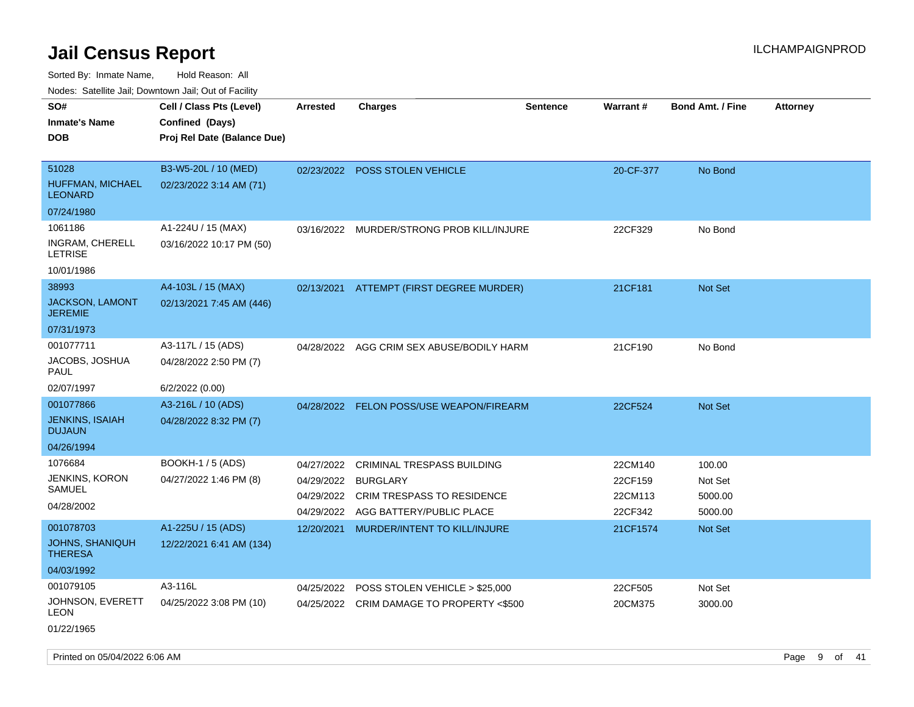| roaco. Oatomto dan, Downtown dan, Oat or Fability |                             |                 |                                           |                 |           |                         |                 |
|---------------------------------------------------|-----------------------------|-----------------|-------------------------------------------|-----------------|-----------|-------------------------|-----------------|
| SO#                                               | Cell / Class Pts (Level)    | <b>Arrested</b> | <b>Charges</b>                            | <b>Sentence</b> | Warrant#  | <b>Bond Amt. / Fine</b> | <b>Attorney</b> |
| <b>Inmate's Name</b>                              | Confined (Days)             |                 |                                           |                 |           |                         |                 |
| <b>DOB</b>                                        | Proj Rel Date (Balance Due) |                 |                                           |                 |           |                         |                 |
|                                                   |                             |                 |                                           |                 |           |                         |                 |
| 51028                                             | B3-W5-20L / 10 (MED)        |                 | 02/23/2022 POSS STOLEN VEHICLE            |                 | 20-CF-377 | No Bond                 |                 |
| HUFFMAN, MICHAEL<br><b>LEONARD</b>                | 02/23/2022 3:14 AM (71)     |                 |                                           |                 |           |                         |                 |
| 07/24/1980                                        |                             |                 |                                           |                 |           |                         |                 |
| 1061186                                           | A1-224U / 15 (MAX)          | 03/16/2022      | MURDER/STRONG PROB KILL/INJURE            |                 | 22CF329   | No Bond                 |                 |
| INGRAM, CHERELL<br><b>LETRISE</b>                 | 03/16/2022 10:17 PM (50)    |                 |                                           |                 |           |                         |                 |
| 10/01/1986                                        |                             |                 |                                           |                 |           |                         |                 |
| 38993                                             | A4-103L / 15 (MAX)          | 02/13/2021      | ATTEMPT (FIRST DEGREE MURDER)             |                 | 21CF181   | Not Set                 |                 |
| JACKSON, LAMONT<br><b>JEREMIE</b>                 | 02/13/2021 7:45 AM (446)    |                 |                                           |                 |           |                         |                 |
| 07/31/1973                                        |                             |                 |                                           |                 |           |                         |                 |
| 001077711                                         | A3-117L / 15 (ADS)          | 04/28/2022      | AGG CRIM SEX ABUSE/BODILY HARM            |                 | 21CF190   | No Bond                 |                 |
| JACOBS, JOSHUA<br>PAUL                            | 04/28/2022 2:50 PM (7)      |                 |                                           |                 |           |                         |                 |
| 02/07/1997                                        | 6/2/2022 (0.00)             |                 |                                           |                 |           |                         |                 |
| 001077866                                         | A3-216L / 10 (ADS)          |                 | 04/28/2022 FELON POSS/USE WEAPON/FIREARM  |                 | 22CF524   | <b>Not Set</b>          |                 |
| <b>JENKINS, ISAIAH</b><br><b>DUJAUN</b>           | 04/28/2022 8:32 PM (7)      |                 |                                           |                 |           |                         |                 |
| 04/26/1994                                        |                             |                 |                                           |                 |           |                         |                 |
| 1076684                                           | <b>BOOKH-1/5 (ADS)</b>      | 04/27/2022      | CRIMINAL TRESPASS BUILDING                |                 | 22CM140   | 100.00                  |                 |
| JENKINS, KORON                                    | 04/27/2022 1:46 PM (8)      | 04/29/2022      | <b>BURGLARY</b>                           |                 | 22CF159   | Not Set                 |                 |
| SAMUEL                                            |                             | 04/29/2022      | <b>CRIM TRESPASS TO RESIDENCE</b>         |                 | 22CM113   | 5000.00                 |                 |
| 04/28/2002                                        |                             | 04/29/2022      | AGG BATTERY/PUBLIC PLACE                  |                 | 22CF342   | 5000.00                 |                 |
| 001078703                                         | A1-225U / 15 (ADS)          | 12/20/2021      | MURDER/INTENT TO KILL/INJURE              |                 | 21CF1574  | <b>Not Set</b>          |                 |
| <b>JOHNS, SHANIQUH</b><br><b>THERESA</b>          | 12/22/2021 6:41 AM (134)    |                 |                                           |                 |           |                         |                 |
| 04/03/1992                                        |                             |                 |                                           |                 |           |                         |                 |
| 001079105                                         | A3-116L                     | 04/25/2022      | POSS STOLEN VEHICLE > \$25,000            |                 | 22CF505   | Not Set                 |                 |
| JOHNSON, EVERETT<br>LEON                          | 04/25/2022 3:08 PM (10)     |                 | 04/25/2022 CRIM DAMAGE TO PROPERTY <\$500 |                 | 20CM375   | 3000.00                 |                 |
| 01/22/1965                                        |                             |                 |                                           |                 |           |                         |                 |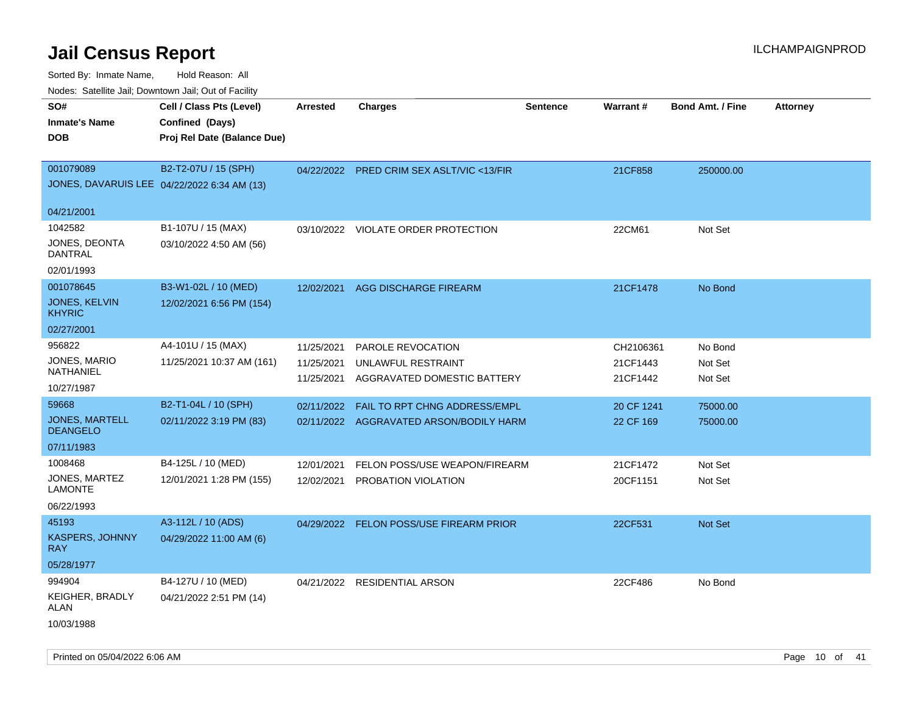| Nodes. Satellite Jali, Downtown Jali, Out of Facility |                             |                 |                                           |                 |            |                         |                 |
|-------------------------------------------------------|-----------------------------|-----------------|-------------------------------------------|-----------------|------------|-------------------------|-----------------|
| SO#                                                   | Cell / Class Pts (Level)    | <b>Arrested</b> | <b>Charges</b>                            | <b>Sentence</b> | Warrant#   | <b>Bond Amt. / Fine</b> | <b>Attorney</b> |
| <b>Inmate's Name</b>                                  | Confined (Days)             |                 |                                           |                 |            |                         |                 |
| <b>DOB</b>                                            | Proj Rel Date (Balance Due) |                 |                                           |                 |            |                         |                 |
|                                                       |                             |                 |                                           |                 |            |                         |                 |
| 001079089                                             | B2-T2-07U / 15 (SPH)        |                 | 04/22/2022 PRED CRIM SEX ASLT/VIC <13/FIR |                 | 21CF858    | 250000.00               |                 |
| JONES, DAVARUIS LEE 04/22/2022 6:34 AM (13)           |                             |                 |                                           |                 |            |                         |                 |
| 04/21/2001                                            |                             |                 |                                           |                 |            |                         |                 |
| 1042582                                               | B1-107U / 15 (MAX)          | 03/10/2022      | VIOLATE ORDER PROTECTION                  |                 | 22CM61     | Not Set                 |                 |
| JONES, DEONTA<br><b>DANTRAL</b>                       | 03/10/2022 4:50 AM (56)     |                 |                                           |                 |            |                         |                 |
| 02/01/1993                                            |                             |                 |                                           |                 |            |                         |                 |
| 001078645                                             | B3-W1-02L / 10 (MED)        | 12/02/2021      | <b>AGG DISCHARGE FIREARM</b>              |                 | 21CF1478   | No Bond                 |                 |
| JONES, KELVIN<br><b>KHYRIC</b>                        | 12/02/2021 6:56 PM (154)    |                 |                                           |                 |            |                         |                 |
| 02/27/2001                                            |                             |                 |                                           |                 |            |                         |                 |
| 956822                                                | A4-101U / 15 (MAX)          | 11/25/2021      | PAROLE REVOCATION                         |                 | CH2106361  | No Bond                 |                 |
| JONES, MARIO                                          | 11/25/2021 10:37 AM (161)   | 11/25/2021      | UNLAWFUL RESTRAINT                        |                 | 21CF1443   | Not Set                 |                 |
| NATHANIEL                                             |                             | 11/25/2021      | AGGRAVATED DOMESTIC BATTERY               |                 | 21CF1442   | Not Set                 |                 |
| 10/27/1987                                            |                             |                 |                                           |                 |            |                         |                 |
| 59668                                                 | B2-T1-04L / 10 (SPH)        | 02/11/2022      | FAIL TO RPT CHNG ADDRESS/EMPL             |                 | 20 CF 1241 | 75000.00                |                 |
| <b>JONES, MARTELL</b><br><b>DEANGELO</b>              | 02/11/2022 3:19 PM (83)     |                 | 02/11/2022 AGGRAVATED ARSON/BODILY HARM   |                 | 22 CF 169  | 75000.00                |                 |
| 07/11/1983                                            |                             |                 |                                           |                 |            |                         |                 |
| 1008468                                               | B4-125L / 10 (MED)          | 12/01/2021      | FELON POSS/USE WEAPON/FIREARM             |                 | 21CF1472   | Not Set                 |                 |
| JONES, MARTEZ<br><b>LAMONTE</b>                       | 12/01/2021 1:28 PM (155)    | 12/02/2021      | PROBATION VIOLATION                       |                 | 20CF1151   | Not Set                 |                 |
| 06/22/1993                                            |                             |                 |                                           |                 |            |                         |                 |
| 45193                                                 | A3-112L / 10 (ADS)          |                 | 04/29/2022 FELON POSS/USE FIREARM PRIOR   |                 | 22CF531    | <b>Not Set</b>          |                 |
| <b>KASPERS, JOHNNY</b><br><b>RAY</b>                  | 04/29/2022 11:00 AM (6)     |                 |                                           |                 |            |                         |                 |
| 05/28/1977                                            |                             |                 |                                           |                 |            |                         |                 |
| 994904                                                | B4-127U / 10 (MED)          |                 | 04/21/2022 RESIDENTIAL ARSON              |                 | 22CF486    | No Bond                 |                 |
| KEIGHER, BRADLY<br>ALAN                               | 04/21/2022 2:51 PM (14)     |                 |                                           |                 |            |                         |                 |
| 10/03/1988                                            |                             |                 |                                           |                 |            |                         |                 |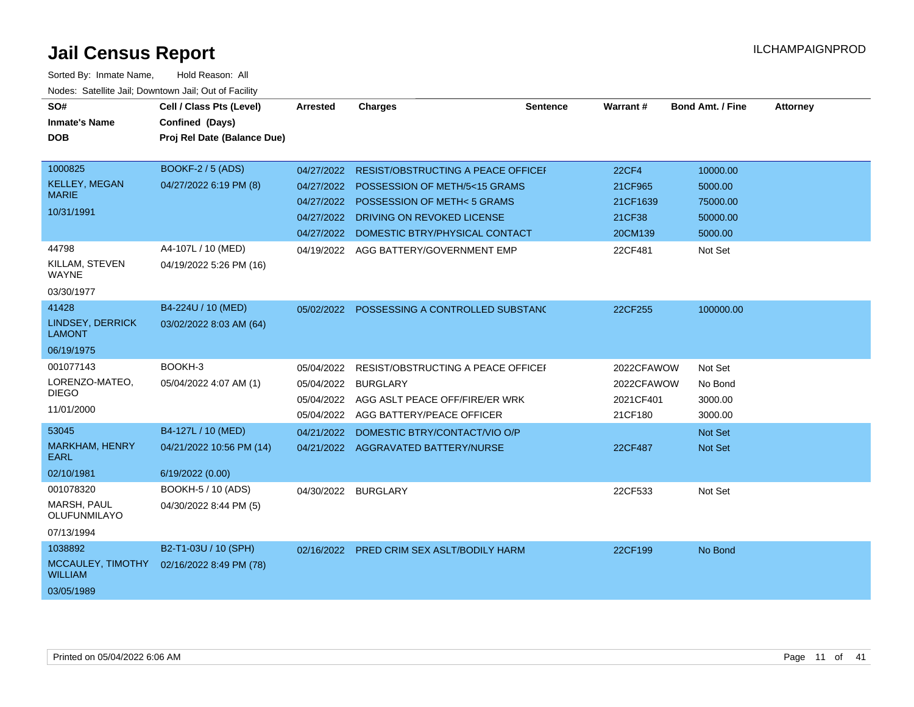| SO#<br><b>Inmate's Name</b><br>DOB                            | Cell / Class Pts (Level)<br>Confined (Days)<br>Proj Rel Date (Balance Due) | <b>Arrested</b>                                                    | <b>Charges</b>                                                                                                                                                    | Sentence | Warrant#                                                 | <b>Bond Amt. / Fine</b>                                | <b>Attorney</b> |
|---------------------------------------------------------------|----------------------------------------------------------------------------|--------------------------------------------------------------------|-------------------------------------------------------------------------------------------------------------------------------------------------------------------|----------|----------------------------------------------------------|--------------------------------------------------------|-----------------|
| 1000825<br><b>KELLEY, MEGAN</b><br><b>MARIE</b><br>10/31/1991 | <b>BOOKF-2 / 5 (ADS)</b><br>04/27/2022 6:19 PM (8)                         | 04/27/2022<br>04/27/2022<br>04/27/2022<br>04/27/2022<br>04/27/2022 | RESIST/OBSTRUCTING A PEACE OFFICEI<br>POSSESSION OF METH/5<15 GRAMS<br>POSSESSION OF METH<5 GRAMS<br>DRIVING ON REVOKED LICENSE<br>DOMESTIC BTRY/PHYSICAL CONTACT |          | <b>22CF4</b><br>21CF965<br>21CF1639<br>21CF38<br>20CM139 | 10000.00<br>5000.00<br>75000.00<br>50000.00<br>5000.00 |                 |
| 44798<br>KILLAM, STEVEN<br>WAYNE<br>03/30/1977                | A4-107L / 10 (MED)<br>04/19/2022 5:26 PM (16)                              | 04/19/2022                                                         | AGG BATTERY/GOVERNMENT EMP                                                                                                                                        |          | 22CF481                                                  | Not Set                                                |                 |
| 41428<br>LINDSEY, DERRICK<br><b>LAMONT</b><br>06/19/1975      | B4-224U / 10 (MED)<br>03/02/2022 8:03 AM (64)                              |                                                                    | 05/02/2022 POSSESSING A CONTROLLED SUBSTANC                                                                                                                       |          | 22CF255                                                  | 100000.00                                              |                 |
| 001077143<br>LORENZO-MATEO,<br><b>DIEGO</b><br>11/01/2000     | BOOKH-3<br>05/04/2022 4:07 AM (1)                                          | 05/04/2022<br>05/04/2022<br>05/04/2022<br>05/04/2022               | RESIST/OBSTRUCTING A PEACE OFFICEI<br><b>BURGLARY</b><br>AGG ASLT PEACE OFF/FIRE/ER WRK<br>AGG BATTERY/PEACE OFFICER                                              |          | 2022CFAWOW<br>2022CFAWOW<br>2021CF401<br>21CF180         | Not Set<br>No Bond<br>3000.00<br>3000.00               |                 |
| 53045<br><b>MARKHAM, HENRY</b><br>EARL<br>02/10/1981          | B4-127L / 10 (MED)<br>04/21/2022 10:56 PM (14)<br>6/19/2022 (0.00)         | 04/21/2022                                                         | DOMESTIC BTRY/CONTACT/VIO O/P<br>04/21/2022 AGGRAVATED BATTERY/NURSE                                                                                              |          | 22CF487                                                  | <b>Not Set</b><br><b>Not Set</b>                       |                 |
| 001078320<br><b>MARSH, PAUL</b><br>OLUFUNMILAYO<br>07/13/1994 | BOOKH-5 / 10 (ADS)<br>04/30/2022 8:44 PM (5)                               | 04/30/2022                                                         | <b>BURGLARY</b>                                                                                                                                                   |          | 22CF533                                                  | Not Set                                                |                 |
| 1038892<br>MCCAULEY, TIMOTHY<br><b>WILLIAM</b><br>03/05/1989  | B2-T1-03U / 10 (SPH)<br>02/16/2022 8:49 PM (78)                            |                                                                    | 02/16/2022 PRED CRIM SEX ASLT/BODILY HARM                                                                                                                         |          | 22CF199                                                  | No Bond                                                |                 |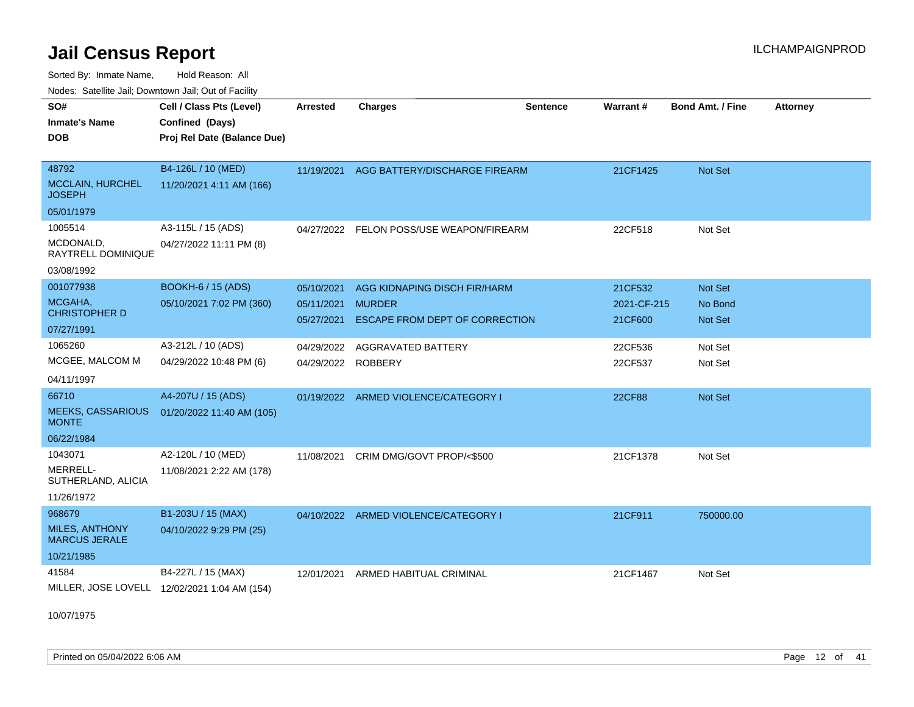Sorted By: Inmate Name, Hold Reason: All Nodes: Satellite Jail; Downtown Jail; Out of Facility

| <u>Houcs.</u> Oatchite Jail, Downtown Jail, Out of Facility |                                              |                 |                                          |                 |               |                         |                 |
|-------------------------------------------------------------|----------------------------------------------|-----------------|------------------------------------------|-----------------|---------------|-------------------------|-----------------|
| SO#                                                         | Cell / Class Pts (Level)                     | <b>Arrested</b> | <b>Charges</b>                           | <b>Sentence</b> | Warrant#      | <b>Bond Amt. / Fine</b> | <b>Attorney</b> |
| <b>Inmate's Name</b>                                        | Confined (Days)                              |                 |                                          |                 |               |                         |                 |
| <b>DOB</b>                                                  | Proj Rel Date (Balance Due)                  |                 |                                          |                 |               |                         |                 |
|                                                             |                                              |                 |                                          |                 |               |                         |                 |
| 48792                                                       | B4-126L / 10 (MED)                           | 11/19/2021      | AGG BATTERY/DISCHARGE FIREARM            |                 | 21CF1425      | <b>Not Set</b>          |                 |
| <b>MCCLAIN, HURCHEL</b><br><b>JOSEPH</b>                    | 11/20/2021 4:11 AM (166)                     |                 |                                          |                 |               |                         |                 |
| 05/01/1979                                                  |                                              |                 |                                          |                 |               |                         |                 |
| 1005514                                                     | A3-115L / 15 (ADS)                           |                 | 04/27/2022 FELON POSS/USE WEAPON/FIREARM |                 | 22CF518       | Not Set                 |                 |
| MCDONALD,<br>RAYTRELL DOMINIQUE                             | 04/27/2022 11:11 PM (8)                      |                 |                                          |                 |               |                         |                 |
| 03/08/1992                                                  |                                              |                 |                                          |                 |               |                         |                 |
| 001077938                                                   | <b>BOOKH-6 / 15 (ADS)</b>                    | 05/10/2021      | AGG KIDNAPING DISCH FIR/HARM             |                 | 21CF532       | <b>Not Set</b>          |                 |
| MCGAHA,<br><b>CHRISTOPHER D</b>                             | 05/10/2021 7:02 PM (360)                     | 05/11/2021      | <b>MURDER</b>                            |                 | 2021-CF-215   | No Bond                 |                 |
| 07/27/1991                                                  |                                              | 05/27/2021      | <b>ESCAPE FROM DEPT OF CORRECTION</b>    |                 | 21CF600       | <b>Not Set</b>          |                 |
| 1065260                                                     | A3-212L / 10 (ADS)                           | 04/29/2022      | AGGRAVATED BATTERY                       |                 | 22CF536       | Not Set                 |                 |
| MCGEE, MALCOM M                                             | 04/29/2022 10:48 PM (6)                      | 04/29/2022      | <b>ROBBERY</b>                           |                 | 22CF537       | Not Set                 |                 |
| 04/11/1997                                                  |                                              |                 |                                          |                 |               |                         |                 |
| 66710                                                       | A4-207U / 15 (ADS)                           |                 | 01/19/2022 ARMED VIOLENCE/CATEGORY I     |                 | <b>22CF88</b> | <b>Not Set</b>          |                 |
| <b>MEEKS, CASSARIOUS</b><br><b>MONTE</b>                    | 01/20/2022 11:40 AM (105)                    |                 |                                          |                 |               |                         |                 |
| 06/22/1984                                                  |                                              |                 |                                          |                 |               |                         |                 |
| 1043071                                                     | A2-120L / 10 (MED)                           | 11/08/2021      | CRIM DMG/GOVT PROP/<\$500                |                 | 21CF1378      | Not Set                 |                 |
| <b>MERRELL-</b><br>SUTHERLAND, ALICIA                       | 11/08/2021 2:22 AM (178)                     |                 |                                          |                 |               |                         |                 |
| 11/26/1972                                                  |                                              |                 |                                          |                 |               |                         |                 |
| 968679                                                      | B1-203U / 15 (MAX)                           |                 | 04/10/2022 ARMED VIOLENCE/CATEGORY I     |                 | 21CF911       | 750000.00               |                 |
| <b>MILES, ANTHONY</b><br><b>MARCUS JERALE</b>               | 04/10/2022 9:29 PM (25)                      |                 |                                          |                 |               |                         |                 |
| 10/21/1985                                                  |                                              |                 |                                          |                 |               |                         |                 |
| 41584                                                       | B4-227L / 15 (MAX)                           | 12/01/2021      | ARMED HABITUAL CRIMINAL                  |                 | 21CF1467      | Not Set                 |                 |
|                                                             | MILLER, JOSE LOVELL 12/02/2021 1:04 AM (154) |                 |                                          |                 |               |                         |                 |

10/07/1975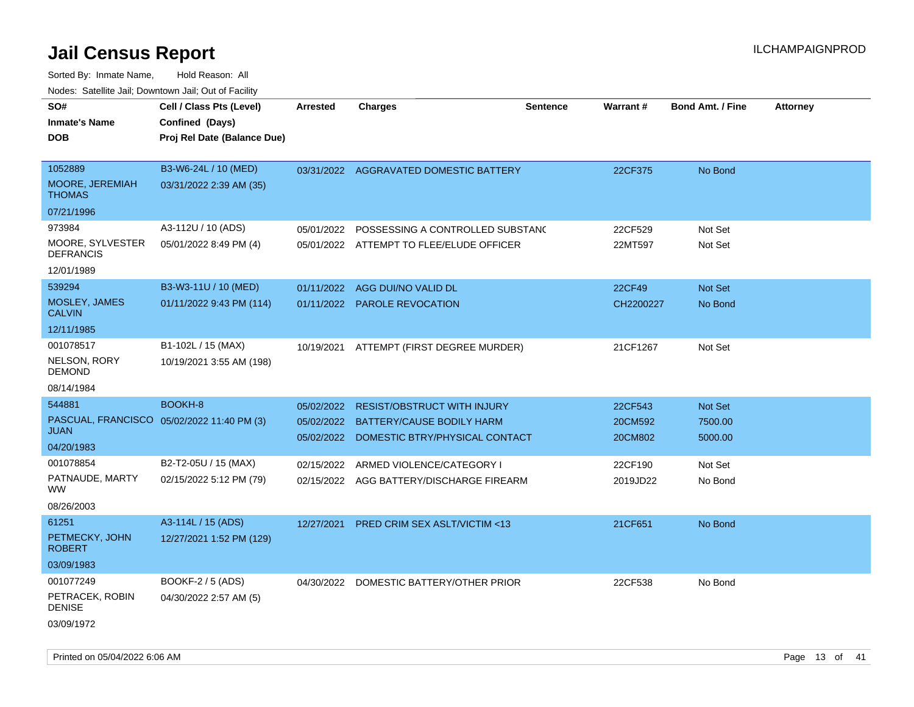| SO#<br><b>Inmate's Name</b><br><b>DOB</b>                 | Cell / Class Pts (Level)<br>Confined (Days)<br>Proj Rel Date (Balance Due) | <b>Arrested</b>          | <b>Charges</b>                                                               | <b>Sentence</b> | Warrant#            | <b>Bond Amt. / Fine</b>   | <b>Attorney</b> |
|-----------------------------------------------------------|----------------------------------------------------------------------------|--------------------------|------------------------------------------------------------------------------|-----------------|---------------------|---------------------------|-----------------|
| 1052889<br>MOORE, JEREMIAH<br><b>THOMAS</b>               | B3-W6-24L / 10 (MED)<br>03/31/2022 2:39 AM (35)                            |                          | 03/31/2022 AGGRAVATED DOMESTIC BATTERY                                       |                 | 22CF375             | No Bond                   |                 |
| 07/21/1996                                                |                                                                            |                          |                                                                              |                 |                     |                           |                 |
| 973984<br>MOORE, SYLVESTER<br><b>DEFRANCIS</b>            | A3-112U / 10 (ADS)<br>05/01/2022 8:49 PM (4)                               | 05/01/2022               | POSSESSING A CONTROLLED SUBSTANC<br>05/01/2022 ATTEMPT TO FLEE/ELUDE OFFICER |                 | 22CF529<br>22MT597  | Not Set<br>Not Set        |                 |
| 12/01/1989                                                |                                                                            |                          |                                                                              |                 |                     |                           |                 |
| 539294<br>MOSLEY, JAMES<br><b>CALVIN</b>                  | B3-W3-11U / 10 (MED)<br>01/11/2022 9:43 PM (114)                           | 01/11/2022               | AGG DUI/NO VALID DL<br>01/11/2022 PAROLE REVOCATION                          |                 | 22CF49<br>CH2200227 | <b>Not Set</b><br>No Bond |                 |
| 12/11/1985                                                |                                                                            |                          |                                                                              |                 |                     |                           |                 |
| 001078517<br>NELSON, RORY<br><b>DEMOND</b>                | B1-102L / 15 (MAX)<br>10/19/2021 3:55 AM (198)                             |                          | 10/19/2021 ATTEMPT (FIRST DEGREE MURDER)                                     |                 | 21CF1267            | Not Set                   |                 |
| 08/14/1984                                                |                                                                            |                          |                                                                              |                 |                     |                           |                 |
| 544881                                                    | BOOKH-8                                                                    | 05/02/2022               | <b>RESIST/OBSTRUCT WITH INJURY</b>                                           |                 | 22CF543             | <b>Not Set</b>            |                 |
| PASCUAL, FRANCISCO 05/02/2022 11:40 PM (3)<br><b>JUAN</b> |                                                                            | 05/02/2022<br>05/02/2022 | BATTERY/CAUSE BODILY HARM<br>DOMESTIC BTRY/PHYSICAL CONTACT                  |                 | 20CM592<br>20CM802  | 7500.00<br>5000.00        |                 |
| 04/20/1983                                                |                                                                            |                          |                                                                              |                 |                     |                           |                 |
| 001078854                                                 | B2-T2-05U / 15 (MAX)                                                       | 02/15/2022               | ARMED VIOLENCE/CATEGORY I                                                    |                 | 22CF190             | Not Set                   |                 |
| PATNAUDE, MARTY<br>WW.                                    | 02/15/2022 5:12 PM (79)                                                    |                          | 02/15/2022 AGG BATTERY/DISCHARGE FIREARM                                     |                 | 2019JD22            | No Bond                   |                 |
| 08/26/2003                                                |                                                                            |                          |                                                                              |                 |                     |                           |                 |
| 61251<br>PETMECKY, JOHN<br><b>ROBERT</b>                  | A3-114L / 15 (ADS)<br>12/27/2021 1:52 PM (129)                             | 12/27/2021               | <b>PRED CRIM SEX ASLT/VICTIM &lt;13</b>                                      |                 | 21CF651             | No Bond                   |                 |
| 03/09/1983                                                |                                                                            |                          |                                                                              |                 |                     |                           |                 |
| 001077249<br>PETRACEK, ROBIN<br><b>DENISE</b>             | BOOKF-2 / 5 (ADS)<br>04/30/2022 2:57 AM (5)                                | 04/30/2022               | DOMESTIC BATTERY/OTHER PRIOR                                                 |                 | 22CF538             | No Bond                   |                 |
| 03/09/1972                                                |                                                                            |                          |                                                                              |                 |                     |                           |                 |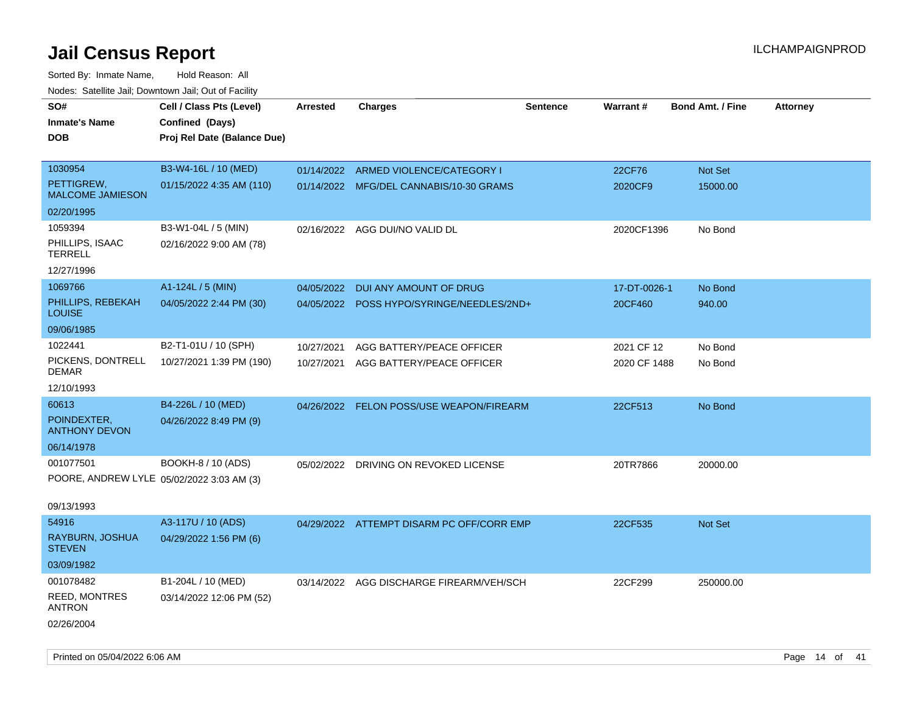| Todoo. Catolino can, Bomnomi can, Cat of Faoint<br>SO# | Cell / Class Pts (Level)                  | <b>Arrested</b> | <b>Charges</b>                            | <b>Sentence</b> | Warrant#     | <b>Bond Amt. / Fine</b> | <b>Attorney</b> |
|--------------------------------------------------------|-------------------------------------------|-----------------|-------------------------------------------|-----------------|--------------|-------------------------|-----------------|
| <b>Inmate's Name</b>                                   | Confined (Days)                           |                 |                                           |                 |              |                         |                 |
| <b>DOB</b>                                             | Proj Rel Date (Balance Due)               |                 |                                           |                 |              |                         |                 |
| 1030954                                                | B3-W4-16L / 10 (MED)                      |                 | 01/14/2022 ARMED VIOLENCE/CATEGORY I      |                 | 22CF76       | Not Set                 |                 |
| PETTIGREW,                                             | 01/15/2022 4:35 AM (110)                  |                 | 01/14/2022 MFG/DEL CANNABIS/10-30 GRAMS   |                 | 2020CF9      | 15000.00                |                 |
| <b>MALCOME JAMIESON</b>                                |                                           |                 |                                           |                 |              |                         |                 |
| 02/20/1995                                             |                                           |                 |                                           |                 |              |                         |                 |
| 1059394                                                | B3-W1-04L / 5 (MIN)                       | 02/16/2022      | AGG DUI/NO VALID DL                       |                 | 2020CF1396   | No Bond                 |                 |
| PHILLIPS, ISAAC<br><b>TERRELL</b>                      | 02/16/2022 9:00 AM (78)                   |                 |                                           |                 |              |                         |                 |
| 12/27/1996                                             |                                           |                 |                                           |                 |              |                         |                 |
| 1069766                                                | A1-124L / 5 (MIN)                         | 04/05/2022      | DUI ANY AMOUNT OF DRUG                    |                 | 17-DT-0026-1 | No Bond                 |                 |
| PHILLIPS, REBEKAH<br><b>LOUISE</b>                     | 04/05/2022 2:44 PM (30)                   |                 | 04/05/2022 POSS HYPO/SYRINGE/NEEDLES/2ND+ |                 | 20CF460      | 940.00                  |                 |
| 09/06/1985                                             |                                           |                 |                                           |                 |              |                         |                 |
| 1022441                                                | B2-T1-01U / 10 (SPH)                      | 10/27/2021      | AGG BATTERY/PEACE OFFICER                 |                 | 2021 CF 12   | No Bond                 |                 |
| PICKENS, DONTRELL<br><b>DEMAR</b>                      | 10/27/2021 1:39 PM (190)                  | 10/27/2021      | AGG BATTERY/PEACE OFFICER                 |                 | 2020 CF 1488 | No Bond                 |                 |
| 12/10/1993                                             |                                           |                 |                                           |                 |              |                         |                 |
| 60613                                                  | B4-226L / 10 (MED)                        |                 | 04/26/2022 FELON POSS/USE WEAPON/FIREARM  |                 | 22CF513      | No Bond                 |                 |
| POINDEXTER,<br><b>ANTHONY DEVON</b>                    | 04/26/2022 8:49 PM (9)                    |                 |                                           |                 |              |                         |                 |
| 06/14/1978                                             |                                           |                 |                                           |                 |              |                         |                 |
| 001077501                                              | BOOKH-8 / 10 (ADS)                        | 05/02/2022      | DRIVING ON REVOKED LICENSE                |                 | 20TR7866     | 20000.00                |                 |
|                                                        | POORE, ANDREW LYLE 05/02/2022 3:03 AM (3) |                 |                                           |                 |              |                         |                 |
| 09/13/1993                                             |                                           |                 |                                           |                 |              |                         |                 |
| 54916                                                  | A3-117U / 10 (ADS)                        |                 | 04/29/2022 ATTEMPT DISARM PC OFF/CORR EMP |                 | 22CF535      | Not Set                 |                 |
| RAYBURN, JOSHUA                                        | 04/29/2022 1:56 PM (6)                    |                 |                                           |                 |              |                         |                 |
| <b>STEVEN</b>                                          |                                           |                 |                                           |                 |              |                         |                 |
| 03/09/1982                                             |                                           |                 |                                           |                 |              |                         |                 |
| 001078482                                              | B1-204L / 10 (MED)                        |                 | 03/14/2022 AGG DISCHARGE FIREARM/VEH/SCH  |                 | 22CF299      | 250000.00               |                 |
| REED, MONTRES<br><b>ANTRON</b>                         | 03/14/2022 12:06 PM (52)                  |                 |                                           |                 |              |                         |                 |
| 02/26/2004                                             |                                           |                 |                                           |                 |              |                         |                 |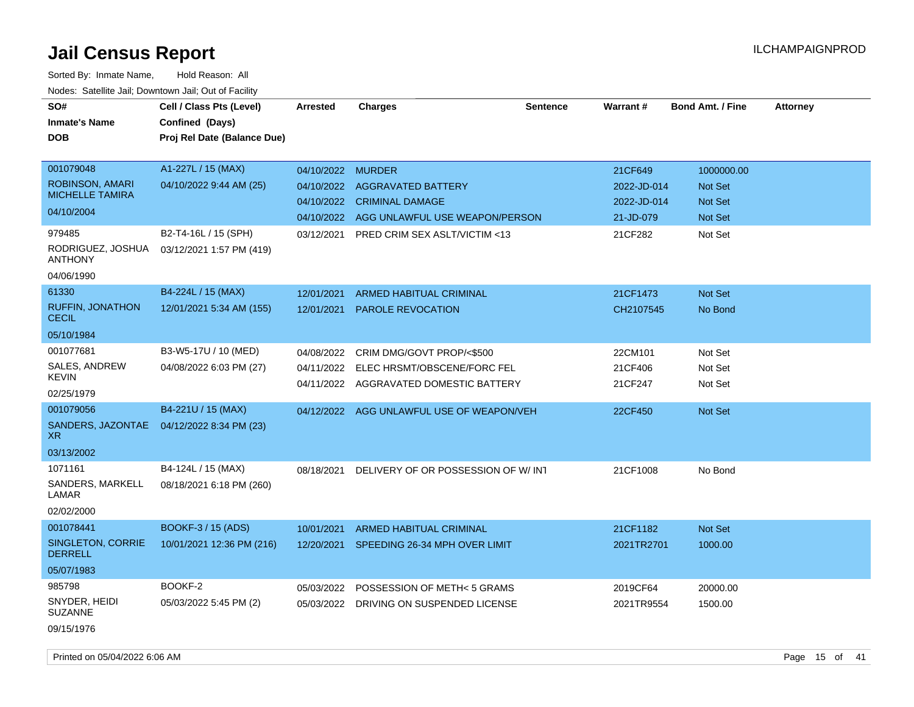| indues. Salenne Jan, Downlown Jan, Out of Facility |                             |                   |                                           |                 |             |                         |                 |
|----------------------------------------------------|-----------------------------|-------------------|-------------------------------------------|-----------------|-------------|-------------------------|-----------------|
| SO#                                                | Cell / Class Pts (Level)    | Arrested          | <b>Charges</b>                            | <b>Sentence</b> | Warrant#    | <b>Bond Amt. / Fine</b> | <b>Attorney</b> |
| <b>Inmate's Name</b>                               | Confined (Days)             |                   |                                           |                 |             |                         |                 |
| <b>DOB</b>                                         | Proj Rel Date (Balance Due) |                   |                                           |                 |             |                         |                 |
|                                                    |                             |                   |                                           |                 |             |                         |                 |
| 001079048                                          | A1-227L / 15 (MAX)          | 04/10/2022 MURDER |                                           |                 | 21CF649     | 1000000.00              |                 |
| ROBINSON, AMARI                                    | 04/10/2022 9:44 AM (25)     |                   | 04/10/2022 AGGRAVATED BATTERY             |                 | 2022-JD-014 | <b>Not Set</b>          |                 |
| <b>MICHELLE TAMIRA</b>                             |                             |                   | 04/10/2022 CRIMINAL DAMAGE                |                 | 2022-JD-014 | <b>Not Set</b>          |                 |
| 04/10/2004                                         |                             | 04/10/2022        | AGG UNLAWFUL USE WEAPON/PERSON            |                 | 21-JD-079   | <b>Not Set</b>          |                 |
| 979485                                             | B2-T4-16L / 15 (SPH)        | 03/12/2021        | PRED CRIM SEX ASLT/VICTIM <13             |                 | 21CF282     | Not Set                 |                 |
| RODRIGUEZ, JOSHUA<br><b>ANTHONY</b>                | 03/12/2021 1:57 PM (419)    |                   |                                           |                 |             |                         |                 |
| 04/06/1990                                         |                             |                   |                                           |                 |             |                         |                 |
| 61330                                              | B4-224L / 15 (MAX)          | 12/01/2021        | <b>ARMED HABITUAL CRIMINAL</b>            |                 | 21CF1473    | <b>Not Set</b>          |                 |
| <b>RUFFIN, JONATHON</b><br><b>CECIL</b>            | 12/01/2021 5:34 AM (155)    | 12/01/2021        | <b>PAROLE REVOCATION</b>                  |                 | CH2107545   | No Bond                 |                 |
| 05/10/1984                                         |                             |                   |                                           |                 |             |                         |                 |
| 001077681                                          | B3-W5-17U / 10 (MED)        | 04/08/2022        | CRIM DMG/GOVT PROP/<\$500                 |                 | 22CM101     | Not Set                 |                 |
| SALES, ANDREW                                      | 04/08/2022 6:03 PM (27)     | 04/11/2022        | ELEC HRSMT/OBSCENE/FORC FEL               |                 | 21CF406     | Not Set                 |                 |
| <b>KEVIN</b>                                       |                             |                   | 04/11/2022 AGGRAVATED DOMESTIC BATTERY    |                 | 21CF247     | Not Set                 |                 |
| 02/25/1979                                         |                             |                   |                                           |                 |             |                         |                 |
| 001079056                                          | B4-221U / 15 (MAX)          |                   | 04/12/2022 AGG UNLAWFUL USE OF WEAPON/VEH |                 | 22CF450     | <b>Not Set</b>          |                 |
| SANDERS, JAZONTAE<br>XR.                           | 04/12/2022 8:34 PM (23)     |                   |                                           |                 |             |                         |                 |
| 03/13/2002                                         |                             |                   |                                           |                 |             |                         |                 |
| 1071161                                            | B4-124L / 15 (MAX)          | 08/18/2021        | DELIVERY OF OR POSSESSION OF W/INT        |                 | 21CF1008    | No Bond                 |                 |
| SANDERS, MARKELL<br>LAMAR                          | 08/18/2021 6:18 PM (260)    |                   |                                           |                 |             |                         |                 |
| 02/02/2000                                         |                             |                   |                                           |                 |             |                         |                 |
| 001078441                                          | BOOKF-3 / 15 (ADS)          | 10/01/2021        | <b>ARMED HABITUAL CRIMINAL</b>            |                 | 21CF1182    | <b>Not Set</b>          |                 |
| SINGLETON, CORRIE<br><b>DERRELL</b>                | 10/01/2021 12:36 PM (216)   |                   | 12/20/2021 SPEEDING 26-34 MPH OVER LIMIT  |                 | 2021TR2701  | 1000.00                 |                 |
| 05/07/1983                                         |                             |                   |                                           |                 |             |                         |                 |
| 985798                                             | BOOKF-2                     | 05/03/2022        | POSSESSION OF METH< 5 GRAMS               |                 | 2019CF64    | 20000.00                |                 |
| SNYDER, HEIDI<br><b>SUZANNE</b>                    | 05/03/2022 5:45 PM (2)      |                   | 05/03/2022 DRIVING ON SUSPENDED LICENSE   |                 | 2021TR9554  | 1500.00                 |                 |
| 09/15/1976                                         |                             |                   |                                           |                 |             |                         |                 |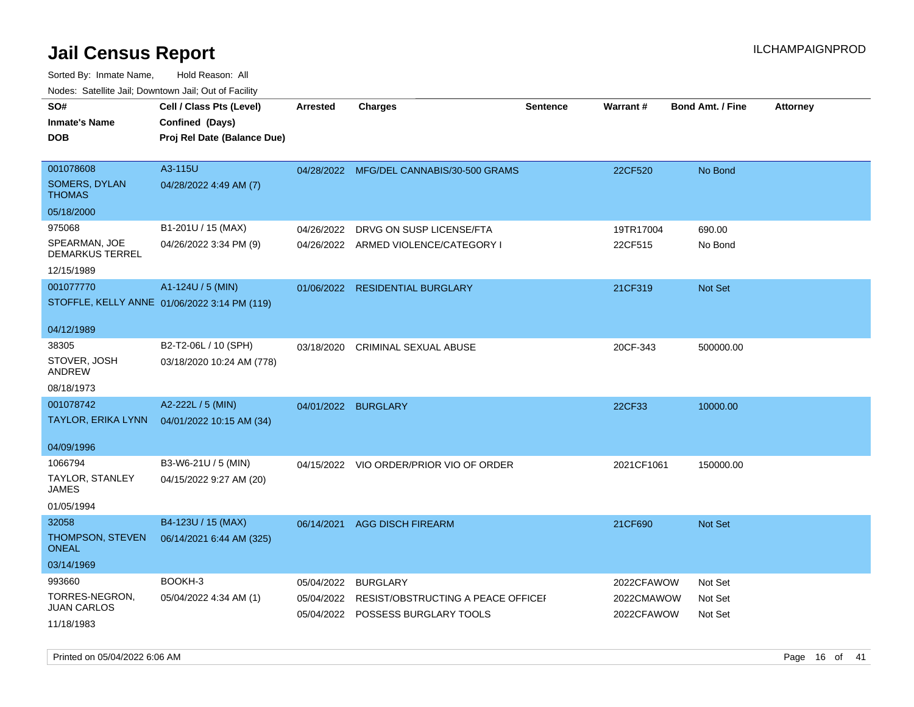| rougs. Calcing Jan, Downtown Jan, Out of Facility                             |                                                                            |                          |                                                                                            |                 |                                        |                               |                 |
|-------------------------------------------------------------------------------|----------------------------------------------------------------------------|--------------------------|--------------------------------------------------------------------------------------------|-----------------|----------------------------------------|-------------------------------|-----------------|
| SO#<br><b>Inmate's Name</b><br><b>DOB</b>                                     | Cell / Class Pts (Level)<br>Confined (Days)<br>Proj Rel Date (Balance Due) | <b>Arrested</b>          | Charges                                                                                    | <b>Sentence</b> | Warrant#                               | <b>Bond Amt. / Fine</b>       | <b>Attorney</b> |
| 001078608<br>SOMERS, DYLAN<br><b>THOMAS</b>                                   | A3-115U<br>04/28/2022 4:49 AM (7)                                          |                          | 04/28/2022 MFG/DEL CANNABIS/30-500 GRAMS                                                   |                 | 22CF520                                | No Bond                       |                 |
| 05/18/2000<br>975068<br>SPEARMAN, JOE<br><b>DEMARKUS TERREL</b><br>12/15/1989 | B1-201U / 15 (MAX)<br>04/26/2022 3:34 PM (9)                               | 04/26/2022               | DRVG ON SUSP LICENSE/FTA<br>04/26/2022 ARMED VIOLENCE/CATEGORY I                           |                 | 19TR17004<br>22CF515                   | 690.00<br>No Bond             |                 |
| 001077770<br>04/12/1989                                                       | A1-124U / 5 (MIN)<br>STOFFLE, KELLY ANNE 01/06/2022 3:14 PM (119)          |                          | 01/06/2022 RESIDENTIAL BURGLARY                                                            |                 | 21CF319                                | <b>Not Set</b>                |                 |
| 38305<br>STOVER, JOSH<br>ANDREW<br>08/18/1973                                 | B2-T2-06L / 10 (SPH)<br>03/18/2020 10:24 AM (778)                          | 03/18/2020               | <b>CRIMINAL SEXUAL ABUSE</b>                                                               |                 | 20CF-343                               | 500000.00                     |                 |
| 001078742<br>TAYLOR, ERIKA LYNN<br>04/09/1996                                 | A2-222L / 5 (MIN)<br>04/01/2022 10:15 AM (34)                              |                          | 04/01/2022 BURGLARY                                                                        |                 | 22CF33                                 | 10000.00                      |                 |
| 1066794<br>TAYLOR, STANLEY<br>JAMES<br>01/05/1994                             | B3-W6-21U / 5 (MIN)<br>04/15/2022 9:27 AM (20)                             |                          | 04/15/2022 VIO ORDER/PRIOR VIO OF ORDER                                                    |                 | 2021CF1061                             | 150000.00                     |                 |
| 32058<br><b>THOMPSON, STEVEN</b><br><b>ONEAL</b><br>03/14/1969                | B4-123U / 15 (MAX)<br>06/14/2021 6:44 AM (325)                             | 06/14/2021               | <b>AGG DISCH FIREARM</b>                                                                   |                 | 21CF690                                | <b>Not Set</b>                |                 |
| 993660<br>TORRES-NEGRON,<br><b>JUAN CARLOS</b><br>11/18/1983                  | BOOKH-3<br>05/04/2022 4:34 AM (1)                                          | 05/04/2022<br>05/04/2022 | <b>BURGLARY</b><br>RESIST/OBSTRUCTING A PEACE OFFICEI<br>05/04/2022 POSSESS BURGLARY TOOLS |                 | 2022CFAWOW<br>2022CMAWOW<br>2022CFAWOW | Not Set<br>Not Set<br>Not Set |                 |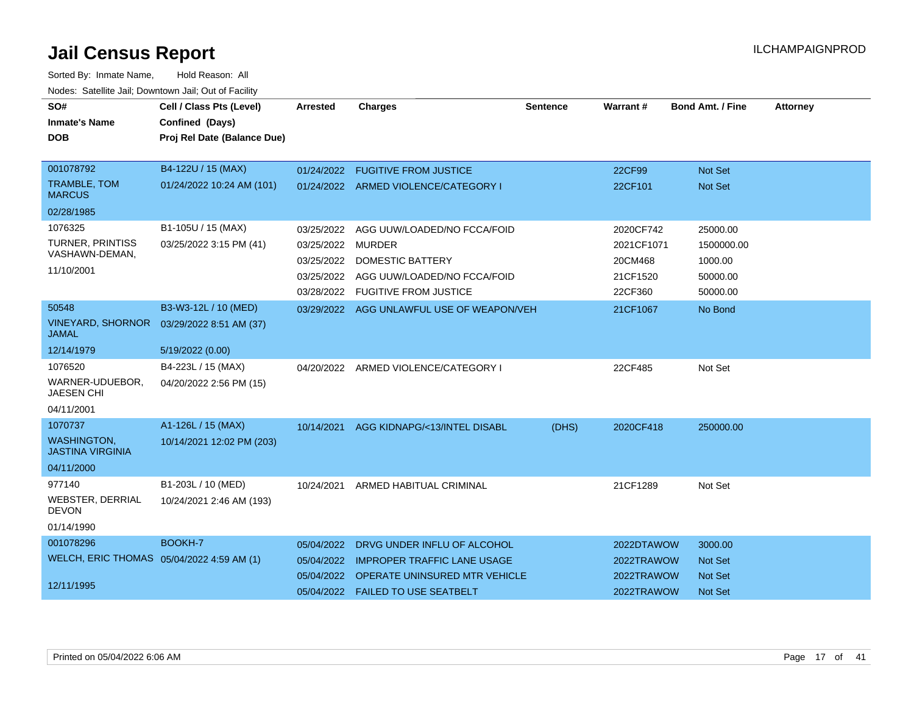| SO#<br><b>Inmate's Name</b><br><b>DOB</b>     | Cell / Class Pts (Level)<br>Confined (Days)<br>Proj Rel Date (Balance Due) | <b>Arrested</b> | <b>Charges</b>                            | <b>Sentence</b> | Warrant#   | <b>Bond Amt. / Fine</b> | <b>Attorney</b> |
|-----------------------------------------------|----------------------------------------------------------------------------|-----------------|-------------------------------------------|-----------------|------------|-------------------------|-----------------|
| 001078792                                     | B4-122U / 15 (MAX)                                                         |                 | 01/24/2022 FUGITIVE FROM JUSTICE          |                 | 22CF99     | Not Set                 |                 |
| <b>TRAMBLE, TOM</b><br><b>MARCUS</b>          | 01/24/2022 10:24 AM (101)                                                  |                 | 01/24/2022 ARMED VIOLENCE/CATEGORY I      |                 | 22CF101    | <b>Not Set</b>          |                 |
| 02/28/1985                                    |                                                                            |                 |                                           |                 |            |                         |                 |
| 1076325                                       | B1-105U / 15 (MAX)                                                         | 03/25/2022      | AGG UUW/LOADED/NO FCCA/FOID               |                 | 2020CF742  | 25000.00                |                 |
| <b>TURNER, PRINTISS</b>                       | 03/25/2022 3:15 PM (41)                                                    | 03/25/2022      | <b>MURDER</b>                             |                 | 2021CF1071 | 1500000.00              |                 |
| VASHAWN-DEMAN,                                |                                                                            | 03/25/2022      | <b>DOMESTIC BATTERY</b>                   |                 | 20CM468    | 1000.00                 |                 |
| 11/10/2001                                    |                                                                            | 03/25/2022      | AGG UUW/LOADED/NO FCCA/FOID               |                 | 21CF1520   | 50000.00                |                 |
|                                               |                                                                            | 03/28/2022      | <b>FUGITIVE FROM JUSTICE</b>              |                 | 22CF360    | 50000.00                |                 |
| 50548                                         | B3-W3-12L / 10 (MED)                                                       |                 | 03/29/2022 AGG UNLAWFUL USE OF WEAPON/VEH |                 | 21CF1067   | No Bond                 |                 |
| <b>VINEYARD, SHORNOR</b><br><b>JAMAL</b>      | 03/29/2022 8:51 AM (37)                                                    |                 |                                           |                 |            |                         |                 |
| 12/14/1979                                    | 5/19/2022 (0.00)                                                           |                 |                                           |                 |            |                         |                 |
| 1076520                                       | B4-223L / 15 (MAX)                                                         | 04/20/2022      | ARMED VIOLENCE/CATEGORY I                 |                 | 22CF485    | Not Set                 |                 |
| WARNER-UDUEBOR.<br><b>JAESEN CHI</b>          | 04/20/2022 2:56 PM (15)                                                    |                 |                                           |                 |            |                         |                 |
| 04/11/2001                                    |                                                                            |                 |                                           |                 |            |                         |                 |
| 1070737                                       | A1-126L / 15 (MAX)                                                         | 10/14/2021      | AGG KIDNAPG/<13/INTEL DISABL              | (DHS)           | 2020CF418  | 250000.00               |                 |
| <b>WASHINGTON,</b><br><b>JASTINA VIRGINIA</b> | 10/14/2021 12:02 PM (203)                                                  |                 |                                           |                 |            |                         |                 |
| 04/11/2000                                    |                                                                            |                 |                                           |                 |            |                         |                 |
| 977140                                        | B1-203L / 10 (MED)                                                         | 10/24/2021      | ARMED HABITUAL CRIMINAL                   |                 | 21CF1289   | Not Set                 |                 |
| WEBSTER, DERRIAL<br><b>DEVON</b>              | 10/24/2021 2:46 AM (193)                                                   |                 |                                           |                 |            |                         |                 |
| 01/14/1990                                    |                                                                            |                 |                                           |                 |            |                         |                 |
| 001078296                                     | BOOKH-7                                                                    | 05/04/2022      | DRVG UNDER INFLU OF ALCOHOL               |                 | 2022DTAWOW | 3000.00                 |                 |
| WELCH, ERIC THOMAS 05/04/2022 4:59 AM (1)     |                                                                            | 05/04/2022      | <b>IMPROPER TRAFFIC LANE USAGE</b>        |                 | 2022TRAWOW | <b>Not Set</b>          |                 |
|                                               |                                                                            | 05/04/2022      | OPERATE UNINSURED MTR VEHICLE             |                 | 2022TRAWOW | <b>Not Set</b>          |                 |
| 12/11/1995                                    |                                                                            |                 | 05/04/2022  FAILED TO USE SEATBELT        |                 | 2022TRAWOW | <b>Not Set</b>          |                 |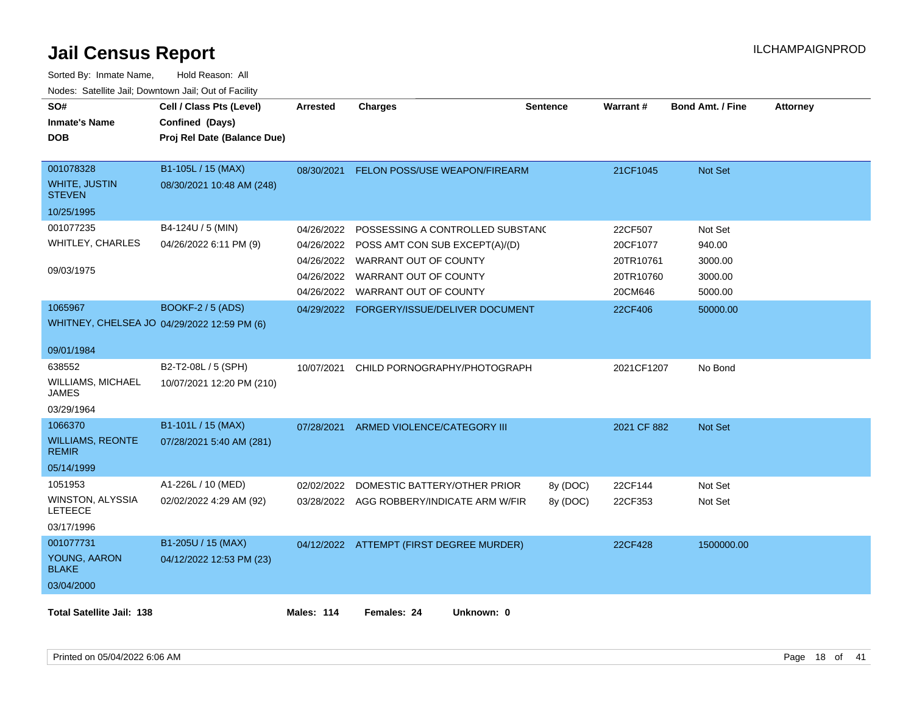| SO#<br><b>Inmate's Name</b><br><b>DOB</b>                                      | Cell / Class Pts (Level)<br>Confined (Days)<br>Proj Rel Date (Balance Due) | <b>Arrested</b>                                                    | <b>Charges</b>                                                                                                                                | <b>Sentence</b>      | Warrant#                                                 | <b>Bond Amt. / Fine</b>                            | <b>Attorney</b> |
|--------------------------------------------------------------------------------|----------------------------------------------------------------------------|--------------------------------------------------------------------|-----------------------------------------------------------------------------------------------------------------------------------------------|----------------------|----------------------------------------------------------|----------------------------------------------------|-----------------|
| 001078328<br><b>WHITE, JUSTIN</b><br><b>STEVEN</b><br>10/25/1995               | B1-105L / 15 (MAX)<br>08/30/2021 10:48 AM (248)                            | 08/30/2021                                                         | FELON POSS/USE WEAPON/FIREARM                                                                                                                 |                      | 21CF1045                                                 | <b>Not Set</b>                                     |                 |
| 001077235<br>WHITLEY, CHARLES<br>09/03/1975                                    | B4-124U / 5 (MIN)<br>04/26/2022 6:11 PM (9)                                | 04/26/2022<br>04/26/2022<br>04/26/2022<br>04/26/2022<br>04/26/2022 | POSSESSING A CONTROLLED SUBSTANC<br>POSS AMT CON SUB EXCEPT(A)/(D)<br>WARRANT OUT OF COUNTY<br>WARRANT OUT OF COUNTY<br>WARRANT OUT OF COUNTY |                      | 22CF507<br>20CF1077<br>20TR10761<br>20TR10760<br>20CM646 | Not Set<br>940.00<br>3000.00<br>3000.00<br>5000.00 |                 |
| 1065967<br>WHITNEY, CHELSEA JO 04/29/2022 12:59 PM (6)                         | <b>BOOKF-2 / 5 (ADS)</b>                                                   |                                                                    | 04/29/2022 FORGERY/ISSUE/DELIVER DOCUMENT                                                                                                     |                      | 22CF406                                                  | 50000.00                                           |                 |
| 09/01/1984<br>638552<br><b>WILLIAMS, MICHAEL</b><br><b>JAMES</b><br>03/29/1964 | B2-T2-08L / 5 (SPH)<br>10/07/2021 12:20 PM (210)                           | 10/07/2021                                                         | CHILD PORNOGRAPHY/PHOTOGRAPH                                                                                                                  |                      | 2021CF1207                                               | No Bond                                            |                 |
| 1066370<br><b>WILLIAMS, REONTE</b><br><b>REMIR</b><br>05/14/1999               | B1-101L / 15 (MAX)<br>07/28/2021 5:40 AM (281)                             | 07/28/2021                                                         | ARMED VIOLENCE/CATEGORY III                                                                                                                   |                      | 2021 CF 882                                              | Not Set                                            |                 |
| 1051953<br>WINSTON, ALYSSIA<br><b>LETEECE</b><br>03/17/1996                    | A1-226L / 10 (MED)<br>02/02/2022 4:29 AM (92)                              | 02/02/2022                                                         | DOMESTIC BATTERY/OTHER PRIOR<br>03/28/2022 AGG ROBBERY/INDICATE ARM W/FIR                                                                     | 8y (DOC)<br>8y (DOC) | 22CF144<br>22CF353                                       | Not Set<br>Not Set                                 |                 |
| 001077731<br>YOUNG, AARON<br><b>BLAKE</b><br>03/04/2000                        | B1-205U / 15 (MAX)<br>04/12/2022 12:53 PM (23)                             |                                                                    | 04/12/2022 ATTEMPT (FIRST DEGREE MURDER)                                                                                                      |                      | 22CF428                                                  | 1500000.00                                         |                 |
| <b>Total Satellite Jail: 138</b>                                               |                                                                            | Males: 114                                                         | Females: 24<br>Unknown: 0                                                                                                                     |                      |                                                          |                                                    |                 |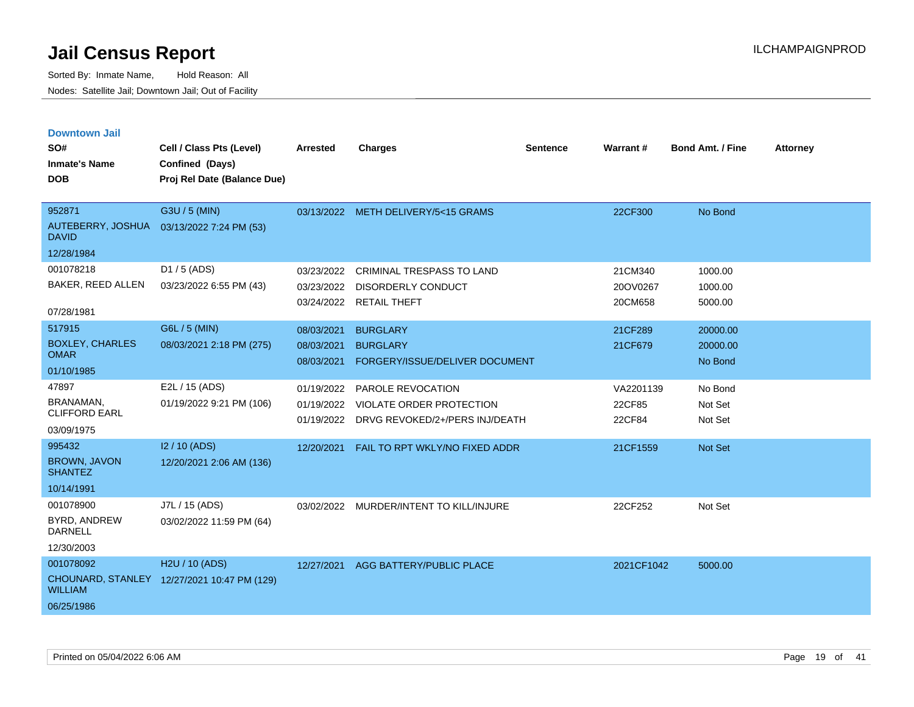| <b>Downtown Jail</b>                  |                                             |                 |                                           |                 |                 |                         |                 |
|---------------------------------------|---------------------------------------------|-----------------|-------------------------------------------|-----------------|-----------------|-------------------------|-----------------|
| SO#                                   | Cell / Class Pts (Level)                    | <b>Arrested</b> | <b>Charges</b>                            | <b>Sentence</b> | <b>Warrant#</b> | <b>Bond Amt. / Fine</b> | <b>Attorney</b> |
| <b>Inmate's Name</b>                  | Confined (Days)                             |                 |                                           |                 |                 |                         |                 |
| <b>DOB</b>                            | Proj Rel Date (Balance Due)                 |                 |                                           |                 |                 |                         |                 |
|                                       |                                             |                 |                                           |                 |                 |                         |                 |
| 952871                                | G3U / 5 (MIN)                               |                 | 03/13/2022 METH DELIVERY/5<15 GRAMS       |                 | 22CF300         | No Bond                 |                 |
| <b>DAVID</b>                          | AUTEBERRY, JOSHUA 03/13/2022 7:24 PM (53)   |                 |                                           |                 |                 |                         |                 |
| 12/28/1984                            |                                             |                 |                                           |                 |                 |                         |                 |
| 001078218                             | D1 / 5 (ADS)                                | 03/23/2022      | <b>CRIMINAL TRESPASS TO LAND</b>          |                 | 21CM340         | 1000.00                 |                 |
| BAKER, REED ALLEN                     | 03/23/2022 6:55 PM (43)                     | 03/23/2022      | <b>DISORDERLY CONDUCT</b>                 |                 | 20OV0267        | 1000.00                 |                 |
| 07/28/1981                            |                                             |                 | 03/24/2022 RETAIL THEFT                   |                 | 20CM658         | 5000.00                 |                 |
| 517915                                | G6L / 5 (MIN)                               | 08/03/2021      | <b>BURGLARY</b>                           |                 | 21CF289         | 20000.00                |                 |
| <b>BOXLEY, CHARLES</b><br><b>OMAR</b> | 08/03/2021 2:18 PM (275)                    | 08/03/2021      | <b>BURGLARY</b>                           |                 | 21CF679         | 20000.00                |                 |
|                                       |                                             | 08/03/2021      | FORGERY/ISSUE/DELIVER DOCUMENT            |                 |                 | No Bond                 |                 |
| 01/10/1985                            |                                             |                 |                                           |                 |                 |                         |                 |
| 47897                                 | E2L / 15 (ADS)                              | 01/19/2022      | PAROLE REVOCATION                         |                 | VA2201139       | No Bond                 |                 |
| BRANAMAN,<br><b>CLIFFORD EARL</b>     | 01/19/2022 9:21 PM (106)                    | 01/19/2022      | VIOLATE ORDER PROTECTION                  |                 | 22CF85          | Not Set                 |                 |
| 03/09/1975                            |                                             |                 | 01/19/2022 DRVG REVOKED/2+/PERS INJ/DEATH |                 | 22CF84          | Not Set                 |                 |
| 995432                                | I2 / 10 (ADS)                               | 12/20/2021      | FAIL TO RPT WKLY/NO FIXED ADDR            |                 | 21CF1559        | <b>Not Set</b>          |                 |
| <b>BROWN, JAVON</b><br><b>SHANTEZ</b> | 12/20/2021 2:06 AM (136)                    |                 |                                           |                 |                 |                         |                 |
| 10/14/1991                            |                                             |                 |                                           |                 |                 |                         |                 |
| 001078900                             | J7L / 15 (ADS)                              |                 | 03/02/2022 MURDER/INTENT TO KILL/INJURE   |                 | 22CF252         | Not Set                 |                 |
| BYRD, ANDREW<br><b>DARNELL</b>        | 03/02/2022 11:59 PM (64)                    |                 |                                           |                 |                 |                         |                 |
| 12/30/2003                            |                                             |                 |                                           |                 |                 |                         |                 |
| 001078092                             | H2U / 10 (ADS)                              |                 | 12/27/2021 AGG BATTERY/PUBLIC PLACE       |                 | 2021CF1042      | 5000.00                 |                 |
| <b>WILLIAM</b>                        | CHOUNARD, STANLEY 12/27/2021 10:47 PM (129) |                 |                                           |                 |                 |                         |                 |
| 06/25/1986                            |                                             |                 |                                           |                 |                 |                         |                 |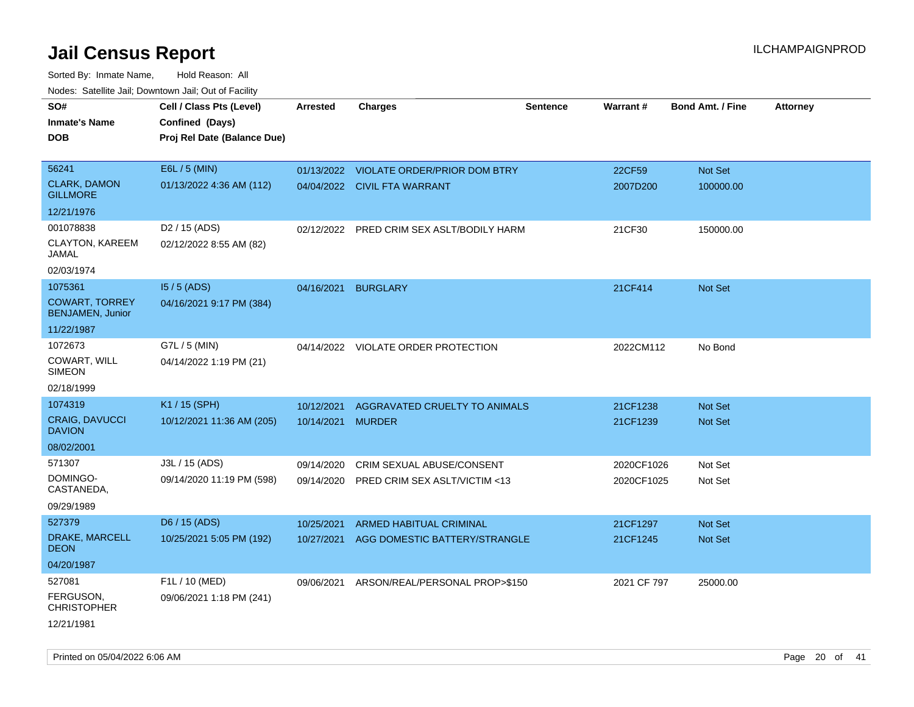Sorted By: Inmate Name, Hold Reason: All Nodes: Satellite Jail; Downtown Jail; Out of Facility

| SO#<br><b>Inmate's Name</b><br><b>DOB</b>        | Cell / Class Pts (Level)<br>Confined (Days)<br>Proj Rel Date (Balance Due) | <b>Arrested</b> | <b>Charges</b>                            | <b>Sentence</b> | Warrant#    | <b>Bond Amt. / Fine</b> | <b>Attorney</b> |
|--------------------------------------------------|----------------------------------------------------------------------------|-----------------|-------------------------------------------|-----------------|-------------|-------------------------|-----------------|
| 56241                                            | E6L / 5 (MIN)                                                              |                 | 01/13/2022 VIOLATE ORDER/PRIOR DOM BTRY   |                 | 22CF59      | Not Set                 |                 |
| <b>CLARK, DAMON</b><br><b>GILLMORE</b>           | 01/13/2022 4:36 AM (112)                                                   |                 | 04/04/2022 CIVIL FTA WARRANT              |                 | 2007D200    | 100000.00               |                 |
| 12/21/1976                                       |                                                                            |                 |                                           |                 |             |                         |                 |
| 001078838                                        | D <sub>2</sub> / 15 (ADS)                                                  |                 | 02/12/2022 PRED CRIM SEX ASLT/BODILY HARM |                 | 21CF30      | 150000.00               |                 |
| CLAYTON, KAREEM<br>JAMAL                         | 02/12/2022 8:55 AM (82)                                                    |                 |                                           |                 |             |                         |                 |
| 02/03/1974                                       |                                                                            |                 |                                           |                 |             |                         |                 |
| 1075361                                          | $15/5$ (ADS)                                                               | 04/16/2021      | <b>BURGLARY</b>                           |                 | 21CF414     | Not Set                 |                 |
| <b>COWART, TORREY</b><br><b>BENJAMEN, Junior</b> | 04/16/2021 9:17 PM (384)                                                   |                 |                                           |                 |             |                         |                 |
| 11/22/1987                                       |                                                                            |                 |                                           |                 |             |                         |                 |
| 1072673                                          | G7L / 5 (MIN)                                                              |                 | 04/14/2022 VIOLATE ORDER PROTECTION       |                 | 2022CM112   | No Bond                 |                 |
| COWART, WILL<br><b>SIMEON</b>                    | 04/14/2022 1:19 PM (21)                                                    |                 |                                           |                 |             |                         |                 |
| 02/18/1999                                       |                                                                            |                 |                                           |                 |             |                         |                 |
| 1074319                                          | K1 / 15 (SPH)                                                              | 10/12/2021      | AGGRAVATED CRUELTY TO ANIMALS             |                 | 21CF1238    | <b>Not Set</b>          |                 |
| <b>CRAIG, DAVUCCI</b><br><b>DAVION</b>           | 10/12/2021 11:36 AM (205)                                                  | 10/14/2021      | <b>MURDER</b>                             |                 | 21CF1239    | <b>Not Set</b>          |                 |
| 08/02/2001                                       |                                                                            |                 |                                           |                 |             |                         |                 |
| 571307                                           | J3L / 15 (ADS)                                                             | 09/14/2020      | CRIM SEXUAL ABUSE/CONSENT                 |                 | 2020CF1026  | Not Set                 |                 |
| DOMINGO-<br>CASTANEDA,                           | 09/14/2020 11:19 PM (598)                                                  | 09/14/2020      | PRED CRIM SEX ASLT/VICTIM <13             |                 | 2020CF1025  | Not Set                 |                 |
| 09/29/1989                                       |                                                                            |                 |                                           |                 |             |                         |                 |
| 527379                                           | D6 / 15 (ADS)                                                              | 10/25/2021      | ARMED HABITUAL CRIMINAL                   |                 | 21CF1297    | Not Set                 |                 |
| DRAKE, MARCELL<br><b>DEON</b>                    | 10/25/2021 5:05 PM (192)                                                   | 10/27/2021      | AGG DOMESTIC BATTERY/STRANGLE             |                 | 21CF1245    | Not Set                 |                 |
| 04/20/1987                                       |                                                                            |                 |                                           |                 |             |                         |                 |
| 527081                                           | F1L / 10 (MED)                                                             | 09/06/2021      | ARSON/REAL/PERSONAL PROP>\$150            |                 | 2021 CF 797 | 25000.00                |                 |
| FERGUSON,<br><b>CHRISTOPHER</b>                  | 09/06/2021 1:18 PM (241)                                                   |                 |                                           |                 |             |                         |                 |
| 12/21/1981                                       |                                                                            |                 |                                           |                 |             |                         |                 |

Printed on 05/04/2022 6:06 AM Page 20 of 41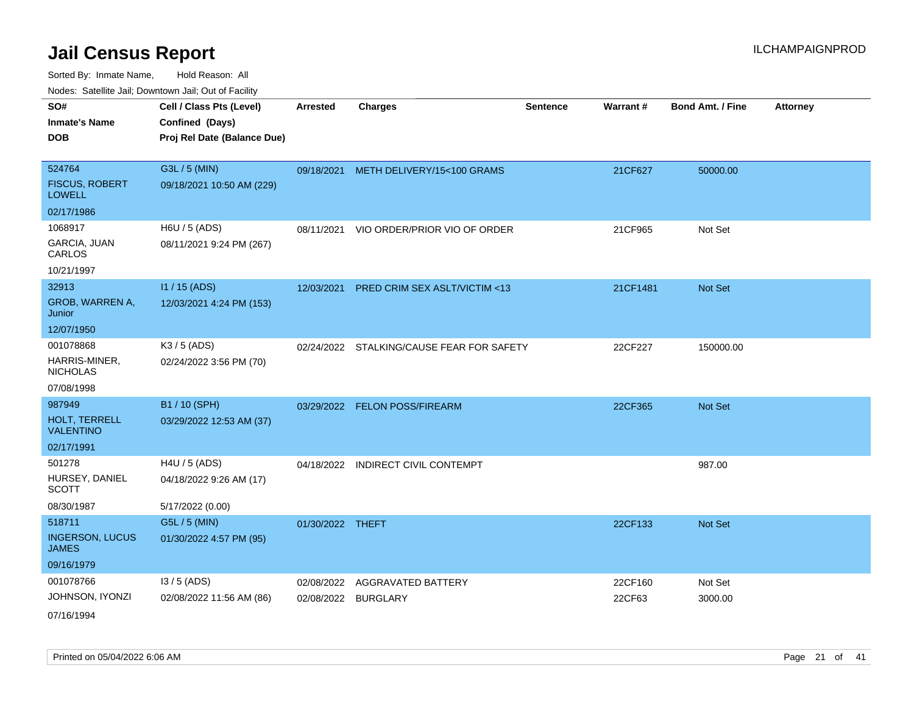Sorted By: Inmate Name, Hold Reason: All Nodes: Satellite Jail; Downtown Jail; Out of Facility

| indues. Satellite Jali, Downtown Jali, Out of Facility |                             |                  |                                           |                 |          |                         |                 |
|--------------------------------------------------------|-----------------------------|------------------|-------------------------------------------|-----------------|----------|-------------------------|-----------------|
| SO#                                                    | Cell / Class Pts (Level)    | <b>Arrested</b>  | <b>Charges</b>                            | <b>Sentence</b> | Warrant# | <b>Bond Amt. / Fine</b> | <b>Attorney</b> |
| <b>Inmate's Name</b>                                   | Confined (Days)             |                  |                                           |                 |          |                         |                 |
| <b>DOB</b>                                             | Proj Rel Date (Balance Due) |                  |                                           |                 |          |                         |                 |
|                                                        |                             |                  |                                           |                 |          |                         |                 |
| 524764                                                 | G3L / 5 (MIN)               |                  | 09/18/2021 METH DELIVERY/15<100 GRAMS     |                 | 21CF627  | 50000.00                |                 |
| <b>FISCUS, ROBERT</b><br><b>LOWELL</b>                 | 09/18/2021 10:50 AM (229)   |                  |                                           |                 |          |                         |                 |
| 02/17/1986                                             |                             |                  |                                           |                 |          |                         |                 |
| 1068917                                                | H6U / 5 (ADS)               | 08/11/2021       | VIO ORDER/PRIOR VIO OF ORDER              |                 | 21CF965  | Not Set                 |                 |
| GARCIA, JUAN<br>CARLOS                                 | 08/11/2021 9:24 PM (267)    |                  |                                           |                 |          |                         |                 |
| 10/21/1997                                             |                             |                  |                                           |                 |          |                         |                 |
| 32913                                                  | I1 / 15 (ADS)               |                  | 12/03/2021 PRED CRIM SEX ASLT/VICTIM <13  |                 | 21CF1481 | Not Set                 |                 |
| GROB, WARREN A,<br>Junior                              | 12/03/2021 4:24 PM (153)    |                  |                                           |                 |          |                         |                 |
| 12/07/1950                                             |                             |                  |                                           |                 |          |                         |                 |
| 001078868                                              | K3 / 5 (ADS)                |                  | 02/24/2022 STALKING/CAUSE FEAR FOR SAFETY |                 | 22CF227  | 150000.00               |                 |
| HARRIS-MINER,<br><b>NICHOLAS</b>                       | 02/24/2022 3:56 PM (70)     |                  |                                           |                 |          |                         |                 |
| 07/08/1998                                             |                             |                  |                                           |                 |          |                         |                 |
| 987949                                                 | B1 / 10 (SPH)               |                  | 03/29/2022 FELON POSS/FIREARM             |                 | 22CF365  | Not Set                 |                 |
| <b>HOLT, TERRELL</b><br><b>VALENTINO</b>               | 03/29/2022 12:53 AM (37)    |                  |                                           |                 |          |                         |                 |
| 02/17/1991                                             |                             |                  |                                           |                 |          |                         |                 |
| 501278                                                 | H4U / 5 (ADS)               | 04/18/2022       | <b>INDIRECT CIVIL CONTEMPT</b>            |                 |          | 987.00                  |                 |
| HURSEY, DANIEL<br><b>SCOTT</b>                         | 04/18/2022 9:26 AM (17)     |                  |                                           |                 |          |                         |                 |
| 08/30/1987                                             | 5/17/2022 (0.00)            |                  |                                           |                 |          |                         |                 |
| 518711                                                 | G5L / 5 (MIN)               | 01/30/2022 THEFT |                                           |                 | 22CF133  | Not Set                 |                 |
| <b>INGERSON, LUCUS</b><br><b>JAMES</b>                 | 01/30/2022 4:57 PM (95)     |                  |                                           |                 |          |                         |                 |
| 09/16/1979                                             |                             |                  |                                           |                 |          |                         |                 |
| 001078766                                              | $13/5$ (ADS)                | 02/08/2022       | <b>AGGRAVATED BATTERY</b>                 |                 | 22CF160  | Not Set                 |                 |
| JOHNSON, IYONZI                                        | 02/08/2022 11:56 AM (86)    |                  | 02/08/2022 BURGLARY                       |                 | 22CF63   | 3000.00                 |                 |
| 07/16/1994                                             |                             |                  |                                           |                 |          |                         |                 |

Printed on 05/04/2022 6:06 AM Page 21 of 41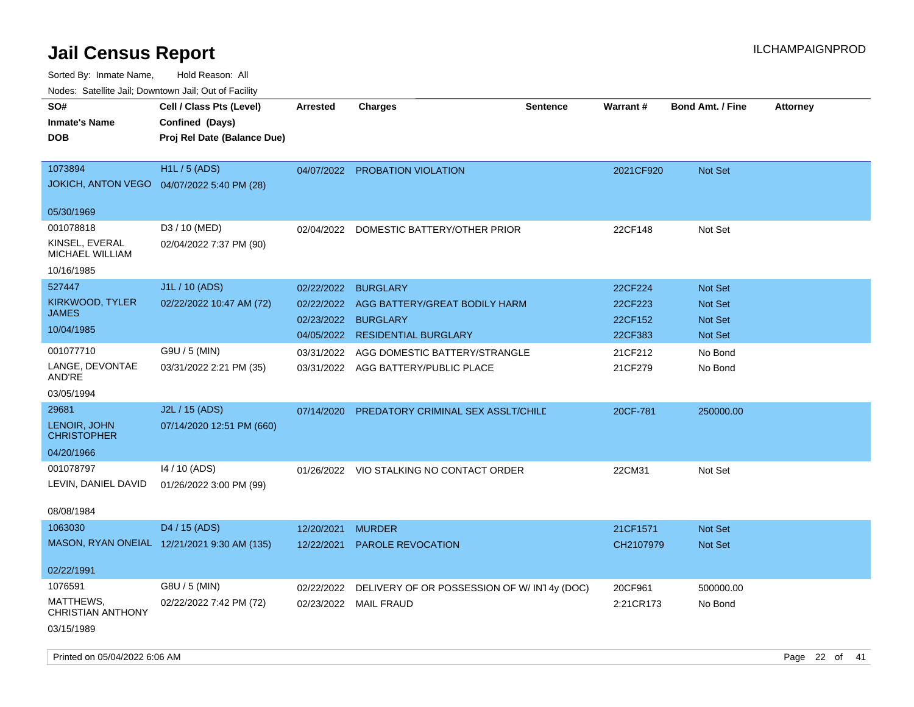| ivouss. Saleline Jali, Downtown Jali, Out of Facility |                                             |                 |                                            |                 |           |                         |                 |
|-------------------------------------------------------|---------------------------------------------|-----------------|--------------------------------------------|-----------------|-----------|-------------------------|-----------------|
| SO#                                                   | Cell / Class Pts (Level)                    | <b>Arrested</b> | <b>Charges</b>                             | <b>Sentence</b> | Warrant#  | <b>Bond Amt. / Fine</b> | <b>Attorney</b> |
| <b>Inmate's Name</b>                                  | Confined (Days)                             |                 |                                            |                 |           |                         |                 |
| <b>DOB</b>                                            | Proj Rel Date (Balance Due)                 |                 |                                            |                 |           |                         |                 |
| 1073894                                               | <b>H1L/5 (ADS)</b>                          | 04/07/2022      | <b>PROBATION VIOLATION</b>                 |                 | 2021CF920 | <b>Not Set</b>          |                 |
|                                                       | JOKICH, ANTON VEGO  04/07/2022 5:40 PM (28) |                 |                                            |                 |           |                         |                 |
| 05/30/1969                                            |                                             |                 |                                            |                 |           |                         |                 |
| 001078818                                             | D3 / 10 (MED)                               | 02/04/2022      | DOMESTIC BATTERY/OTHER PRIOR               |                 | 22CF148   | Not Set                 |                 |
| KINSEL, EVERAL<br>MICHAEL WILLIAM                     | 02/04/2022 7:37 PM (90)                     |                 |                                            |                 |           |                         |                 |
| 10/16/1985                                            |                                             |                 |                                            |                 |           |                         |                 |
| 527447                                                | J1L / 10 (ADS)                              | 02/22/2022      | <b>BURGLARY</b>                            |                 | 22CF224   | <b>Not Set</b>          |                 |
| KIRKWOOD, TYLER                                       | 02/22/2022 10:47 AM (72)                    | 02/22/2022      | AGG BATTERY/GREAT BODILY HARM              |                 | 22CF223   | <b>Not Set</b>          |                 |
| <b>JAMES</b>                                          |                                             | 02/23/2022      | <b>BURGLARY</b>                            |                 | 22CF152   | <b>Not Set</b>          |                 |
| 10/04/1985                                            |                                             | 04/05/2022      | <b>RESIDENTIAL BURGLARY</b>                |                 | 22CF383   | <b>Not Set</b>          |                 |
| 001077710                                             | G9U / 5 (MIN)                               | 03/31/2022      | AGG DOMESTIC BATTERY/STRANGLE              |                 | 21CF212   | No Bond                 |                 |
| LANGE, DEVONTAE<br>AND'RE                             | 03/31/2022 2:21 PM (35)                     |                 | 03/31/2022 AGG BATTERY/PUBLIC PLACE        |                 | 21CF279   | No Bond                 |                 |
| 03/05/1994                                            |                                             |                 |                                            |                 |           |                         |                 |
| 29681                                                 | J2L / 15 (ADS)                              | 07/14/2020      | PREDATORY CRIMINAL SEX ASSLT/CHILD         |                 | 20CF-781  | 250000.00               |                 |
| LENOIR, JOHN<br><b>CHRISTOPHER</b>                    | 07/14/2020 12:51 PM (660)                   |                 |                                            |                 |           |                         |                 |
| 04/20/1966                                            |                                             |                 |                                            |                 |           |                         |                 |
| 001078797                                             | 14 / 10 (ADS)                               | 01/26/2022      | VIO STALKING NO CONTACT ORDER              |                 | 22CM31    | Not Set                 |                 |
| LEVIN, DANIEL DAVID                                   | 01/26/2022 3:00 PM (99)                     |                 |                                            |                 |           |                         |                 |
| 08/08/1984                                            |                                             |                 |                                            |                 |           |                         |                 |
| 1063030                                               | D4 / 15 (ADS)                               | 12/20/2021      | <b>MURDER</b>                              |                 | 21CF1571  | <b>Not Set</b>          |                 |
|                                                       | MASON, RYAN ONEIAL 12/21/2021 9:30 AM (135) | 12/22/2021      | <b>PAROLE REVOCATION</b>                   |                 | CH2107979 | Not Set                 |                 |
| 02/22/1991                                            |                                             |                 |                                            |                 |           |                         |                 |
| 1076591                                               | G8U / 5 (MIN)                               | 02/22/2022      | DELIVERY OF OR POSSESSION OF W/IN14y (DOC) |                 | 20CF961   | 500000.00               |                 |
| MATTHEWS,<br>CHRISTIAN ANTHONY                        | 02/22/2022 7:42 PM (72)                     | 02/23/2022      | <b>MAIL FRAUD</b>                          |                 | 2:21CR173 | No Bond                 |                 |
| 03/15/1989                                            |                                             |                 |                                            |                 |           |                         |                 |
|                                                       |                                             |                 |                                            |                 |           |                         |                 |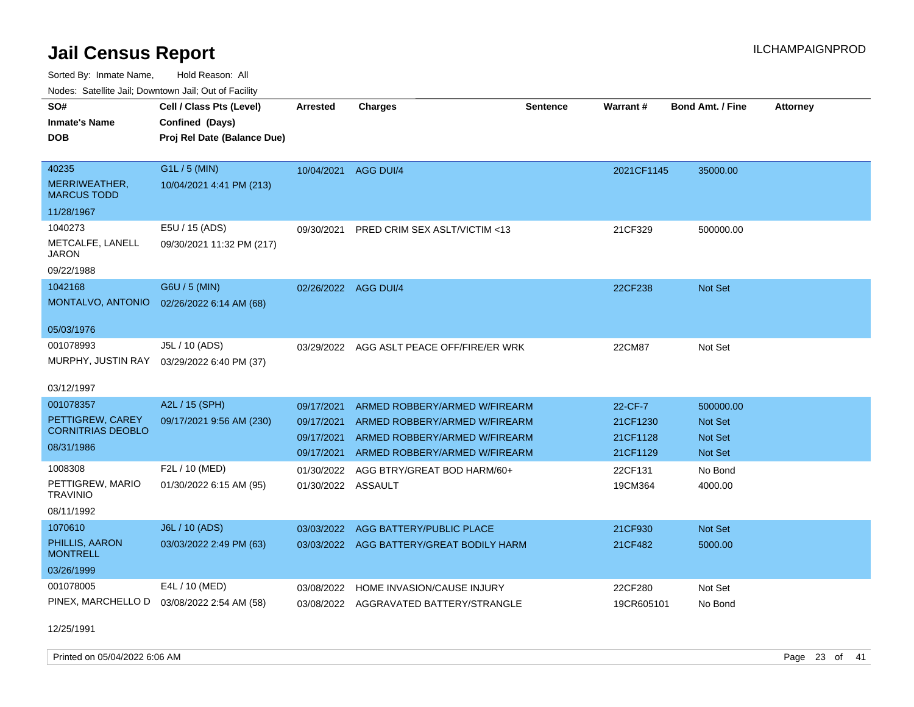Sorted By: Inmate Name, Hold Reason: All Nodes: Satellite Jail; Downtown Jail; Out of Facility

| routs. Salting Jan, Downlown Jan, Out of Facility |                                             |                      |                                          |                 |            |                         |                 |
|---------------------------------------------------|---------------------------------------------|----------------------|------------------------------------------|-----------------|------------|-------------------------|-----------------|
| SO#<br><b>Inmate's Name</b>                       | Cell / Class Pts (Level)<br>Confined (Days) | <b>Arrested</b>      | <b>Charges</b>                           | <b>Sentence</b> | Warrant#   | <b>Bond Amt. / Fine</b> | <b>Attorney</b> |
| <b>DOB</b>                                        | Proj Rel Date (Balance Due)                 |                      |                                          |                 |            |                         |                 |
|                                                   |                                             |                      |                                          |                 |            |                         |                 |
| 40235                                             | G1L / 5 (MIN)                               | 10/04/2021           | AGG DUI/4                                |                 | 2021CF1145 | 35000.00                |                 |
| MERRIWEATHER,<br><b>MARCUS TODD</b>               | 10/04/2021 4:41 PM (213)                    |                      |                                          |                 |            |                         |                 |
| 11/28/1967                                        |                                             |                      |                                          |                 |            |                         |                 |
| 1040273                                           | E5U / 15 (ADS)                              | 09/30/2021           | <b>PRED CRIM SEX ASLT/VICTIM &lt;13</b>  |                 | 21CF329    | 500000.00               |                 |
| METCALFE, LANELL<br>JARON                         | 09/30/2021 11:32 PM (217)                   |                      |                                          |                 |            |                         |                 |
| 09/22/1988                                        |                                             |                      |                                          |                 |            |                         |                 |
| 1042168                                           | G6U / 5 (MIN)                               | 02/26/2022 AGG DUI/4 |                                          |                 | 22CF238    | Not Set                 |                 |
| MONTALVO, ANTONIO 02/26/2022 6:14 AM (68)         |                                             |                      |                                          |                 |            |                         |                 |
| 05/03/1976                                        |                                             |                      |                                          |                 |            |                         |                 |
| 001078993                                         | J5L / 10 (ADS)                              | 03/29/2022           | AGG ASLT PEACE OFF/FIRE/ER WRK           |                 | 22CM87     | Not Set                 |                 |
| MURPHY, JUSTIN RAY                                | 03/29/2022 6:40 PM (37)                     |                      |                                          |                 |            |                         |                 |
| 03/12/1997                                        |                                             |                      |                                          |                 |            |                         |                 |
| 001078357                                         | A2L / 15 (SPH)                              | 09/17/2021           | ARMED ROBBERY/ARMED W/FIREARM            |                 | 22-CF-7    | 500000.00               |                 |
| PETTIGREW, CAREY                                  | 09/17/2021 9:56 AM (230)                    | 09/17/2021           | ARMED ROBBERY/ARMED W/FIREARM            |                 | 21CF1230   | <b>Not Set</b>          |                 |
| <b>CORNITRIAS DEOBLO</b>                          |                                             | 09/17/2021           | ARMED ROBBERY/ARMED W/FIREARM            |                 | 21CF1128   | <b>Not Set</b>          |                 |
| 08/31/1986                                        |                                             | 09/17/2021           | ARMED ROBBERY/ARMED W/FIREARM            |                 | 21CF1129   | <b>Not Set</b>          |                 |
| 1008308                                           | F2L / 10 (MED)                              | 01/30/2022           | AGG BTRY/GREAT BOD HARM/60+              |                 | 22CF131    | No Bond                 |                 |
| PETTIGREW, MARIO<br><b>TRAVINIO</b>               | 01/30/2022 6:15 AM (95)                     | 01/30/2022 ASSAULT   |                                          |                 | 19CM364    | 4000.00                 |                 |
| 08/11/1992                                        |                                             |                      |                                          |                 |            |                         |                 |
| 1070610                                           | J6L / 10 (ADS)                              | 03/03/2022           | AGG BATTERY/PUBLIC PLACE                 |                 | 21CF930    | Not Set                 |                 |
| PHILLIS, AARON<br><b>MONTRELL</b>                 | 03/03/2022 2:49 PM (63)                     |                      | 03/03/2022 AGG BATTERY/GREAT BODILY HARM |                 | 21CF482    | 5000.00                 |                 |
| 03/26/1999                                        |                                             |                      |                                          |                 |            |                         |                 |
| 001078005                                         | E4L / 10 (MED)                              | 03/08/2022           | HOME INVASION/CAUSE INJURY               |                 | 22CF280    | Not Set                 |                 |
| PINEX, MARCHELLO D                                | 03/08/2022 2:54 AM (58)                     |                      | 03/08/2022 AGGRAVATED BATTERY/STRANGLE   |                 | 19CR605101 | No Bond                 |                 |

12/25/1991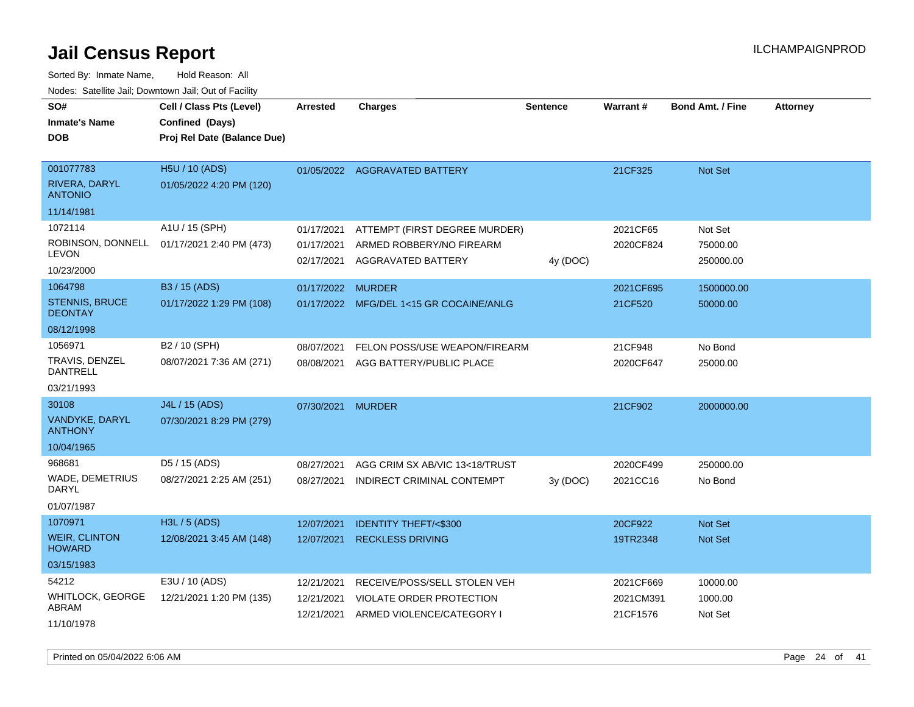Sorted By: Inmate Name, Hold Reason: All Nodes: Satellite Jail; Downtown Jail; Out of Facility

| SO#<br>Inmate's Name<br>DOB                                    | Cell / Class Pts (Level)<br>Confined (Days)<br>Proj Rel Date (Balance Due) | <b>Arrested</b>                        | <b>Charges</b>                                                                        | <b>Sentence</b> | Warrant#                           | <b>Bond Amt. / Fine</b>          | <b>Attorney</b> |
|----------------------------------------------------------------|----------------------------------------------------------------------------|----------------------------------------|---------------------------------------------------------------------------------------|-----------------|------------------------------------|----------------------------------|-----------------|
| 001077783<br>RIVERA, DARYL<br><b>ANTONIO</b>                   | H5U / 10 (ADS)<br>01/05/2022 4:20 PM (120)                                 |                                        | 01/05/2022 AGGRAVATED BATTERY                                                         |                 | 21CF325                            | Not Set                          |                 |
| 11/14/1981                                                     |                                                                            |                                        |                                                                                       |                 |                                    |                                  |                 |
| 1072114<br><b>LEVON</b><br>10/23/2000                          | A1U / 15 (SPH)<br>ROBINSON, DONNELL 01/17/2021 2:40 PM (473)               | 01/17/2021<br>01/17/2021<br>02/17/2021 | ATTEMPT (FIRST DEGREE MURDER)<br>ARMED ROBBERY/NO FIREARM<br>AGGRAVATED BATTERY       | 4y (DOC)        | 2021CF65<br>2020CF824              | Not Set<br>75000.00<br>250000.00 |                 |
| 1064798<br><b>STENNIS, BRUCE</b>                               | B3 / 15 (ADS)<br>01/17/2022 1:29 PM (108)                                  | 01/17/2022                             | <b>MURDER</b><br>01/17/2022 MFG/DEL 1<15 GR COCAINE/ANLG                              |                 | 2021CF695<br>21CF520               | 1500000.00<br>50000.00           |                 |
| <b>DEONTAY</b><br>08/12/1998                                   |                                                                            |                                        |                                                                                       |                 |                                    |                                  |                 |
| 1056971<br>TRAVIS, DENZEL<br>DANTRELL<br>03/21/1993            | B2 / 10 (SPH)<br>08/07/2021 7:36 AM (271)                                  | 08/07/2021<br>08/08/2021               | FELON POSS/USE WEAPON/FIREARM<br>AGG BATTERY/PUBLIC PLACE                             |                 | 21CF948<br>2020CF647               | No Bond<br>25000.00              |                 |
| 30108<br>VANDYKE, DARYL<br><b>ANTHONY</b><br>10/04/1965        | J4L / 15 (ADS)<br>07/30/2021 8:29 PM (279)                                 | 07/30/2021                             | <b>MURDER</b>                                                                         |                 | 21CF902                            | 2000000.00                       |                 |
| 968681<br>WADE, DEMETRIUS<br>DARYL<br>01/07/1987               | D5 / 15 (ADS)<br>08/27/2021 2:25 AM (251)                                  | 08/27/2021<br>08/27/2021               | AGG CRIM SX AB/VIC 13<18/TRUST<br>INDIRECT CRIMINAL CONTEMPT                          | 3y(DOC)         | 2020CF499<br>2021CC16              | 250000.00<br>No Bond             |                 |
| 1070971<br><b>WEIR, CLINTON</b><br><b>HOWARD</b><br>03/15/1983 | H3L / 5 (ADS)<br>12/08/2021 3:45 AM (148)                                  | 12/07/2021<br>12/07/2021               | <b>IDENTITY THEFT/&lt;\$300</b><br><b>RECKLESS DRIVING</b>                            |                 | 20CF922<br>19TR2348                | <b>Not Set</b><br>Not Set        |                 |
| 54212<br>WHITLOCK, GEORGE<br>ABRAM<br>11/10/1978               | E3U / 10 (ADS)<br>12/21/2021 1:20 PM (135)                                 | 12/21/2021<br>12/21/2021<br>12/21/2021 | RECEIVE/POSS/SELL STOLEN VEH<br>VIOLATE ORDER PROTECTION<br>ARMED VIOLENCE/CATEGORY I |                 | 2021CF669<br>2021CM391<br>21CF1576 | 10000.00<br>1000.00<br>Not Set   |                 |

Printed on 05/04/2022 6:06 AM Page 24 of 41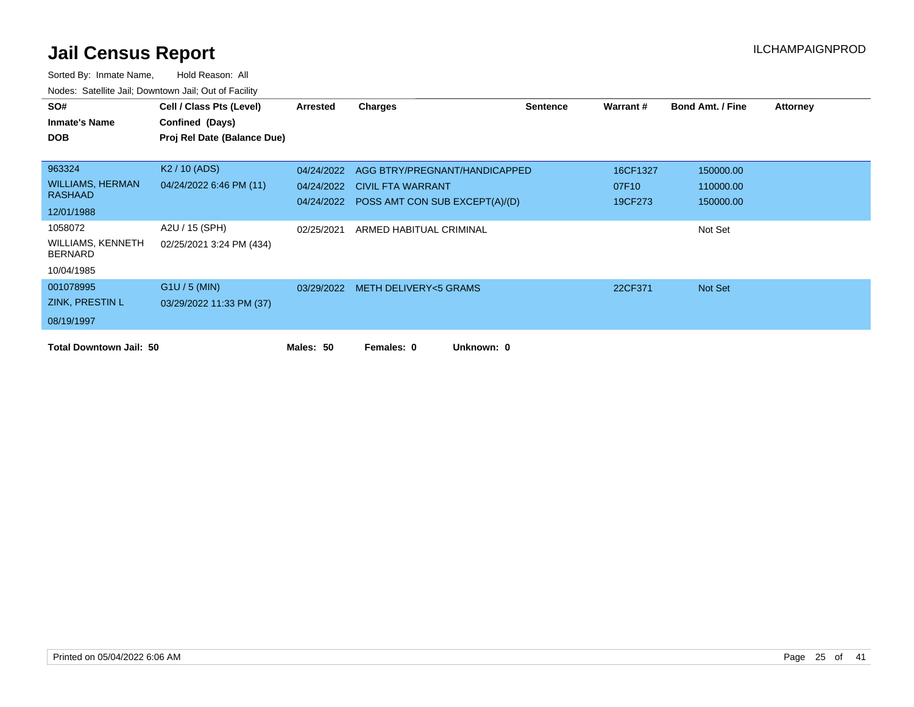| SO#                                 | Cell / Class Pts (Level)    | <b>Arrested</b> | <b>Charges</b>                            | <b>Sentence</b> | Warrant # | <b>Bond Amt. / Fine</b> | <b>Attorney</b> |
|-------------------------------------|-----------------------------|-----------------|-------------------------------------------|-----------------|-----------|-------------------------|-----------------|
| <b>Inmate's Name</b>                | Confined (Days)             |                 |                                           |                 |           |                         |                 |
| <b>DOB</b>                          | Proj Rel Date (Balance Due) |                 |                                           |                 |           |                         |                 |
|                                     |                             |                 |                                           |                 |           |                         |                 |
| 963324                              | K <sub>2</sub> / 10 (ADS)   | 04/24/2022      | AGG BTRY/PREGNANT/HANDICAPPED             |                 | 16CF1327  | 150000.00               |                 |
| <b>WILLIAMS, HERMAN</b>             | 04/24/2022 6:46 PM (11)     | 04/24/2022      | <b>CIVIL FTA WARRANT</b>                  |                 | 07F10     | 110000.00               |                 |
| <b>RASHAAD</b>                      |                             |                 | 04/24/2022 POSS AMT CON SUB EXCEPT(A)/(D) |                 | 19CF273   | 150000.00               |                 |
| 12/01/1988                          |                             |                 |                                           |                 |           |                         |                 |
| 1058072                             | A2U / 15 (SPH)              | 02/25/2021      | ARMED HABITUAL CRIMINAL                   |                 |           | Not Set                 |                 |
| WILLIAMS, KENNETH<br><b>BERNARD</b> | 02/25/2021 3:24 PM (434)    |                 |                                           |                 |           |                         |                 |
| 10/04/1985                          |                             |                 |                                           |                 |           |                         |                 |
| 001078995                           | $G1U / 5$ (MIN)             |                 | 03/29/2022 METH DELIVERY<5 GRAMS          |                 | 22CF371   | Not Set                 |                 |
| ZINK, PRESTIN L                     | 03/29/2022 11:33 PM (37)    |                 |                                           |                 |           |                         |                 |
| 08/19/1997                          |                             |                 |                                           |                 |           |                         |                 |
| <b>Total Downtown Jail: 50</b>      |                             | Males: 50       | Unknown: 0<br>Females: 0                  |                 |           |                         |                 |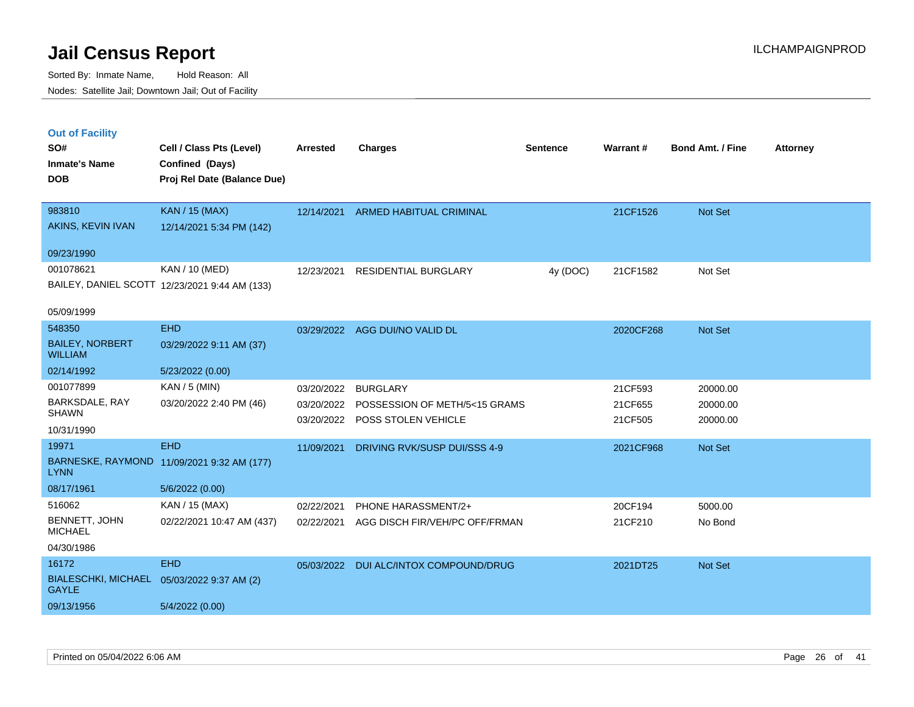|  | <b>Out of Facility</b> |  |
|--|------------------------|--|
|  |                        |  |

| SO#<br><b>Inmate's Name</b><br><b>DOB</b>  | Cell / Class Pts (Level)<br>Confined (Days)<br>Proj Rel Date (Balance Due) | <b>Arrested</b> | <b>Charges</b>                 | <b>Sentence</b> | Warrant#  | <b>Bond Amt. / Fine</b> | <b>Attorney</b> |
|--------------------------------------------|----------------------------------------------------------------------------|-----------------|--------------------------------|-----------------|-----------|-------------------------|-----------------|
|                                            |                                                                            |                 |                                |                 |           |                         |                 |
| 983810                                     | KAN / 15 (MAX)                                                             | 12/14/2021      | <b>ARMED HABITUAL CRIMINAL</b> |                 | 21CF1526  | Not Set                 |                 |
| AKINS, KEVIN IVAN                          | 12/14/2021 5:34 PM (142)                                                   |                 |                                |                 |           |                         |                 |
| 09/23/1990                                 |                                                                            |                 |                                |                 |           |                         |                 |
| 001078621                                  | KAN / 10 (MED)                                                             | 12/23/2021      | RESIDENTIAL BURGLARY           | 4y (DOC)        | 21CF1582  | Not Set                 |                 |
|                                            | BAILEY, DANIEL SCOTT 12/23/2021 9:44 AM (133)                              |                 |                                |                 |           |                         |                 |
| 05/09/1999                                 |                                                                            |                 |                                |                 |           |                         |                 |
| 548350                                     | <b>EHD</b>                                                                 |                 | 03/29/2022 AGG DUI/NO VALID DL |                 | 2020CF268 | Not Set                 |                 |
| <b>BAILEY, NORBERT</b><br><b>WILLIAM</b>   | 03/29/2022 9:11 AM (37)                                                    |                 |                                |                 |           |                         |                 |
| 02/14/1992                                 | 5/23/2022 (0.00)                                                           |                 |                                |                 |           |                         |                 |
| 001077899                                  | $KAN / 5$ (MIN)                                                            | 03/20/2022      | <b>BURGLARY</b>                |                 | 21CF593   | 20000.00                |                 |
| BARKSDALE, RAY<br><b>SHAWN</b>             | 03/20/2022 2:40 PM (46)                                                    | 03/20/2022      | POSSESSION OF METH/5<15 GRAMS  |                 | 21CF655   | 20000.00                |                 |
| 10/31/1990                                 |                                                                            | 03/20/2022      | POSS STOLEN VEHICLE            |                 | 21CF505   | 20000.00                |                 |
| 19971                                      | <b>EHD</b>                                                                 | 11/09/2021      | DRIVING RVK/SUSP DUI/SSS 4-9   |                 | 2021CF968 | Not Set                 |                 |
| <b>LYNN</b>                                | BARNESKE, RAYMOND 11/09/2021 9:32 AM (177)                                 |                 |                                |                 |           |                         |                 |
| 08/17/1961                                 | 5/6/2022 (0.00)                                                            |                 |                                |                 |           |                         |                 |
| 516062                                     | KAN / 15 (MAX)                                                             | 02/22/2021      | PHONE HARASSMENT/2+            |                 | 20CF194   | 5000.00                 |                 |
| BENNETT, JOHN<br><b>MICHAEL</b>            | 02/22/2021 10:47 AM (437)                                                  | 02/22/2021      | AGG DISCH FIR/VEH/PC OFF/FRMAN |                 | 21CF210   | No Bond                 |                 |
| 04/30/1986                                 |                                                                            |                 |                                |                 |           |                         |                 |
| 16172                                      | <b>EHD</b>                                                                 | 05/03/2022      | DUI ALC/INTOX COMPOUND/DRUG    |                 | 2021DT25  | Not Set                 |                 |
| <b>BIALESCHKI, MICHAEL</b><br><b>GAYLE</b> | 05/03/2022 9:37 AM (2)                                                     |                 |                                |                 |           |                         |                 |
| 09/13/1956                                 | 5/4/2022 (0.00)                                                            |                 |                                |                 |           |                         |                 |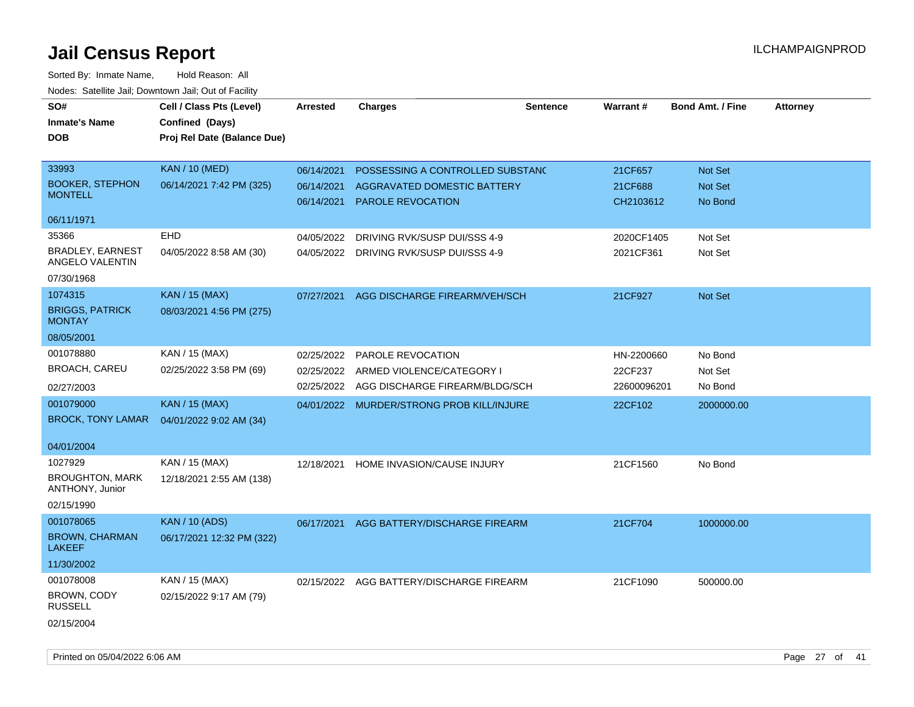| SO#<br><b>Inmate's Name</b><br><b>DOB</b>            | Cell / Class Pts (Level)<br>Confined (Days)<br>Proj Rel Date (Balance Due) | Arrested                 | <b>Charges</b>                                          | <b>Sentence</b> | <b>Warrant#</b>      | <b>Bond Amt. / Fine</b> | <b>Attorney</b> |
|------------------------------------------------------|----------------------------------------------------------------------------|--------------------------|---------------------------------------------------------|-----------------|----------------------|-------------------------|-----------------|
| 33993                                                | <b>KAN / 10 (MED)</b>                                                      | 06/14/2021               | POSSESSING A CONTROLLED SUBSTANC                        |                 | 21CF657              | Not Set                 |                 |
| <b>BOOKER, STEPHON</b><br><b>MONTELL</b>             | 06/14/2021 7:42 PM (325)                                                   | 06/14/2021<br>06/14/2021 | AGGRAVATED DOMESTIC BATTERY<br><b>PAROLE REVOCATION</b> |                 | 21CF688<br>CH2103612 | Not Set<br>No Bond      |                 |
| 06/11/1971                                           |                                                                            |                          |                                                         |                 |                      |                         |                 |
| 35366                                                | EHD                                                                        | 04/05/2022               | DRIVING RVK/SUSP DUI/SSS 4-9                            |                 | 2020CF1405           | Not Set                 |                 |
| <b>BRADLEY, EARNEST</b><br><b>ANGELO VALENTIN</b>    | 04/05/2022 8:58 AM (30)                                                    |                          | 04/05/2022 DRIVING RVK/SUSP DUI/SSS 4-9                 |                 | 2021CF361            | Not Set                 |                 |
| 07/30/1968                                           |                                                                            |                          |                                                         |                 |                      |                         |                 |
| 1074315                                              | <b>KAN / 15 (MAX)</b>                                                      | 07/27/2021               | AGG DISCHARGE FIREARM/VEH/SCH                           |                 | 21CF927              | Not Set                 |                 |
| <b>BRIGGS, PATRICK</b><br><b>MONTAY</b>              | 08/03/2021 4:56 PM (275)                                                   |                          |                                                         |                 |                      |                         |                 |
| 08/05/2001                                           |                                                                            |                          |                                                         |                 |                      |                         |                 |
| 001078880                                            | KAN / 15 (MAX)                                                             | 02/25/2022               | <b>PAROLE REVOCATION</b>                                |                 | HN-2200660           | No Bond                 |                 |
| <b>BROACH, CAREU</b>                                 | 02/25/2022 3:58 PM (69)                                                    | 02/25/2022               | ARMED VIOLENCE/CATEGORY I                               |                 | 22CF237              | Not Set                 |                 |
| 02/27/2003                                           |                                                                            | 02/25/2022               | AGG DISCHARGE FIREARM/BLDG/SCH                          |                 | 22600096201          | No Bond                 |                 |
| 001079000                                            | <b>KAN / 15 (MAX)</b>                                                      |                          | 04/01/2022 MURDER/STRONG PROB KILL/INJURE               |                 | 22CF102              | 2000000.00              |                 |
| <b>BROCK, TONY LAMAR</b>                             | 04/01/2022 9:02 AM (34)                                                    |                          |                                                         |                 |                      |                         |                 |
| 04/01/2004                                           |                                                                            |                          |                                                         |                 |                      |                         |                 |
| 1027929<br><b>BROUGHTON, MARK</b><br>ANTHONY, Junior | KAN / 15 (MAX)<br>12/18/2021 2:55 AM (138)                                 | 12/18/2021               | HOME INVASION/CAUSE INJURY                              |                 | 21CF1560             | No Bond                 |                 |
| 02/15/1990                                           |                                                                            |                          |                                                         |                 |                      |                         |                 |
| 001078065                                            | <b>KAN / 10 (ADS)</b>                                                      | 06/17/2021               | AGG BATTERY/DISCHARGE FIREARM                           |                 | 21CF704              | 1000000.00              |                 |
| <b>BROWN, CHARMAN</b><br><b>LAKEEF</b>               | 06/17/2021 12:32 PM (322)                                                  |                          |                                                         |                 |                      |                         |                 |
| 11/30/2002                                           |                                                                            |                          |                                                         |                 |                      |                         |                 |
| 001078008                                            | KAN / 15 (MAX)                                                             | 02/15/2022               | AGG BATTERY/DISCHARGE FIREARM                           |                 | 21CF1090             | 500000.00               |                 |
| BROWN, CODY<br><b>RUSSELL</b>                        | 02/15/2022 9:17 AM (79)                                                    |                          |                                                         |                 |                      |                         |                 |
| 02/15/2004                                           |                                                                            |                          |                                                         |                 |                      |                         |                 |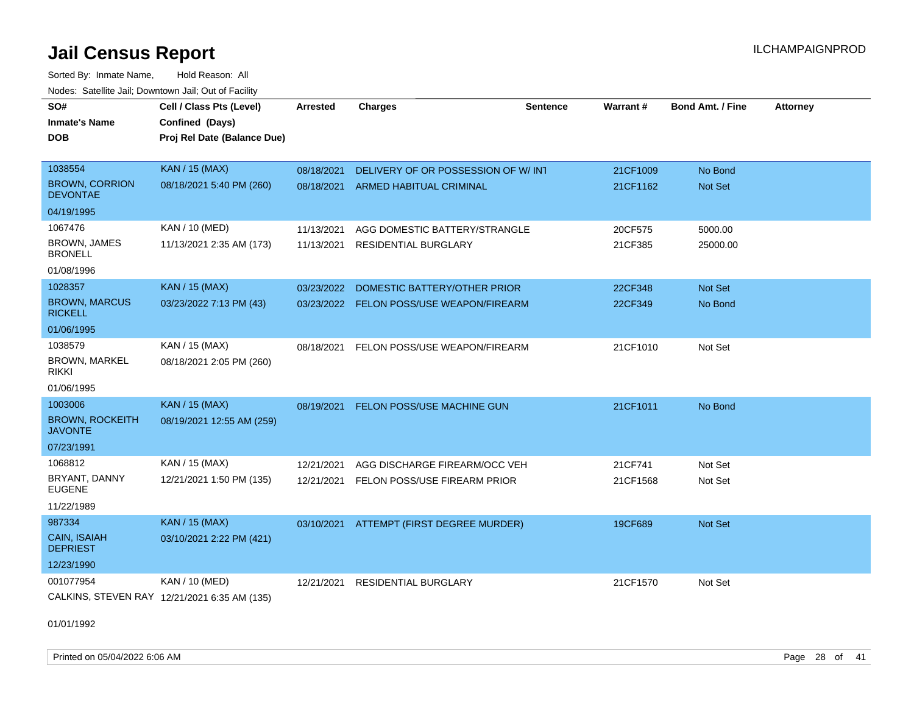Sorted By: Inmate Name, Hold Reason: All Nodes: Satellite Jail; Downtown Jail; Out of Facility

| SO#                                      | Cell / Class Pts (Level)                     | <b>Arrested</b> | <b>Charges</b>                      | <b>Sentence</b> | Warrant# | <b>Bond Amt. / Fine</b> | <b>Attorney</b> |
|------------------------------------------|----------------------------------------------|-----------------|-------------------------------------|-----------------|----------|-------------------------|-----------------|
| <b>Inmate's Name</b>                     | Confined (Days)                              |                 |                                     |                 |          |                         |                 |
| <b>DOB</b>                               | Proj Rel Date (Balance Due)                  |                 |                                     |                 |          |                         |                 |
|                                          |                                              |                 |                                     |                 |          |                         |                 |
| 1038554                                  | <b>KAN / 15 (MAX)</b>                        | 08/18/2021      | DELIVERY OF OR POSSESSION OF W/ INT |                 | 21CF1009 | No Bond                 |                 |
| <b>BROWN, CORRION</b><br><b>DEVONTAE</b> | 08/18/2021 5:40 PM (260)                     | 08/18/2021      | <b>ARMED HABITUAL CRIMINAL</b>      |                 | 21CF1162 | Not Set                 |                 |
| 04/19/1995                               |                                              |                 |                                     |                 |          |                         |                 |
| 1067476                                  | KAN / 10 (MED)                               | 11/13/2021      | AGG DOMESTIC BATTERY/STRANGLE       |                 | 20CF575  | 5000.00                 |                 |
| <b>BROWN, JAMES</b><br><b>BRONELL</b>    | 11/13/2021 2:35 AM (173)                     | 11/13/2021      | <b>RESIDENTIAL BURGLARY</b>         |                 | 21CF385  | 25000.00                |                 |
| 01/08/1996                               |                                              |                 |                                     |                 |          |                         |                 |
| 1028357                                  | <b>KAN / 15 (MAX)</b>                        | 03/23/2022      | DOMESTIC BATTERY/OTHER PRIOR        |                 | 22CF348  | Not Set                 |                 |
| <b>BROWN, MARCUS</b><br><b>RICKELL</b>   | 03/23/2022 7:13 PM (43)                      | 03/23/2022      | FELON POSS/USE WEAPON/FIREARM       |                 | 22CF349  | No Bond                 |                 |
| 01/06/1995                               |                                              |                 |                                     |                 |          |                         |                 |
| 1038579                                  | KAN / 15 (MAX)                               | 08/18/2021      | FELON POSS/USE WEAPON/FIREARM       |                 | 21CF1010 | Not Set                 |                 |
| <b>BROWN, MARKEL</b><br><b>RIKKI</b>     | 08/18/2021 2:05 PM (260)                     |                 |                                     |                 |          |                         |                 |
| 01/06/1995                               |                                              |                 |                                     |                 |          |                         |                 |
| 1003006                                  | KAN / 15 (MAX)                               | 08/19/2021      | FELON POSS/USE MACHINE GUN          |                 | 21CF1011 | No Bond                 |                 |
| <b>BROWN, ROCKEITH</b><br><b>JAVONTE</b> | 08/19/2021 12:55 AM (259)                    |                 |                                     |                 |          |                         |                 |
| 07/23/1991                               |                                              |                 |                                     |                 |          |                         |                 |
| 1068812                                  | KAN / 15 (MAX)                               | 12/21/2021      | AGG DISCHARGE FIREARM/OCC VEH       |                 | 21CF741  | Not Set                 |                 |
| BRYANT, DANNY<br><b>EUGENE</b>           | 12/21/2021 1:50 PM (135)                     | 12/21/2021      | FELON POSS/USE FIREARM PRIOR        |                 | 21CF1568 | Not Set                 |                 |
| 11/22/1989                               |                                              |                 |                                     |                 |          |                         |                 |
| 987334                                   | <b>KAN / 15 (MAX)</b>                        | 03/10/2021      | ATTEMPT (FIRST DEGREE MURDER)       |                 | 19CF689  | Not Set                 |                 |
| <b>CAIN, ISAIAH</b><br><b>DEPRIEST</b>   | 03/10/2021 2:22 PM (421)                     |                 |                                     |                 |          |                         |                 |
| 12/23/1990                               |                                              |                 |                                     |                 |          |                         |                 |
| 001077954                                | KAN / 10 (MED)                               | 12/21/2021      | <b>RESIDENTIAL BURGLARY</b>         |                 | 21CF1570 | Not Set                 |                 |
|                                          | CALKINS, STEVEN RAY 12/21/2021 6:35 AM (135) |                 |                                     |                 |          |                         |                 |

01/01/1992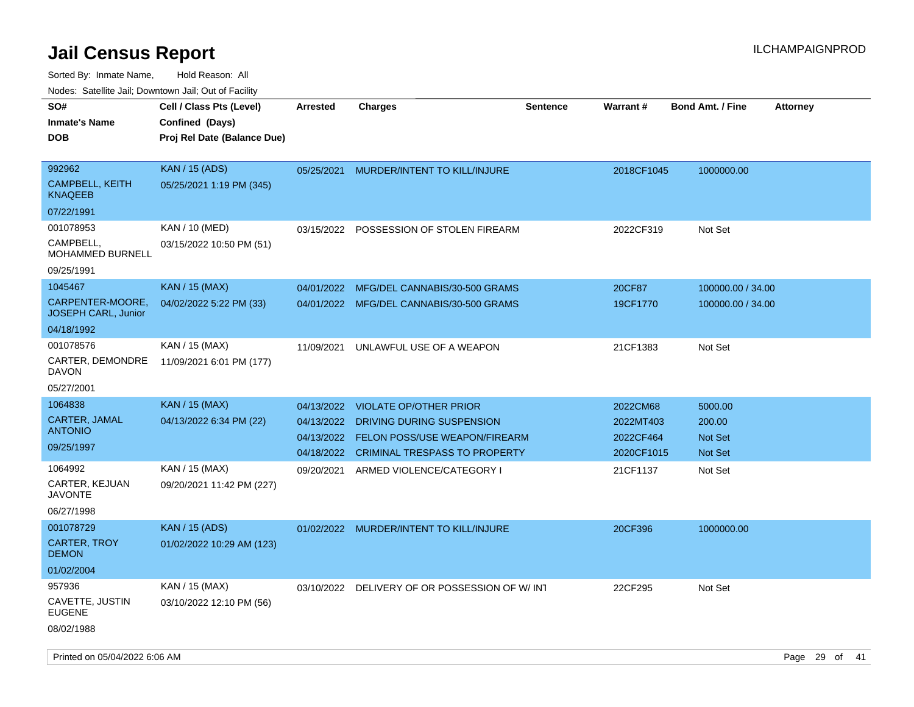| rouce. Calcinic Jan, Downtown Jan, Out of Facility |                             |                 |                                          |                 |            |                         |                 |
|----------------------------------------------------|-----------------------------|-----------------|------------------------------------------|-----------------|------------|-------------------------|-----------------|
| SO#                                                | Cell / Class Pts (Level)    | <b>Arrested</b> | <b>Charges</b>                           | <b>Sentence</b> | Warrant#   | <b>Bond Amt. / Fine</b> | <b>Attorney</b> |
| <b>Inmate's Name</b>                               | Confined (Days)             |                 |                                          |                 |            |                         |                 |
| <b>DOB</b>                                         | Proj Rel Date (Balance Due) |                 |                                          |                 |            |                         |                 |
|                                                    |                             |                 |                                          |                 |            |                         |                 |
| 992962                                             | <b>KAN / 15 (ADS)</b>       | 05/25/2021      | MURDER/INTENT TO KILL/INJURE             |                 | 2018CF1045 | 1000000.00              |                 |
| <b>CAMPBELL, KEITH</b><br>KNAQEEB                  | 05/25/2021 1:19 PM (345)    |                 |                                          |                 |            |                         |                 |
| 07/22/1991                                         |                             |                 |                                          |                 |            |                         |                 |
| 001078953                                          | KAN / 10 (MED)              | 03/15/2022      | POSSESSION OF STOLEN FIREARM             |                 | 2022CF319  | Not Set                 |                 |
| CAMPBELL,<br>MOHAMMED BURNELL                      | 03/15/2022 10:50 PM (51)    |                 |                                          |                 |            |                         |                 |
| 09/25/1991                                         |                             |                 |                                          |                 |            |                         |                 |
| 1045467                                            | <b>KAN / 15 (MAX)</b>       | 04/01/2022      | MFG/DEL CANNABIS/30-500 GRAMS            |                 | 20CF87     | 100000.00 / 34.00       |                 |
| CARPENTER-MOORE.<br>JOSEPH CARL, Junior            | 04/02/2022 5:22 PM (33)     |                 | 04/01/2022 MFG/DEL CANNABIS/30-500 GRAMS |                 | 19CF1770   | 100000.00 / 34.00       |                 |
| 04/18/1992                                         |                             |                 |                                          |                 |            |                         |                 |
| 001078576                                          | KAN / 15 (MAX)              | 11/09/2021      | UNLAWFUL USE OF A WEAPON                 |                 | 21CF1383   | Not Set                 |                 |
| <b>CARTER, DEMONDRE</b><br>DAVON                   | 11/09/2021 6:01 PM (177)    |                 |                                          |                 |            |                         |                 |
| 05/27/2001                                         |                             |                 |                                          |                 |            |                         |                 |
| 1064838                                            | <b>KAN</b> / 15 (MAX)       | 04/13/2022      | <b>VIOLATE OP/OTHER PRIOR</b>            |                 | 2022CM68   | 5000.00                 |                 |
| <b>CARTER, JAMAL</b>                               | 04/13/2022 6:34 PM (22)     | 04/13/2022      | DRIVING DURING SUSPENSION                |                 | 2022MT403  | 200.00                  |                 |
| <b>ANTONIO</b>                                     |                             | 04/13/2022      | FELON POSS/USE WEAPON/FIREARM            |                 | 2022CF464  | <b>Not Set</b>          |                 |
| 09/25/1997                                         |                             | 04/18/2022      | <b>CRIMINAL TRESPASS TO PROPERTY</b>     |                 | 2020CF1015 | Not Set                 |                 |
| 1064992                                            | KAN / 15 (MAX)              | 09/20/2021      | ARMED VIOLENCE/CATEGORY I                |                 | 21CF1137   | Not Set                 |                 |
| <b>CARTER, KEJUAN</b><br><b>JAVONTE</b>            | 09/20/2021 11:42 PM (227)   |                 |                                          |                 |            |                         |                 |
| 06/27/1998                                         |                             |                 |                                          |                 |            |                         |                 |
| 001078729                                          | <b>KAN / 15 (ADS)</b>       |                 | 01/02/2022 MURDER/INTENT TO KILL/INJURE  |                 | 20CF396    | 1000000.00              |                 |
| <b>CARTER, TROY</b><br><b>DEMON</b>                | 01/02/2022 10:29 AM (123)   |                 |                                          |                 |            |                         |                 |
| 01/02/2004                                         |                             |                 |                                          |                 |            |                         |                 |
| 957936                                             | KAN / 15 (MAX)              | 03/10/2022      | DELIVERY OF OR POSSESSION OF W/INT       |                 | 22CF295    | Not Set                 |                 |
| CAVETTE, JUSTIN<br><b>EUGENE</b>                   | 03/10/2022 12:10 PM (56)    |                 |                                          |                 |            |                         |                 |
| 08/02/1988                                         |                             |                 |                                          |                 |            |                         |                 |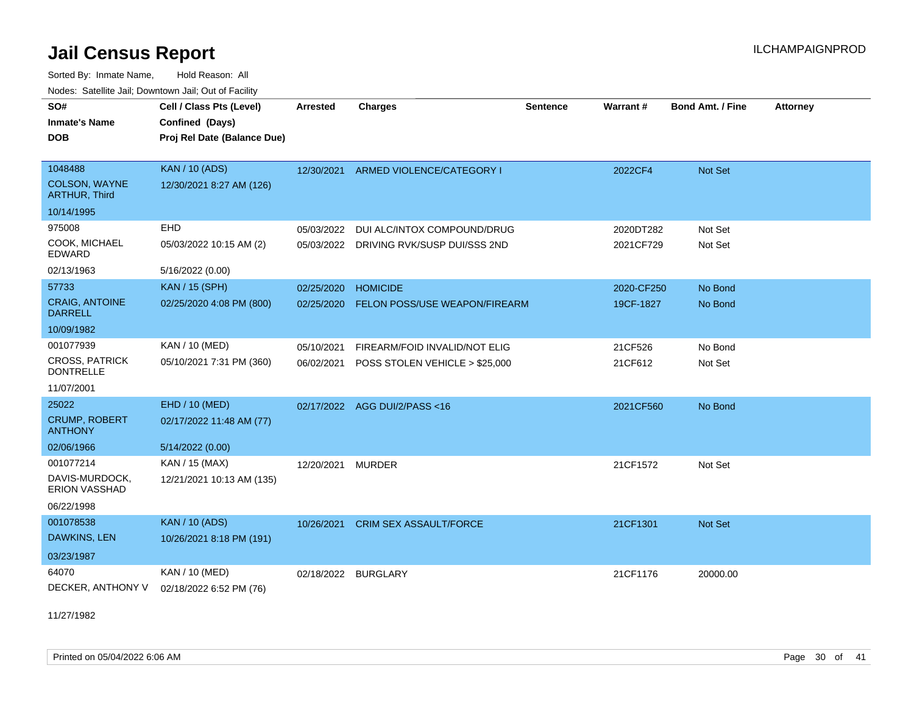Sorted By: Inmate Name, Hold Reason: All Nodes: Satellite Jail; Downtown Jail; Out of Facility

| SO#<br><b>Inmate's Name</b>               | Cell / Class Pts (Level)<br>Confined (Days) | <b>Arrested</b> | <b>Charges</b>                          | <b>Sentence</b> | Warrant#   | <b>Bond Amt. / Fine</b> | <b>Attorney</b> |
|-------------------------------------------|---------------------------------------------|-----------------|-----------------------------------------|-----------------|------------|-------------------------|-----------------|
| <b>DOB</b>                                | Proj Rel Date (Balance Due)                 |                 |                                         |                 |            |                         |                 |
| 1048488                                   | <b>KAN / 10 (ADS)</b>                       | 12/30/2021      | ARMED VIOLENCE/CATEGORY I               |                 | 2022CF4    | <b>Not Set</b>          |                 |
| COLSON, WAYNE<br><b>ARTHUR, Third</b>     | 12/30/2021 8:27 AM (126)                    |                 |                                         |                 |            |                         |                 |
| 10/14/1995                                |                                             |                 |                                         |                 |            |                         |                 |
| 975008                                    | EHD                                         | 05/03/2022      | DUI ALC/INTOX COMPOUND/DRUG             |                 | 2020DT282  | Not Set                 |                 |
| COOK, MICHAEL<br><b>EDWARD</b>            | 05/03/2022 10:15 AM (2)                     |                 | 05/03/2022 DRIVING RVK/SUSP DUI/SSS 2ND |                 | 2021CF729  | Not Set                 |                 |
| 02/13/1963                                | 5/16/2022 (0.00)                            |                 |                                         |                 |            |                         |                 |
| 57733                                     | <b>KAN / 15 (SPH)</b>                       | 02/25/2020      | <b>HOMICIDE</b>                         |                 | 2020-CF250 | No Bond                 |                 |
| CRAIG, ANTOINE<br><b>DARRELL</b>          | 02/25/2020 4:08 PM (800)                    | 02/25/2020      | FELON POSS/USE WEAPON/FIREARM           |                 | 19CF-1827  | No Bond                 |                 |
| 10/09/1982                                |                                             |                 |                                         |                 |            |                         |                 |
| 001077939                                 | KAN / 10 (MED)                              | 05/10/2021      | FIREARM/FOID INVALID/NOT ELIG           |                 | 21CF526    | No Bond                 |                 |
| <b>CROSS, PATRICK</b><br><b>DONTRELLE</b> | 05/10/2021 7:31 PM (360)                    | 06/02/2021      | POSS STOLEN VEHICLE > \$25,000          |                 | 21CF612    | Not Set                 |                 |
| 11/07/2001                                |                                             |                 |                                         |                 |            |                         |                 |
| 25022                                     | EHD / 10 (MED)                              | 02/17/2022      | AGG DUI/2/PASS <16                      |                 | 2021CF560  | No Bond                 |                 |
| <b>CRUMP, ROBERT</b><br><b>ANTHONY</b>    | 02/17/2022 11:48 AM (77)                    |                 |                                         |                 |            |                         |                 |
| 02/06/1966                                | 5/14/2022 (0.00)                            |                 |                                         |                 |            |                         |                 |
| 001077214                                 | KAN / 15 (MAX)                              | 12/20/2021      | <b>MURDER</b>                           |                 | 21CF1572   | Not Set                 |                 |
| DAVIS-MURDOCK,<br><b>ERION VASSHAD</b>    | 12/21/2021 10:13 AM (135)                   |                 |                                         |                 |            |                         |                 |
| 06/22/1998                                |                                             |                 |                                         |                 |            |                         |                 |
| 001078538                                 | <b>KAN / 10 (ADS)</b>                       | 10/26/2021      | <b>CRIM SEX ASSAULT/FORCE</b>           |                 | 21CF1301   | <b>Not Set</b>          |                 |
| DAWKINS, LEN                              | 10/26/2021 8:18 PM (191)                    |                 |                                         |                 |            |                         |                 |
| 03/23/1987                                |                                             |                 |                                         |                 |            |                         |                 |
| 64070                                     | KAN / 10 (MED)                              | 02/18/2022      | <b>BURGLARY</b>                         |                 | 21CF1176   | 20000.00                |                 |
| DECKER, ANTHONY V                         | 02/18/2022 6:52 PM (76)                     |                 |                                         |                 |            |                         |                 |

11/27/1982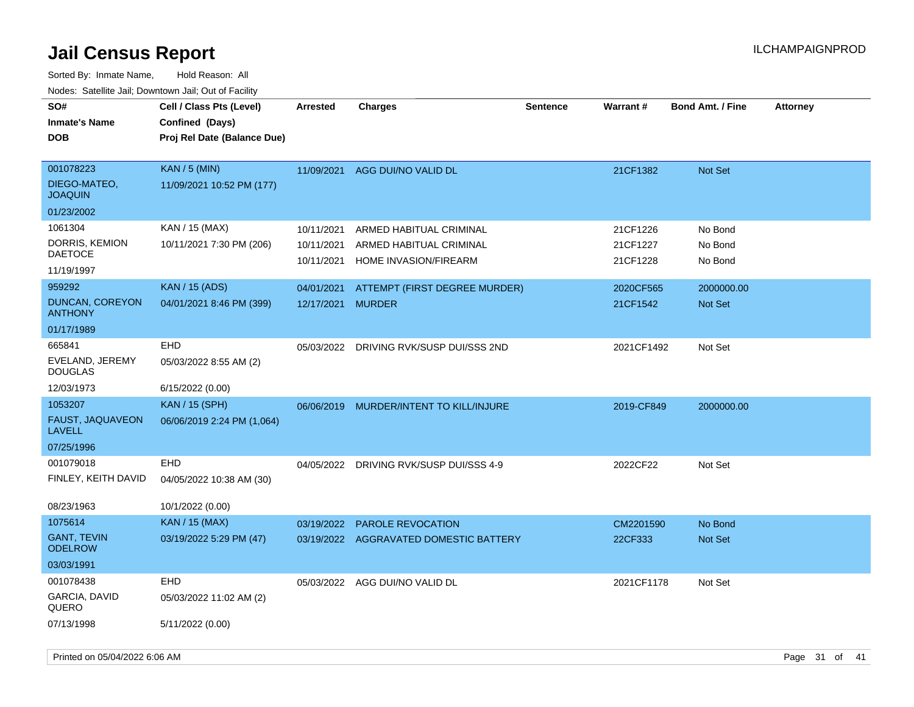| SO#<br><b>Inmate's Name</b><br><b>DOB</b>   | Cell / Class Pts (Level)<br>Confined (Days)<br>Proj Rel Date (Balance Due) | <b>Arrested</b> | <b>Charges</b>                          | <b>Sentence</b> | Warrant#   | <b>Bond Amt. / Fine</b> | <b>Attorney</b> |
|---------------------------------------------|----------------------------------------------------------------------------|-----------------|-----------------------------------------|-----------------|------------|-------------------------|-----------------|
| 001078223<br>DIEGO-MATEO,<br><b>JOAQUIN</b> | <b>KAN / 5 (MIN)</b><br>11/09/2021 10:52 PM (177)                          | 11/09/2021      | AGG DUI/NO VALID DL                     |                 | 21CF1382   | <b>Not Set</b>          |                 |
| 01/23/2002                                  |                                                                            |                 |                                         |                 |            |                         |                 |
| 1061304                                     | KAN / 15 (MAX)                                                             | 10/11/2021      | ARMED HABITUAL CRIMINAL                 |                 | 21CF1226   | No Bond                 |                 |
| DORRIS, KEMION<br><b>DAETOCE</b>            | 10/11/2021 7:30 PM (206)                                                   | 10/11/2021      | ARMED HABITUAL CRIMINAL                 |                 | 21CF1227   | No Bond                 |                 |
| 11/19/1997                                  |                                                                            | 10/11/2021      | HOME INVASION/FIREARM                   |                 | 21CF1228   | No Bond                 |                 |
| 959292                                      | <b>KAN</b> / 15 (ADS)                                                      | 04/01/2021      | ATTEMPT (FIRST DEGREE MURDER)           |                 | 2020CF565  | 2000000.00              |                 |
| <b>DUNCAN, COREYON</b><br><b>ANTHONY</b>    | 04/01/2021 8:46 PM (399)                                                   | 12/17/2021      | <b>MURDER</b>                           |                 | 21CF1542   | <b>Not Set</b>          |                 |
| 01/17/1989                                  |                                                                            |                 |                                         |                 |            |                         |                 |
| 665841                                      | EHD                                                                        | 05/03/2022      | DRIVING RVK/SUSP DUI/SSS 2ND            |                 | 2021CF1492 | Not Set                 |                 |
| EVELAND, JEREMY<br><b>DOUGLAS</b>           | 05/03/2022 8:55 AM (2)                                                     |                 |                                         |                 |            |                         |                 |
| 12/03/1973                                  | 6/15/2022 (0.00)                                                           |                 |                                         |                 |            |                         |                 |
| 1053207                                     | <b>KAN / 15 (SPH)</b>                                                      |                 | 06/06/2019 MURDER/INTENT TO KILL/INJURE |                 | 2019-CF849 | 2000000.00              |                 |
| FAUST, JAQUAVEON<br><b>LAVELL</b>           | 06/06/2019 2:24 PM (1,064)                                                 |                 |                                         |                 |            |                         |                 |
| 07/25/1996                                  |                                                                            |                 |                                         |                 |            |                         |                 |
| 001079018                                   | EHD                                                                        |                 | 04/05/2022 DRIVING RVK/SUSP DUI/SSS 4-9 |                 | 2022CF22   | Not Set                 |                 |
| FINLEY, KEITH DAVID                         | 04/05/2022 10:38 AM (30)                                                   |                 |                                         |                 |            |                         |                 |
| 08/23/1963                                  | 10/1/2022 (0.00)                                                           |                 |                                         |                 |            |                         |                 |
| 1075614                                     | KAN / 15 (MAX)                                                             | 03/19/2022      | PAROLE REVOCATION                       |                 | CM2201590  | No Bond                 |                 |
| <b>GANT, TEVIN</b><br><b>ODELROW</b>        | 03/19/2022 5:29 PM (47)                                                    |                 | 03/19/2022 AGGRAVATED DOMESTIC BATTERY  |                 | 22CF333    | Not Set                 |                 |
| 03/03/1991                                  |                                                                            |                 |                                         |                 |            |                         |                 |
| 001078438                                   | EHD                                                                        |                 | 05/03/2022 AGG DUI/NO VALID DL          |                 | 2021CF1178 | Not Set                 |                 |
| GARCIA, DAVID<br>QUERO                      | 05/03/2022 11:02 AM (2)                                                    |                 |                                         |                 |            |                         |                 |
| 07/13/1998                                  | 5/11/2022 (0.00)                                                           |                 |                                         |                 |            |                         |                 |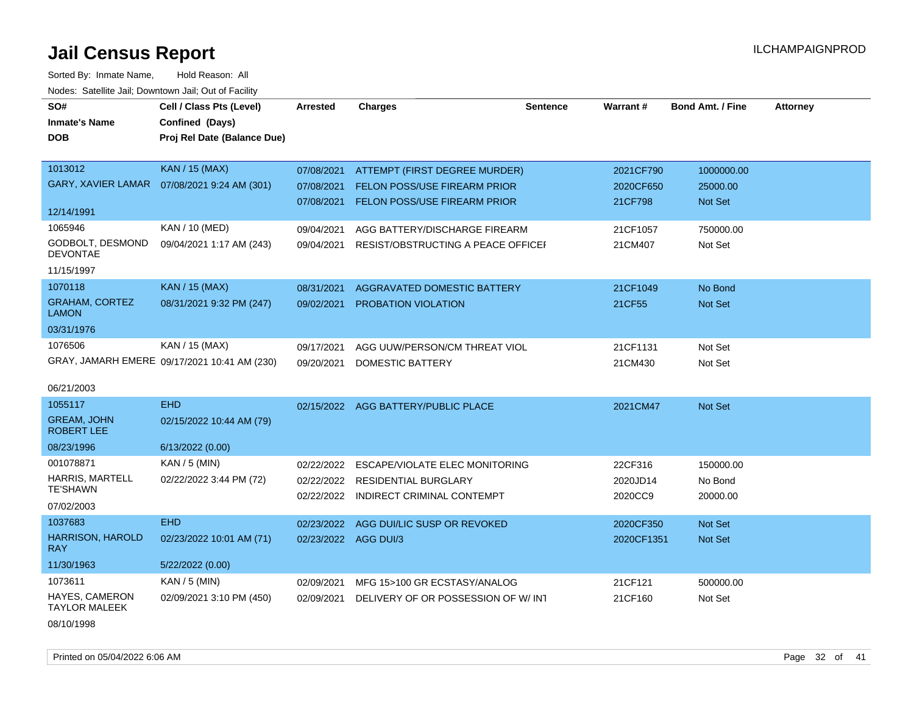Sorted By: Inmate Name, Hold Reason: All Nodes: Satellite Jail; Downtown Jail; Out of Facility

| SO#                                     | Cell / Class Pts (Level)                     | <b>Arrested</b>      | <b>Charges</b>                         | <b>Sentence</b> | Warrant#   | <b>Bond Amt. / Fine</b> | <b>Attorney</b> |
|-----------------------------------------|----------------------------------------------|----------------------|----------------------------------------|-----------------|------------|-------------------------|-----------------|
| <b>Inmate's Name</b>                    | Confined (Days)                              |                      |                                        |                 |            |                         |                 |
| <b>DOB</b>                              | Proj Rel Date (Balance Due)                  |                      |                                        |                 |            |                         |                 |
|                                         |                                              |                      |                                        |                 |            |                         |                 |
| 1013012                                 | KAN / 15 (MAX)                               | 07/08/2021           | ATTEMPT (FIRST DEGREE MURDER)          |                 | 2021CF790  | 1000000.00              |                 |
| <b>GARY, XAVIER LAMAR</b>               | 07/08/2021 9:24 AM (301)                     | 07/08/2021           | <b>FELON POSS/USE FIREARM PRIOR</b>    |                 | 2020CF650  | 25000.00                |                 |
|                                         |                                              | 07/08/2021           | <b>FELON POSS/USE FIREARM PRIOR</b>    |                 | 21CF798    | Not Set                 |                 |
| 12/14/1991                              |                                              |                      |                                        |                 |            |                         |                 |
| 1065946                                 | KAN / 10 (MED)                               | 09/04/2021           | AGG BATTERY/DISCHARGE FIREARM          |                 | 21CF1057   | 750000.00               |                 |
| GODBOLT, DESMOND<br><b>DEVONTAE</b>     | 09/04/2021 1:17 AM (243)                     | 09/04/2021           | RESIST/OBSTRUCTING A PEACE OFFICEL     |                 | 21CM407    | Not Set                 |                 |
| 11/15/1997                              |                                              |                      |                                        |                 |            |                         |                 |
| 1070118                                 | KAN / 15 (MAX)                               | 08/31/2021           | <b>AGGRAVATED DOMESTIC BATTERY</b>     |                 | 21CF1049   | No Bond                 |                 |
| <b>GRAHAM, CORTEZ</b><br><b>LAMON</b>   | 08/31/2021 9:32 PM (247)                     | 09/02/2021           | <b>PROBATION VIOLATION</b>             |                 | 21CF55     | Not Set                 |                 |
| 03/31/1976                              |                                              |                      |                                        |                 |            |                         |                 |
| 1076506                                 | KAN / 15 (MAX)                               | 09/17/2021           | AGG UUW/PERSON/CM THREAT VIOL          |                 | 21CF1131   | Not Set                 |                 |
|                                         | GRAY, JAMARH EMERE 09/17/2021 10:41 AM (230) | 09/20/2021           | DOMESTIC BATTERY                       |                 | 21CM430    | Not Set                 |                 |
|                                         |                                              |                      |                                        |                 |            |                         |                 |
| 06/21/2003                              |                                              |                      |                                        |                 |            |                         |                 |
| 1055117                                 | <b>EHD</b>                                   |                      | 02/15/2022 AGG BATTERY/PUBLIC PLACE    |                 | 2021CM47   | Not Set                 |                 |
| <b>GREAM, JOHN</b><br><b>ROBERT LEE</b> | 02/15/2022 10:44 AM (79)                     |                      |                                        |                 |            |                         |                 |
| 08/23/1996                              | 6/13/2022(0.00)                              |                      |                                        |                 |            |                         |                 |
| 001078871                               | $KAN / 5$ (MIN)                              | 02/22/2022           | ESCAPE/VIOLATE ELEC MONITORING         |                 | 22CF316    | 150000.00               |                 |
| <b>HARRIS, MARTELL</b>                  | 02/22/2022 3:44 PM (72)                      |                      | 02/22/2022 RESIDENTIAL BURGLARY        |                 | 2020JD14   | No Bond                 |                 |
| <b>TE'SHAWN</b>                         |                                              | 02/22/2022           | INDIRECT CRIMINAL CONTEMPT             |                 | 2020CC9    | 20000.00                |                 |
| 07/02/2003                              |                                              |                      |                                        |                 |            |                         |                 |
| 1037683                                 | <b>EHD</b>                                   |                      | 02/23/2022 AGG DUI/LIC SUSP OR REVOKED |                 | 2020CF350  | Not Set                 |                 |
| <b>HARRISON, HAROLD</b><br><b>RAY</b>   | 02/23/2022 10:01 AM (71)                     | 02/23/2022 AGG DUI/3 |                                        |                 | 2020CF1351 | Not Set                 |                 |
| 11/30/1963                              | 5/22/2022 (0.00)                             |                      |                                        |                 |            |                         |                 |
| 1073611                                 | KAN / 5 (MIN)                                | 02/09/2021           | MFG 15>100 GR ECSTASY/ANALOG           |                 | 21CF121    | 500000.00               |                 |
| HAYES, CAMERON<br><b>TAYLOR MALEEK</b>  | 02/09/2021 3:10 PM (450)                     | 02/09/2021           | DELIVERY OF OR POSSESSION OF W/INT     |                 | 21CF160    | Not Set                 |                 |

08/10/1998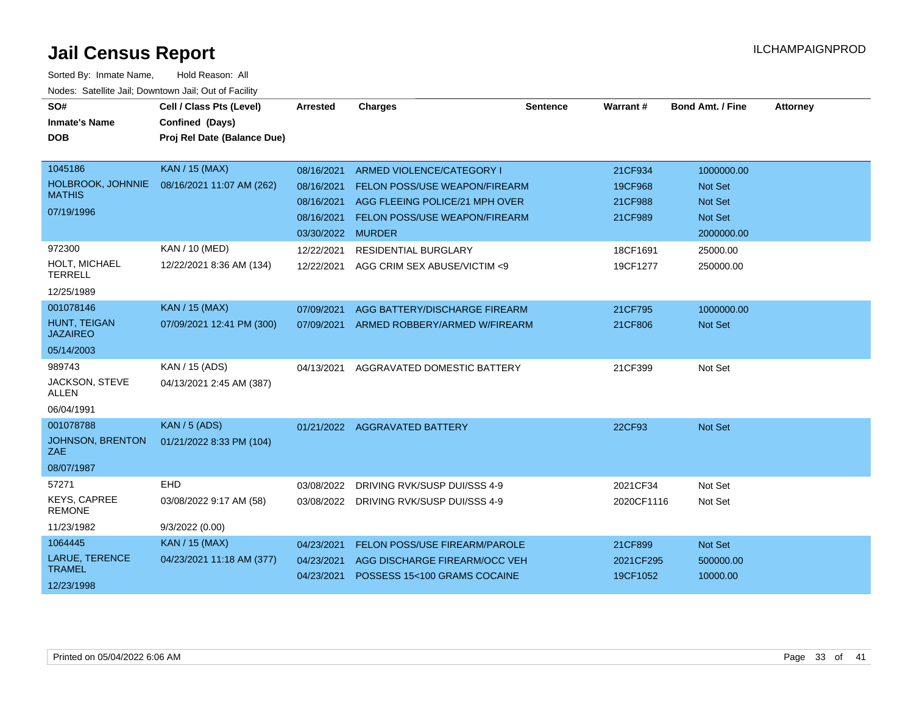| SO#<br><b>Inmate's Name</b><br><b>DOB</b>                         | Cell / Class Pts (Level)<br>Confined (Days)<br>Proj Rel Date (Balance Due) | <b>Arrested</b>                                                           | <b>Charges</b>                                                                                                                       | <b>Sentence</b> | Warrant#                                 | <b>Bond Amt. / Fine</b>                                                 | <b>Attorney</b> |
|-------------------------------------------------------------------|----------------------------------------------------------------------------|---------------------------------------------------------------------------|--------------------------------------------------------------------------------------------------------------------------------------|-----------------|------------------------------------------|-------------------------------------------------------------------------|-----------------|
| 1045186<br>HOLBROOK, JOHNNIE<br><b>MATHIS</b><br>07/19/1996       | <b>KAN / 15 (MAX)</b><br>08/16/2021 11:07 AM (262)                         | 08/16/2021<br>08/16/2021<br>08/16/2021<br>08/16/2021<br>03/30/2022 MURDER | ARMED VIOLENCE/CATEGORY I<br>FELON POSS/USE WEAPON/FIREARM<br>AGG FLEEING POLICE/21 MPH OVER<br><b>FELON POSS/USE WEAPON/FIREARM</b> |                 | 21CF934<br>19CF968<br>21CF988<br>21CF989 | 1000000.00<br>Not Set<br><b>Not Set</b><br><b>Not Set</b><br>2000000.00 |                 |
| 972300<br>HOLT, MICHAEL<br><b>TERRELL</b><br>12/25/1989           | KAN / 10 (MED)<br>12/22/2021 8:36 AM (134)                                 | 12/22/2021<br>12/22/2021                                                  | <b>RESIDENTIAL BURGLARY</b><br>AGG CRIM SEX ABUSE/VICTIM <9                                                                          |                 | 18CF1691<br>19CF1277                     | 25000.00<br>250000.00                                                   |                 |
| 001078146<br><b>HUNT, TEIGAN</b><br><b>JAZAIREO</b><br>05/14/2003 | <b>KAN / 15 (MAX)</b><br>07/09/2021 12:41 PM (300)                         | 07/09/2021<br>07/09/2021                                                  | AGG BATTERY/DISCHARGE FIREARM<br>ARMED ROBBERY/ARMED W/FIREARM                                                                       |                 | 21CF795<br>21CF806                       | 1000000.00<br><b>Not Set</b>                                            |                 |
| 989743<br>JACKSON, STEVE<br><b>ALLEN</b><br>06/04/1991            | KAN / 15 (ADS)<br>04/13/2021 2:45 AM (387)                                 | 04/13/2021                                                                | AGGRAVATED DOMESTIC BATTERY                                                                                                          |                 | 21CF399                                  | Not Set                                                                 |                 |
| 001078788<br>JOHNSON, BRENTON<br>ZAE<br>08/07/1987                | <b>KAN / 5 (ADS)</b><br>01/21/2022 8:33 PM (104)                           |                                                                           | 01/21/2022 AGGRAVATED BATTERY                                                                                                        |                 | 22CF93                                   | Not Set                                                                 |                 |
| 57271<br><b>KEYS, CAPREE</b><br><b>REMONE</b><br>11/23/1982       | EHD<br>03/08/2022 9:17 AM (58)<br>9/3/2022(0.00)                           | 03/08/2022                                                                | DRIVING RVK/SUSP DUI/SSS 4-9<br>03/08/2022 DRIVING RVK/SUSP DUI/SSS 4-9                                                              |                 | 2021CF34<br>2020CF1116                   | Not Set<br>Not Set                                                      |                 |
| 1064445<br>LARUE, TERENCE<br><b>TRAMEL</b><br>12/23/1998          | <b>KAN / 15 (MAX)</b><br>04/23/2021 11:18 AM (377)                         | 04/23/2021<br>04/23/2021<br>04/23/2021                                    | FELON POSS/USE FIREARM/PAROLE<br>AGG DISCHARGE FIREARM/OCC VEH<br>POSSESS 15<100 GRAMS COCAINE                                       |                 | 21CF899<br>2021CF295<br>19CF1052         | Not Set<br>500000.00<br>10000.00                                        |                 |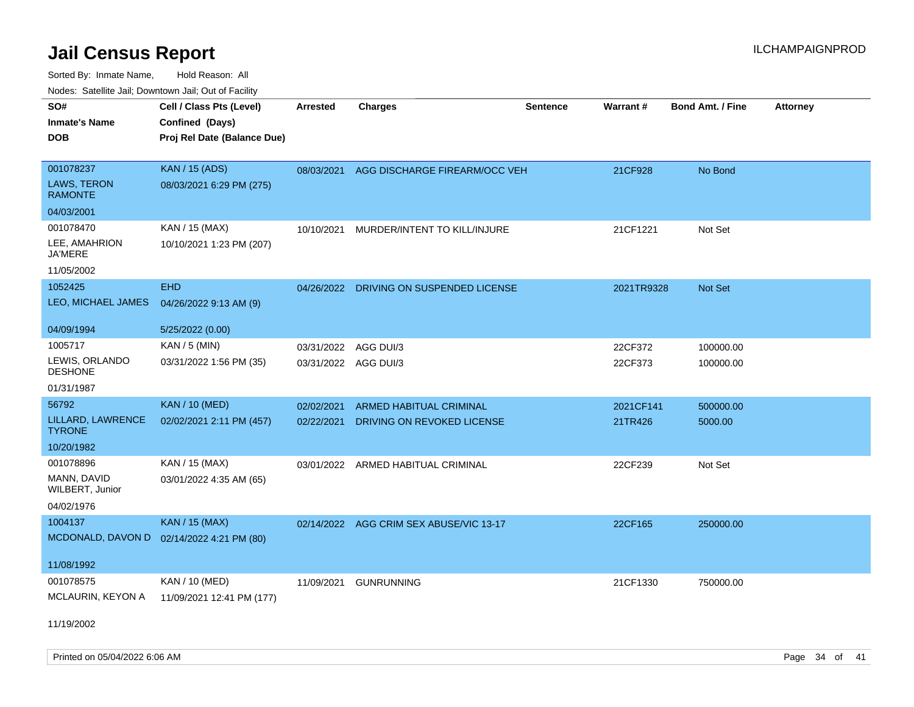Sorted By: Inmate Name, Hold Reason: All Nodes: Satellite Jail; Downtown Jail; Out of Facility

| SO#                                | Cell / Class Pts (Level)    | <b>Arrested</b>      | <b>Charges</b>                          | <b>Sentence</b> | Warrant#   | <b>Bond Amt. / Fine</b> | <b>Attorney</b> |
|------------------------------------|-----------------------------|----------------------|-----------------------------------------|-----------------|------------|-------------------------|-----------------|
| <b>Inmate's Name</b>               | Confined (Days)             |                      |                                         |                 |            |                         |                 |
| <b>DOB</b>                         | Proj Rel Date (Balance Due) |                      |                                         |                 |            |                         |                 |
|                                    |                             |                      |                                         |                 |            |                         |                 |
| 001078237                          | <b>KAN</b> / 15 (ADS)       | 08/03/2021           | AGG DISCHARGE FIREARM/OCC VEH           |                 | 21CF928    | No Bond                 |                 |
| LAWS, TERON<br><b>RAMONTE</b>      | 08/03/2021 6:29 PM (275)    |                      |                                         |                 |            |                         |                 |
| 04/03/2001                         |                             |                      |                                         |                 |            |                         |                 |
| 001078470                          | KAN / 15 (MAX)              | 10/10/2021           | MURDER/INTENT TO KILL/INJURE            |                 | 21CF1221   | Not Set                 |                 |
| LEE, AMAHRION<br><b>JA'MERE</b>    | 10/10/2021 1:23 PM (207)    |                      |                                         |                 |            |                         |                 |
| 11/05/2002                         |                             |                      |                                         |                 |            |                         |                 |
| 1052425                            | <b>EHD</b>                  |                      | 04/26/2022 DRIVING ON SUSPENDED LICENSE |                 | 2021TR9328 | <b>Not Set</b>          |                 |
| LEO, MICHAEL JAMES                 | 04/26/2022 9:13 AM (9)      |                      |                                         |                 |            |                         |                 |
|                                    |                             |                      |                                         |                 |            |                         |                 |
| 04/09/1994                         | 5/25/2022 (0.00)            |                      |                                         |                 |            |                         |                 |
| 1005717                            | KAN / 5 (MIN)               | 03/31/2022           | AGG DUI/3                               |                 | 22CF372    | 100000.00               |                 |
| LEWIS, ORLANDO<br><b>DESHONE</b>   | 03/31/2022 1:56 PM (35)     | 03/31/2022 AGG DUI/3 |                                         |                 | 22CF373    | 100000.00               |                 |
| 01/31/1987                         |                             |                      |                                         |                 |            |                         |                 |
| 56792                              | <b>KAN / 10 (MED)</b>       | 02/02/2021           | <b>ARMED HABITUAL CRIMINAL</b>          |                 | 2021CF141  | 500000.00               |                 |
| LILLARD, LAWRENCE<br><b>TYRONE</b> | 02/02/2021 2:11 PM (457)    | 02/22/2021           | DRIVING ON REVOKED LICENSE              |                 | 21TR426    | 5000.00                 |                 |
| 10/20/1982                         |                             |                      |                                         |                 |            |                         |                 |
| 001078896                          | KAN / 15 (MAX)              |                      | 03/01/2022 ARMED HABITUAL CRIMINAL      |                 | 22CF239    | Not Set                 |                 |
| MANN, DAVID<br>WILBERT, Junior     | 03/01/2022 4:35 AM (65)     |                      |                                         |                 |            |                         |                 |
| 04/02/1976                         |                             |                      |                                         |                 |            |                         |                 |
| 1004137                            | <b>KAN / 15 (MAX)</b>       |                      | 02/14/2022 AGG CRIM SEX ABUSE/VIC 13-17 |                 | 22CF165    | 250000.00               |                 |
| MCDONALD, DAVON D                  | 02/14/2022 4:21 PM (80)     |                      |                                         |                 |            |                         |                 |
|                                    |                             |                      |                                         |                 |            |                         |                 |
| 11/08/1992                         |                             |                      |                                         |                 |            |                         |                 |
| 001078575                          | KAN / 10 (MED)              | 11/09/2021           | <b>GUNRUNNING</b>                       |                 | 21CF1330   | 750000.00               |                 |
| MCLAURIN, KEYON A                  | 11/09/2021 12:41 PM (177)   |                      |                                         |                 |            |                         |                 |
|                                    |                             |                      |                                         |                 |            |                         |                 |

11/19/2002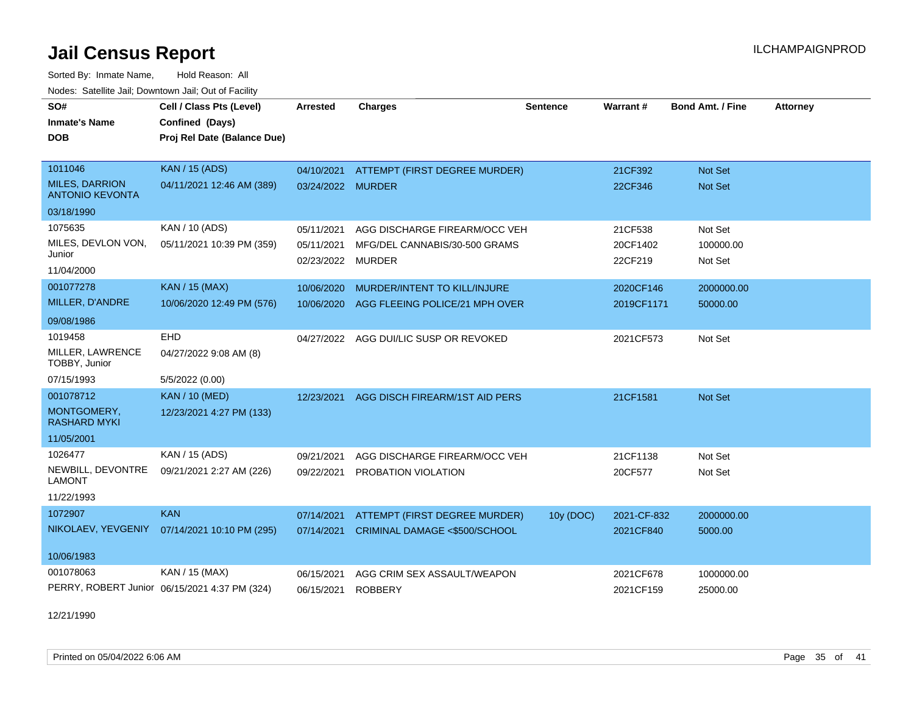Sorted By: Inmate Name, Hold Reason: All Nodes: Satellite Jail; Downtown Jail; Out of Facility

| SO#                                             | Cell / Class Pts (Level)                      | <b>Arrested</b>   | <b>Charges</b>                         | <b>Sentence</b> | <b>Warrant#</b> | <b>Bond Amt. / Fine</b> | <b>Attorney</b> |
|-------------------------------------------------|-----------------------------------------------|-------------------|----------------------------------------|-----------------|-----------------|-------------------------|-----------------|
| <b>Inmate's Name</b>                            | Confined (Days)                               |                   |                                        |                 |                 |                         |                 |
| <b>DOB</b>                                      | Proj Rel Date (Balance Due)                   |                   |                                        |                 |                 |                         |                 |
|                                                 |                                               |                   |                                        |                 |                 |                         |                 |
| 1011046                                         | <b>KAN / 15 (ADS)</b>                         | 04/10/2021        | ATTEMPT (FIRST DEGREE MURDER)          |                 | 21CF392         | <b>Not Set</b>          |                 |
| <b>MILES, DARRION</b><br><b>ANTONIO KEVONTA</b> | 04/11/2021 12:46 AM (389)                     | 03/24/2022 MURDER |                                        |                 | 22CF346         | <b>Not Set</b>          |                 |
| 03/18/1990                                      |                                               |                   |                                        |                 |                 |                         |                 |
| 1075635                                         | KAN / 10 (ADS)                                | 05/11/2021        | AGG DISCHARGE FIREARM/OCC VEH          |                 | 21CF538         | Not Set                 |                 |
| MILES, DEVLON VON,                              | 05/11/2021 10:39 PM (359)                     | 05/11/2021        | MFG/DEL CANNABIS/30-500 GRAMS          |                 | 20CF1402        | 100000.00               |                 |
| Junior                                          |                                               | 02/23/2022        | <b>MURDER</b>                          |                 | 22CF219         | Not Set                 |                 |
| 11/04/2000                                      |                                               |                   |                                        |                 |                 |                         |                 |
| 001077278                                       | <b>KAN / 15 (MAX)</b>                         | 10/06/2020        | MURDER/INTENT TO KILL/INJURE           |                 | 2020CF146       | 2000000.00              |                 |
| MILLER, D'ANDRE                                 | 10/06/2020 12:49 PM (576)                     | 10/06/2020        | AGG FLEEING POLICE/21 MPH OVER         |                 | 2019CF1171      | 50000.00                |                 |
| 09/08/1986                                      |                                               |                   |                                        |                 |                 |                         |                 |
| 1019458                                         | <b>EHD</b>                                    |                   | 04/27/2022 AGG DUI/LIC SUSP OR REVOKED |                 | 2021CF573       | Not Set                 |                 |
| MILLER, LAWRENCE<br>TOBBY, Junior               | 04/27/2022 9:08 AM (8)                        |                   |                                        |                 |                 |                         |                 |
| 07/15/1993                                      | 5/5/2022 (0.00)                               |                   |                                        |                 |                 |                         |                 |
| 001078712                                       | <b>KAN / 10 (MED)</b>                         | 12/23/2021        | AGG DISCH FIREARM/1ST AID PERS         |                 | 21CF1581        | Not Set                 |                 |
| MONTGOMERY,<br><b>RASHARD MYKI</b>              | 12/23/2021 4:27 PM (133)                      |                   |                                        |                 |                 |                         |                 |
| 11/05/2001                                      |                                               |                   |                                        |                 |                 |                         |                 |
| 1026477                                         | KAN / 15 (ADS)                                | 09/21/2021        | AGG DISCHARGE FIREARM/OCC VEH          |                 | 21CF1138        | Not Set                 |                 |
| NEWBILL, DEVONTRE<br><b>LAMONT</b>              | 09/21/2021 2:27 AM (226)                      | 09/22/2021        | PROBATION VIOLATION                    |                 | 20CF577         | Not Set                 |                 |
| 11/22/1993                                      |                                               |                   |                                        |                 |                 |                         |                 |
| 1072907                                         | <b>KAN</b>                                    | 07/14/2021        | ATTEMPT (FIRST DEGREE MURDER)          | 10y (DOC)       | 2021-CF-832     | 2000000.00              |                 |
| NIKOLAEV, YEVGENIY                              | 07/14/2021 10:10 PM (295)                     | 07/14/2021        | CRIMINAL DAMAGE <\$500/SCHOOL          |                 | 2021CF840       | 5000.00                 |                 |
| 10/06/1983                                      |                                               |                   |                                        |                 |                 |                         |                 |
| 001078063                                       | KAN / 15 (MAX)                                | 06/15/2021        | AGG CRIM SEX ASSAULT/WEAPON            |                 | 2021CF678       | 1000000.00              |                 |
|                                                 | PERRY, ROBERT Junior 06/15/2021 4:37 PM (324) | 06/15/2021        | <b>ROBBERY</b>                         |                 | 2021CF159       | 25000.00                |                 |

12/21/1990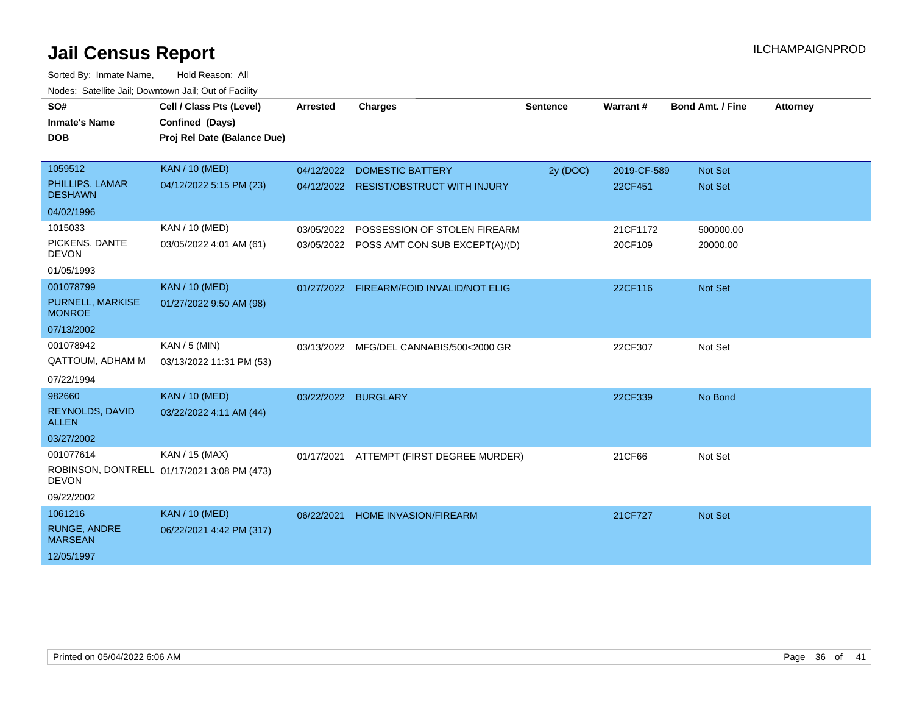| SO#                                                            | Cell / Class Pts (Level)                                      | <b>Arrested</b>     | <b>Charges</b>                                                            | <b>Sentence</b> | Warrant#               | <b>Bond Amt. / Fine</b>          | <b>Attorney</b> |
|----------------------------------------------------------------|---------------------------------------------------------------|---------------------|---------------------------------------------------------------------------|-----------------|------------------------|----------------------------------|-----------------|
| <b>Inmate's Name</b><br><b>DOB</b>                             | Confined (Days)<br>Proj Rel Date (Balance Due)                |                     |                                                                           |                 |                        |                                  |                 |
| 1059512<br>PHILLIPS, LAMAR<br><b>DESHAWN</b><br>04/02/1996     | <b>KAN / 10 (MED)</b><br>04/12/2022 5:15 PM (23)              | 04/12/2022          | <b>DOMESTIC BATTERY</b><br>04/12/2022 RESIST/OBSTRUCT WITH INJURY         | 2y (DOC)        | 2019-CF-589<br>22CF451 | <b>Not Set</b><br><b>Not Set</b> |                 |
| 1015033<br>PICKENS, DANTE<br><b>DEVON</b><br>01/05/1993        | KAN / 10 (MED)<br>03/05/2022 4:01 AM (61)                     | 03/05/2022          | POSSESSION OF STOLEN FIREARM<br>03/05/2022 POSS AMT CON SUB EXCEPT(A)/(D) |                 | 21CF1172<br>20CF109    | 500000.00<br>20000.00            |                 |
| 001078799<br>PURNELL, MARKISE<br><b>MONROE</b><br>07/13/2002   | <b>KAN / 10 (MED)</b><br>01/27/2022 9:50 AM (98)              |                     | 01/27/2022 FIREARM/FOID INVALID/NOT ELIG                                  |                 | 22CF116                | <b>Not Set</b>                   |                 |
| 001078942<br><b>QATTOUM, ADHAM M</b><br>07/22/1994             | KAN / 5 (MIN)<br>03/13/2022 11:31 PM (53)                     | 03/13/2022          | MFG/DEL CANNABIS/500<2000 GR                                              |                 | 22CF307                | Not Set                          |                 |
| 982660<br>REYNOLDS, DAVID<br><b>ALLEN</b><br>03/27/2002        | <b>KAN / 10 (MED)</b><br>03/22/2022 4:11 AM (44)              | 03/22/2022 BURGLARY |                                                                           |                 | 22CF339                | No Bond                          |                 |
| 001077614<br><b>DEVON</b><br>09/22/2002                        | KAN / 15 (MAX)<br>ROBINSON, DONTRELL 01/17/2021 3:08 PM (473) | 01/17/2021          | ATTEMPT (FIRST DEGREE MURDER)                                             |                 | 21CF66                 | Not Set                          |                 |
| 1061216<br><b>RUNGE, ANDRE</b><br><b>MARSEAN</b><br>12/05/1997 | <b>KAN / 10 (MED)</b><br>06/22/2021 4:42 PM (317)             | 06/22/2021          | <b>HOME INVASION/FIREARM</b>                                              |                 | 21CF727                | <b>Not Set</b>                   |                 |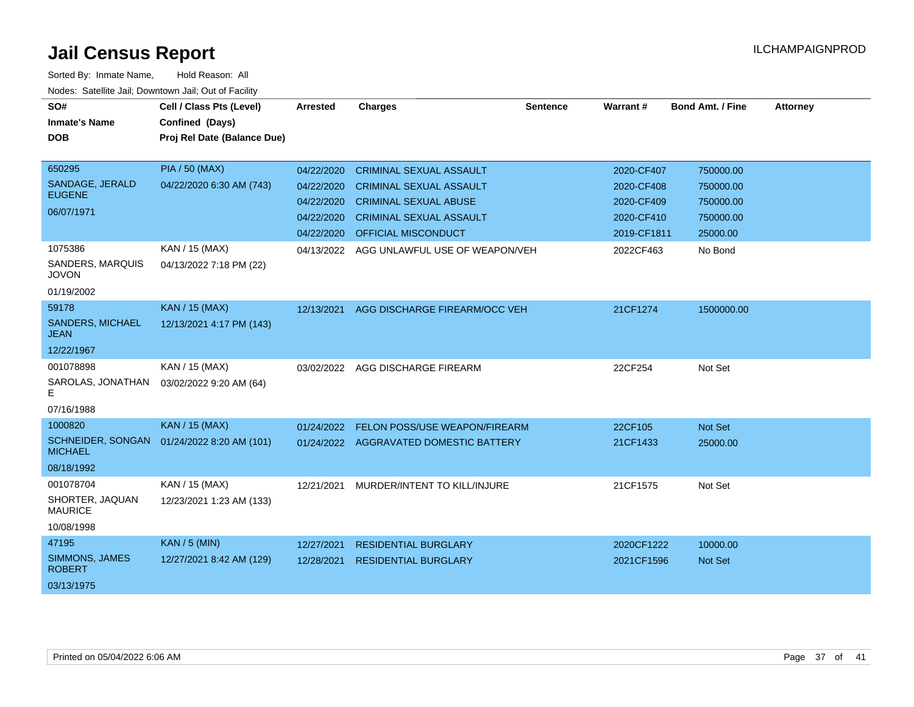| SO#                                    | Cell / Class Pts (Level)    | <b>Arrested</b> | <b>Charges</b>                         | <b>Sentence</b> | Warrant#    | <b>Bond Amt. / Fine</b> | <b>Attorney</b> |
|----------------------------------------|-----------------------------|-----------------|----------------------------------------|-----------------|-------------|-------------------------|-----------------|
| <b>Inmate's Name</b>                   | Confined (Days)             |                 |                                        |                 |             |                         |                 |
| <b>DOB</b>                             | Proj Rel Date (Balance Due) |                 |                                        |                 |             |                         |                 |
|                                        |                             |                 |                                        |                 |             |                         |                 |
| 650295                                 | <b>PIA / 50 (MAX)</b>       | 04/22/2020      | <b>CRIMINAL SEXUAL ASSAULT</b>         |                 | 2020-CF407  | 750000.00               |                 |
| SANDAGE, JERALD                        | 04/22/2020 6:30 AM (743)    | 04/22/2020      | <b>CRIMINAL SEXUAL ASSAULT</b>         |                 | 2020-CF408  | 750000.00               |                 |
| <b>EUGENE</b>                          |                             | 04/22/2020      | <b>CRIMINAL SEXUAL ABUSE</b>           |                 | 2020-CF409  | 750000.00               |                 |
| 06/07/1971                             |                             | 04/22/2020      | <b>CRIMINAL SEXUAL ASSAULT</b>         |                 | 2020-CF410  | 750000.00               |                 |
|                                        |                             | 04/22/2020      | <b>OFFICIAL MISCONDUCT</b>             |                 | 2019-CF1811 | 25000.00                |                 |
| 1075386                                | KAN / 15 (MAX)              | 04/13/2022      | AGG UNLAWFUL USE OF WEAPON/VEH         |                 | 2022CF463   | No Bond                 |                 |
| SANDERS, MARQUIS<br><b>JOVON</b>       | 04/13/2022 7:18 PM (22)     |                 |                                        |                 |             |                         |                 |
| 01/19/2002                             |                             |                 |                                        |                 |             |                         |                 |
| 59178                                  | <b>KAN / 15 (MAX)</b>       | 12/13/2021      | AGG DISCHARGE FIREARM/OCC VEH          |                 | 21CF1274    | 1500000.00              |                 |
| <b>SANDERS, MICHAEL</b><br><b>JEAN</b> | 12/13/2021 4:17 PM (143)    |                 |                                        |                 |             |                         |                 |
| 12/22/1967                             |                             |                 |                                        |                 |             |                         |                 |
| 001078898                              | KAN / 15 (MAX)              | 03/02/2022      | AGG DISCHARGE FIREARM                  |                 | 22CF254     | Not Set                 |                 |
| SAROLAS, JONATHAN<br>E.                | 03/02/2022 9:20 AM (64)     |                 |                                        |                 |             |                         |                 |
| 07/16/1988                             |                             |                 |                                        |                 |             |                         |                 |
| 1000820                                | KAN / 15 (MAX)              | 01/24/2022      | FELON POSS/USE WEAPON/FIREARM          |                 | 22CF105     | Not Set                 |                 |
| SCHNEIDER, SONGAN<br><b>MICHAEL</b>    | 01/24/2022 8:20 AM (101)    |                 | 01/24/2022 AGGRAVATED DOMESTIC BATTERY |                 | 21CF1433    | 25000.00                |                 |
| 08/18/1992                             |                             |                 |                                        |                 |             |                         |                 |
| 001078704                              | KAN / 15 (MAX)              | 12/21/2021      | MURDER/INTENT TO KILL/INJURE           |                 | 21CF1575    | Not Set                 |                 |
| SHORTER, JAQUAN<br><b>MAURICE</b>      | 12/23/2021 1:23 AM (133)    |                 |                                        |                 |             |                         |                 |
| 10/08/1998                             |                             |                 |                                        |                 |             |                         |                 |
| 47195                                  | <b>KAN / 5 (MIN)</b>        | 12/27/2021      | <b>RESIDENTIAL BURGLARY</b>            |                 | 2020CF1222  | 10000.00                |                 |
| SIMMONS, JAMES<br><b>ROBERT</b>        | 12/27/2021 8:42 AM (129)    | 12/28/2021      | <b>RESIDENTIAL BURGLARY</b>            |                 | 2021CF1596  | Not Set                 |                 |
| 03/13/1975                             |                             |                 |                                        |                 |             |                         |                 |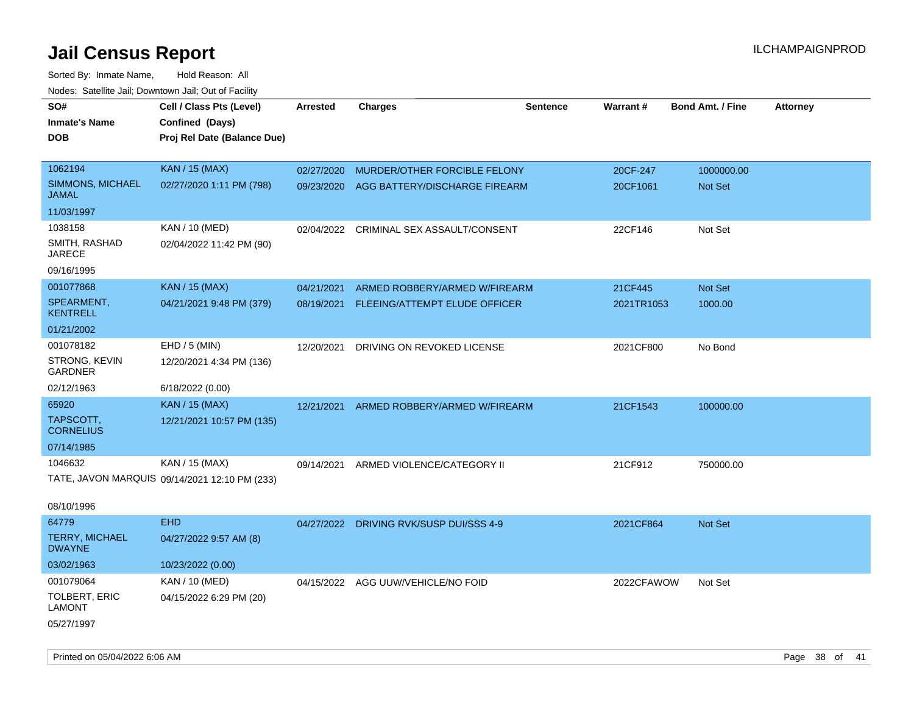| roaco. Oatomto dan, Downtown dan, Oat or Fability |                                               |                 |                                          |                 |            |                         |                 |
|---------------------------------------------------|-----------------------------------------------|-----------------|------------------------------------------|-----------------|------------|-------------------------|-----------------|
| SO#                                               | Cell / Class Pts (Level)                      | <b>Arrested</b> | <b>Charges</b>                           | <b>Sentence</b> | Warrant#   | <b>Bond Amt. / Fine</b> | <b>Attorney</b> |
| <b>Inmate's Name</b>                              | Confined (Days)                               |                 |                                          |                 |            |                         |                 |
| <b>DOB</b>                                        | Proj Rel Date (Balance Due)                   |                 |                                          |                 |            |                         |                 |
|                                                   |                                               |                 |                                          |                 |            |                         |                 |
| 1062194                                           | <b>KAN / 15 (MAX)</b>                         | 02/27/2020      | MURDER/OTHER FORCIBLE FELONY             |                 | 20CF-247   | 1000000.00              |                 |
| SIMMONS, MICHAEL<br><b>JAMAL</b>                  | 02/27/2020 1:11 PM (798)                      |                 | 09/23/2020 AGG BATTERY/DISCHARGE FIREARM |                 | 20CF1061   | Not Set                 |                 |
| 11/03/1997                                        |                                               |                 |                                          |                 |            |                         |                 |
| 1038158                                           | KAN / 10 (MED)                                | 02/04/2022      | CRIMINAL SEX ASSAULT/CONSENT             |                 | 22CF146    | Not Set                 |                 |
| SMITH, RASHAD<br>JARECE                           | 02/04/2022 11:42 PM (90)                      |                 |                                          |                 |            |                         |                 |
| 09/16/1995                                        |                                               |                 |                                          |                 |            |                         |                 |
| 001077868                                         | <b>KAN / 15 (MAX)</b>                         | 04/21/2021      | ARMED ROBBERY/ARMED W/FIREARM            |                 | 21CF445    | Not Set                 |                 |
| SPEARMENT,<br><b>KENTRELL</b>                     | 04/21/2021 9:48 PM (379)                      | 08/19/2021      | FLEEING/ATTEMPT ELUDE OFFICER            |                 | 2021TR1053 | 1000.00                 |                 |
| 01/21/2002                                        |                                               |                 |                                          |                 |            |                         |                 |
| 001078182                                         | EHD / 5 (MIN)                                 | 12/20/2021      | DRIVING ON REVOKED LICENSE               |                 | 2021CF800  | No Bond                 |                 |
| STRONG, KEVIN<br>GARDNER                          | 12/20/2021 4:34 PM (136)                      |                 |                                          |                 |            |                         |                 |
| 02/12/1963                                        | 6/18/2022 (0.00)                              |                 |                                          |                 |            |                         |                 |
| 65920                                             | <b>KAN / 15 (MAX)</b>                         | 12/21/2021      | ARMED ROBBERY/ARMED W/FIREARM            |                 | 21CF1543   | 100000.00               |                 |
| TAPSCOTT,<br><b>CORNELIUS</b>                     | 12/21/2021 10:57 PM (135)                     |                 |                                          |                 |            |                         |                 |
| 07/14/1985                                        |                                               |                 |                                          |                 |            |                         |                 |
| 1046632                                           | KAN / 15 (MAX)                                | 09/14/2021      | ARMED VIOLENCE/CATEGORY II               |                 | 21CF912    | 750000.00               |                 |
|                                                   | TATE, JAVON MARQUIS 09/14/2021 12:10 PM (233) |                 |                                          |                 |            |                         |                 |
|                                                   |                                               |                 |                                          |                 |            |                         |                 |
| 08/10/1996                                        |                                               |                 |                                          |                 |            |                         |                 |
| 64779                                             | <b>EHD</b>                                    |                 | 04/27/2022 DRIVING RVK/SUSP DUI/SSS 4-9  |                 | 2021CF864  | Not Set                 |                 |
| TERRY, MICHAEL<br><b>DWAYNE</b>                   | 04/27/2022 9:57 AM (8)                        |                 |                                          |                 |            |                         |                 |
| 03/02/1963                                        | 10/23/2022 (0.00)                             |                 |                                          |                 |            |                         |                 |
| 001079064                                         | KAN / 10 (MED)                                |                 | 04/15/2022 AGG UUW/VEHICLE/NO FOID       |                 | 2022CFAWOW | Not Set                 |                 |
| TOLBERT, ERIC<br>LAMONT                           | 04/15/2022 6:29 PM (20)                       |                 |                                          |                 |            |                         |                 |
| 05/27/1997                                        |                                               |                 |                                          |                 |            |                         |                 |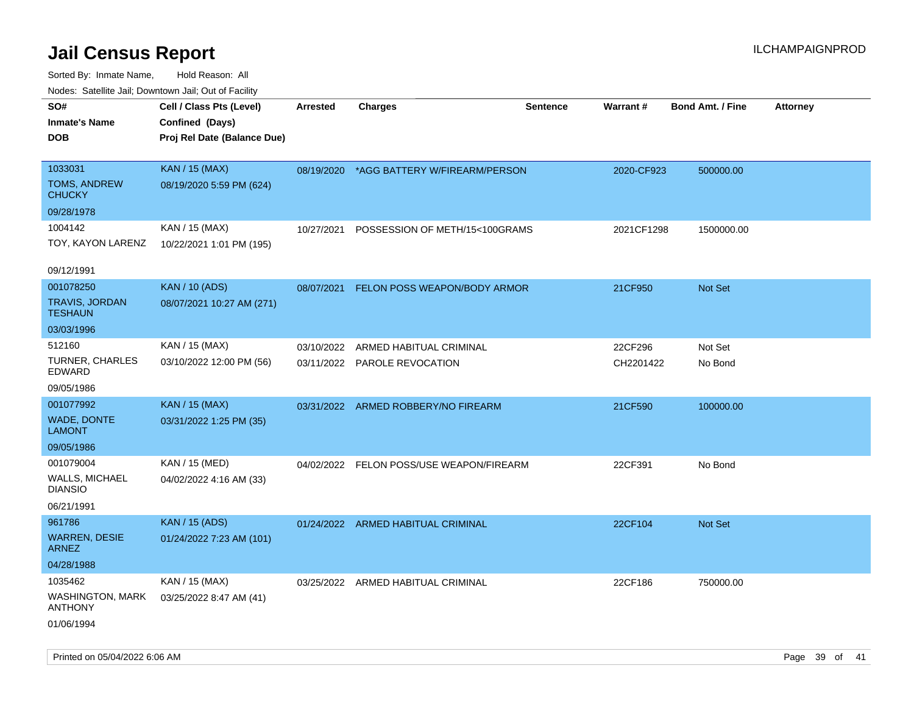Sorted By: Inmate Name, Hold Reason: All Nodes: Satellite Jail; Downtown Jail; Out of Facility

| rouco. Calcillo Jali, Downtown Jali, Out of Facility |                             |                 |                                          |                 |            |                         |                 |
|------------------------------------------------------|-----------------------------|-----------------|------------------------------------------|-----------------|------------|-------------------------|-----------------|
| SO#                                                  | Cell / Class Pts (Level)    | <b>Arrested</b> | <b>Charges</b>                           | <b>Sentence</b> | Warrant#   | <b>Bond Amt. / Fine</b> | <b>Attorney</b> |
| Inmate's Name                                        | Confined (Days)             |                 |                                          |                 |            |                         |                 |
| <b>DOB</b>                                           | Proj Rel Date (Balance Due) |                 |                                          |                 |            |                         |                 |
|                                                      |                             |                 |                                          |                 |            |                         |                 |
| 1033031                                              | <b>KAN / 15 (MAX)</b>       |                 | 08/19/2020 *AGG BATTERY W/FIREARM/PERSON |                 | 2020-CF923 | 500000.00               |                 |
| <b>TOMS, ANDREW</b><br>CHUCKY                        | 08/19/2020 5:59 PM (624)    |                 |                                          |                 |            |                         |                 |
| 09/28/1978                                           |                             |                 |                                          |                 |            |                         |                 |
| 1004142                                              | KAN / 15 (MAX)              | 10/27/2021      | POSSESSION OF METH/15<100GRAMS           |                 | 2021CF1298 | 1500000.00              |                 |
| TOY, KAYON LARENZ                                    | 10/22/2021 1:01 PM (195)    |                 |                                          |                 |            |                         |                 |
|                                                      |                             |                 |                                          |                 |            |                         |                 |
| 09/12/1991                                           |                             |                 |                                          |                 |            |                         |                 |
| 001078250                                            | <b>KAN / 10 (ADS)</b>       |                 | 08/07/2021 FELON POSS WEAPON/BODY ARMOR  |                 | 21CF950    | Not Set                 |                 |
| TRAVIS, JORDAN<br>TESHAUN                            | 08/07/2021 10:27 AM (271)   |                 |                                          |                 |            |                         |                 |
| 03/03/1996                                           |                             |                 |                                          |                 |            |                         |                 |
| 512160                                               | KAN / 15 (MAX)              | 03/10/2022      | ARMED HABITUAL CRIMINAL                  |                 | 22CF296    | Not Set                 |                 |
| TURNER, CHARLES<br>EDWARD                            | 03/10/2022 12:00 PM (56)    |                 | 03/11/2022 PAROLE REVOCATION             |                 | CH2201422  | No Bond                 |                 |
| 09/05/1986                                           |                             |                 |                                          |                 |            |                         |                 |
| 001077992                                            | <b>KAN / 15 (MAX)</b>       |                 | 03/31/2022 ARMED ROBBERY/NO FIREARM      |                 | 21CF590    | 100000.00               |                 |
| <b>WADE, DONTE</b><br>LAMONT                         | 03/31/2022 1:25 PM (35)     |                 |                                          |                 |            |                         |                 |
| 09/05/1986                                           |                             |                 |                                          |                 |            |                         |                 |
| 001079004                                            | KAN / 15 (MED)              |                 | 04/02/2022 FELON POSS/USE WEAPON/FIREARM |                 | 22CF391    | No Bond                 |                 |
| <b>WALLS, MICHAEL</b><br>DIANSIO                     | 04/02/2022 4:16 AM (33)     |                 |                                          |                 |            |                         |                 |
| 06/21/1991                                           |                             |                 |                                          |                 |            |                         |                 |
| 961786                                               | <b>KAN / 15 (ADS)</b>       |                 | 01/24/2022 ARMED HABITUAL CRIMINAL       |                 | 22CF104    | Not Set                 |                 |
| <b>WARREN, DESIE</b><br>ARNEZ                        | 01/24/2022 7:23 AM (101)    |                 |                                          |                 |            |                         |                 |
| 04/28/1988                                           |                             |                 |                                          |                 |            |                         |                 |
| 1035462                                              | KAN / 15 (MAX)              |                 | 03/25/2022 ARMED HABITUAL CRIMINAL       |                 | 22CF186    | 750000.00               |                 |
| WASHINGTON, MARK<br><b>ANTHONY</b>                   | 03/25/2022 8:47 AM (41)     |                 |                                          |                 |            |                         |                 |
| 01/06/1994                                           |                             |                 |                                          |                 |            |                         |                 |

Printed on 05/04/2022 6:06 AM Page 39 of 41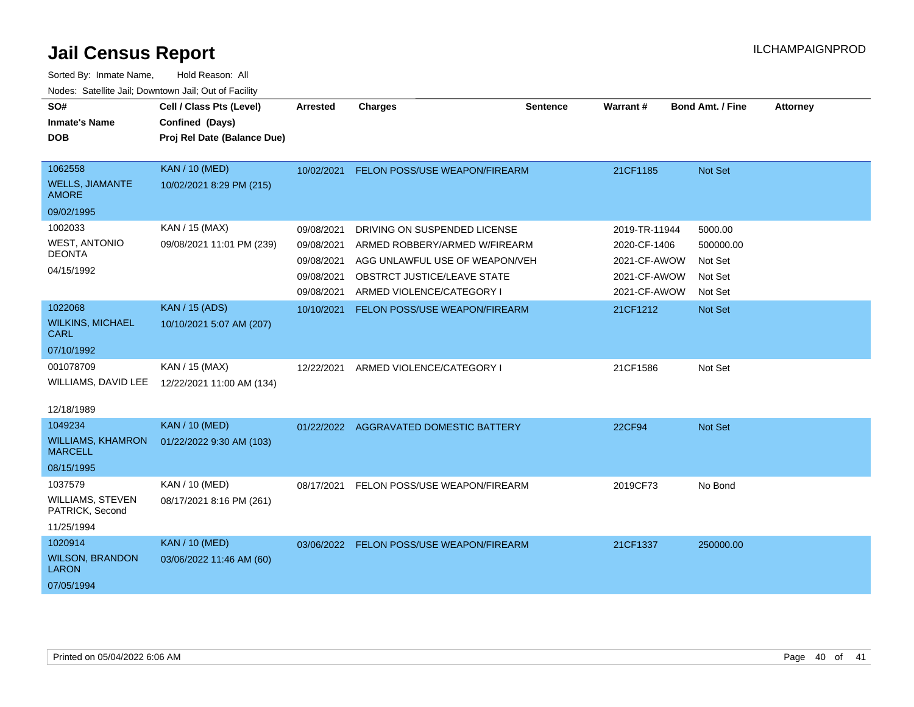| SO#<br><b>Inmate's Name</b><br><b>DOB</b>         | Cell / Class Pts (Level)<br>Confined (Days)<br>Proj Rel Date (Balance Due) | <b>Arrested</b> | <b>Charges</b>                         | <b>Sentence</b> | <b>Warrant#</b> | <b>Bond Amt. / Fine</b> | <b>Attorney</b> |
|---------------------------------------------------|----------------------------------------------------------------------------|-----------------|----------------------------------------|-----------------|-----------------|-------------------------|-----------------|
| 1062558<br><b>WELLS, JIAMANTE</b><br><b>AMORE</b> | <b>KAN / 10 (MED)</b><br>10/02/2021 8:29 PM (215)                          | 10/02/2021      | FELON POSS/USE WEAPON/FIREARM          |                 | 21CF1185        | Not Set                 |                 |
| 09/02/1995                                        |                                                                            |                 |                                        |                 |                 |                         |                 |
| 1002033                                           | KAN / 15 (MAX)                                                             | 09/08/2021      | DRIVING ON SUSPENDED LICENSE           |                 | 2019-TR-11944   | 5000.00                 |                 |
| <b>WEST, ANTONIO</b><br><b>DEONTA</b>             | 09/08/2021 11:01 PM (239)                                                  | 09/08/2021      | ARMED ROBBERY/ARMED W/FIREARM          |                 | 2020-CF-1406    | 500000.00               |                 |
| 04/15/1992                                        |                                                                            | 09/08/2021      | AGG UNLAWFUL USE OF WEAPON/VEH         |                 | 2021-CF-AWOW    | Not Set                 |                 |
|                                                   |                                                                            | 09/08/2021      | OBSTRCT JUSTICE/LEAVE STATE            |                 | 2021-CF-AWOW    | Not Set                 |                 |
|                                                   |                                                                            | 09/08/2021      | ARMED VIOLENCE/CATEGORY I              |                 | 2021-CF-AWOW    | Not Set                 |                 |
| 1022068                                           | <b>KAN / 15 (ADS)</b>                                                      | 10/10/2021      | FELON POSS/USE WEAPON/FIREARM          |                 | 21CF1212        | Not Set                 |                 |
| <b>WILKINS, MICHAEL</b><br><b>CARL</b>            | 10/10/2021 5:07 AM (207)                                                   |                 |                                        |                 |                 |                         |                 |
| 07/10/1992                                        |                                                                            |                 |                                        |                 |                 |                         |                 |
| 001078709                                         | KAN / 15 (MAX)                                                             | 12/22/2021      | ARMED VIOLENCE/CATEGORY I              |                 | 21CF1586        | Not Set                 |                 |
| WILLIAMS, DAVID LEE                               | 12/22/2021 11:00 AM (134)                                                  |                 |                                        |                 |                 |                         |                 |
| 12/18/1989                                        |                                                                            |                 |                                        |                 |                 |                         |                 |
| 1049234                                           | <b>KAN / 10 (MED)</b>                                                      |                 | 01/22/2022 AGGRAVATED DOMESTIC BATTERY |                 | 22CF94          | Not Set                 |                 |
| <b>WILLIAMS, KHAMRON</b><br><b>MARCELL</b>        | 01/22/2022 9:30 AM (103)                                                   |                 |                                        |                 |                 |                         |                 |
| 08/15/1995                                        |                                                                            |                 |                                        |                 |                 |                         |                 |
| 1037579                                           | KAN / 10 (MED)                                                             | 08/17/2021      | FELON POSS/USE WEAPON/FIREARM          |                 | 2019CF73        | No Bond                 |                 |
| <b>WILLIAMS, STEVEN</b><br>PATRICK, Second        | 08/17/2021 8:16 PM (261)                                                   |                 |                                        |                 |                 |                         |                 |
| 11/25/1994                                        |                                                                            |                 |                                        |                 |                 |                         |                 |
| 1020914                                           | <b>KAN / 10 (MED)</b>                                                      | 03/06/2022      | FELON POSS/USE WEAPON/FIREARM          |                 | 21CF1337        | 250000.00               |                 |
| <b>WILSON, BRANDON</b><br><b>LARON</b>            | 03/06/2022 11:46 AM (60)                                                   |                 |                                        |                 |                 |                         |                 |
| 07/05/1994                                        |                                                                            |                 |                                        |                 |                 |                         |                 |